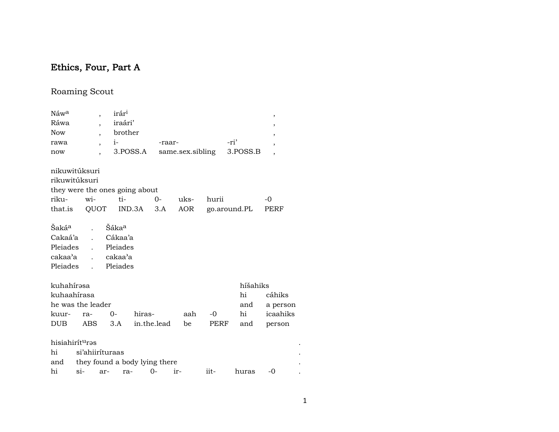# Ethics, Four, Part A

## Roaming Scout

| Náwa                           |                 | $\overline{\phantom{a}}$ | irár <sup>i</sup> |        |                               |                  |       |              | $\,$                     |  |
|--------------------------------|-----------------|--------------------------|-------------------|--------|-------------------------------|------------------|-------|--------------|--------------------------|--|
| Ráwa                           |                 | $\overline{\phantom{a}}$ | iraári'           |        |                               |                  |       |              | $\overline{\phantom{a}}$ |  |
| <b>Now</b>                     |                 | $\overline{\phantom{a}}$ | brother           |        |                               |                  |       |              | ,                        |  |
| rawa                           |                 | $\overline{ }$           | $i-$              |        | -raar-                        |                  |       | -ri'         | $\overline{ }$           |  |
| now                            |                 |                          | 3.POSS.A          |        |                               | same.sex.sibling |       | 3.POSS.B     | $\overline{ }$           |  |
| nikuwitúksuri                  |                 |                          |                   |        |                               |                  |       |              |                          |  |
| rikuwitúksuri                  |                 |                          |                   |        |                               |                  |       |              |                          |  |
| they were the ones going about |                 |                          |                   |        |                               |                  |       |              |                          |  |
| riku-                          | wi-             |                          | $ti-$             |        | $0-$                          | uks-             | hurii |              | -0                       |  |
| that.is QUOT IND.3A            |                 |                          |                   |        | 3.A                           | AOR              |       | go.around.PL | PERF                     |  |
| Śakáª                          |                 |                          | Šáka <sup>a</sup> |        |                               |                  |       |              |                          |  |
| Cakaá'a                        |                 |                          | Cákaa'a           |        |                               |                  |       |              |                          |  |
| Pleiades                       |                 | $\mathbf{L}$             | Pleiades          |        |                               |                  |       |              |                          |  |
| cakaa'a                        |                 |                          | cakaa'a           |        |                               |                  |       |              |                          |  |
| Pleiades                       |                 | $\mathbf{L}$             | Pleiades          |        |                               |                  |       |              |                          |  |
| kuhahírəsa                     |                 |                          |                   |        |                               |                  |       | híšahiks     |                          |  |
| kuhaahírasa                    |                 |                          |                   |        |                               |                  |       | hi           | cáhiks                   |  |
| he was the leader              |                 |                          |                   |        |                               |                  |       | and          | a person                 |  |
| kuur-                          | ra-             |                          | $0-$              | hiras- |                               | aah              | $-0$  | hi           | icaahiks                 |  |
| <b>DUB</b>                     | ABS             |                          | 3.A               |        | in.the.lead                   | be               | PERF  | and          | person                   |  |
| hisiahirít <sup>u</sup> ras    |                 |                          |                   |        |                               |                  |       |              |                          |  |
| hi                             | si'ahiiríturaas |                          |                   |        |                               |                  |       |              |                          |  |
| and                            |                 |                          |                   |        | they found a body lying there |                  |       |              |                          |  |
| hi                             | $\sin$          | ar-                      | ra-               |        | $0-$                          | ir-              | iit-  | huras        | -0                       |  |

 $\Delta$  $\langle \cdot \rangle$  $\bullet$ 

 $\langle \cdot \rangle$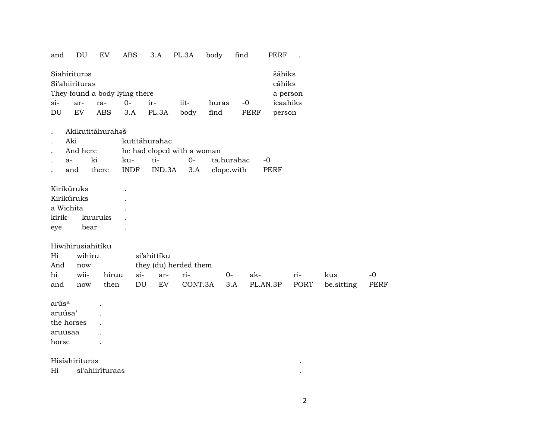and DU EV ABS 3.A PL.3A body find PERF .

| Siahíriturəs<br>Si'ahiiríturas |       |                               |          |               |      |       |           | šáhiks<br>cáhiks |
|--------------------------------|-------|-------------------------------|----------|---------------|------|-------|-----------|------------------|
|                                |       | They found a body lying there |          |               |      |       |           | a person         |
| $Si-$                          | $ar-$ | ra-                           | $\Omega$ | $ir-$         | iit- | huras | $-\Omega$ | icaahiks         |
| DU                             | EV.   |                               |          | ABS 3.A PL.3A | body | find  | PERF      | person           |

- . Akikutitáhurahəš
- 
- Aki kutitáhurahac<br>And here he had eloped v And here he had eloped with a woman<br>a- ki ku- ti- 0- ta.
- . a- ki ku- ti- 0- ta.hurahac -0
- . and there INDF IND.3A 3.A elope.with PERF

| Kirikúruks |         |  |
|------------|---------|--|
| Kirikúruks |         |  |
| a Wichita  |         |  |
| kirik-     | kuuruks |  |
| eye        | bear    |  |

Hiwihirusiahitíku

| Hi  | wihiru |  | si'ahittiku |                                                      |  |         |  |     |       |  |  |  |  |
|-----|--------|--|-------------|------------------------------------------------------|--|---------|--|-----|-------|--|--|--|--|
| And | now    |  |             | they (du) herded them                                |  |         |  |     |       |  |  |  |  |
| hi  |        |  |             | wii- hiruu si- ar- ri-        0-                     |  | ak- ri- |  | kus | $-()$ |  |  |  |  |
| and | now    |  |             | then DU EV CONT.3A 3.A PL.AN.3P PORT be sitting PERF |  |         |  |     |       |  |  |  |  |

arús<sup>a</sup> . aruúsa' . the horses . aruusaa .

horse .

### HisíahiriturŸs .

Hi si'ahiiríturaas .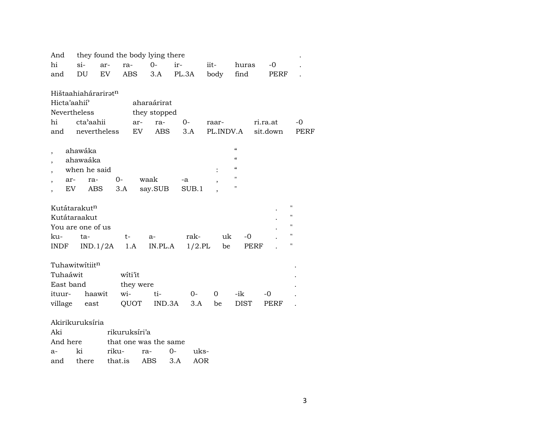| And                      |                                                                      |              |                      | they found the body lying there |                   |                    |                                                                                                                     |                      |                                                                                                           |
|--------------------------|----------------------------------------------------------------------|--------------|----------------------|---------------------------------|-------------------|--------------------|---------------------------------------------------------------------------------------------------------------------|----------------------|-----------------------------------------------------------------------------------------------------------|
| hi                       | $si-$                                                                | ar-          | ra-                  | $0 -$                           | ir-               | iit-               | huras                                                                                                               | -0                   |                                                                                                           |
| and                      | DU                                                                   | EV           | <b>ABS</b>           | 3.A                             | PL.3A             | body               | find                                                                                                                | PERF                 |                                                                                                           |
| Hicta'aahii'             | Hištaahiahárariratn<br><b>Nevertheless</b>                           |              |                      | aharaárirat                     |                   |                    |                                                                                                                     |                      |                                                                                                           |
|                          | cta'aahii                                                            |              | ar-                  | they stopped                    |                   |                    |                                                                                                                     |                      |                                                                                                           |
| hi                       |                                                                      | nevertheless | EV                   | ra-<br><b>ABS</b>               | $O -$<br>3.A      | raar-<br>PL.INDV.A |                                                                                                                     | ri.ra.at<br>sit.down | -0<br>PERF                                                                                                |
| and                      |                                                                      |              |                      |                                 |                   |                    |                                                                                                                     |                      |                                                                                                           |
| $\overline{\phantom{a}}$ | ahawáka<br>ahawaáka<br>when he said<br>ar-<br>ra-                    |              | 0-                   | waak                            | -a                |                    | $\mathcal{C}$<br>$\mathcal{C}$<br>$\boldsymbol{\zeta}\boldsymbol{\zeta}$<br>$^{\prime\prime}$<br>$\pmb{\mathsf{H}}$ |                      |                                                                                                           |
|                          | EV                                                                   | ABS          | 3.A                  | say.SUB                         | SUB.1             |                    |                                                                                                                     |                      |                                                                                                           |
| ku-<br>INDF              | Kutátarakut <sup>n</sup><br>Kutátaraakut<br>You are one of us<br>ta- | IND.1/2A     | $t-$<br>1.A          | $a-$<br>IN.PL.A                 | rak-<br>$1/2.$ PL | uk<br>be           | $-0$                                                                                                                | PERF                 | $^{\prime\prime}$<br>$\pmb{\mathsf{H}}$<br>$\pmb{\mathsf{H}}$<br>$\pmb{\mathsf{H}}$<br>$\pmb{\mathsf{H}}$ |
| Tuhaáwit<br>East band    | Tuhawitwitiitn                                                       |              | witi'it<br>they were |                                 |                   |                    |                                                                                                                     |                      |                                                                                                           |
| ituur-                   | haawit                                                               |              | wi-                  | ti-                             | $0-$              | $\Omega$           | -ik                                                                                                                 | $-0$                 |                                                                                                           |
| village                  | east                                                                 |              | QUOT                 | IND.3A                          | 3.A               | be                 | <b>DIST</b>                                                                                                         | PERF                 |                                                                                                           |
|                          | Akirikuruksíria                                                      |              |                      |                                 |                   |                    |                                                                                                                     |                      |                                                                                                           |
| Aki                      |                                                                      |              | rikuruksíri'a        |                                 |                   |                    |                                                                                                                     |                      |                                                                                                           |
| And here                 |                                                                      |              |                      | that one was the same           |                   |                    |                                                                                                                     |                      |                                                                                                           |
| a-                       | ki                                                                   | riku-        |                      | ra-                             | $0-$<br>uks-      |                    |                                                                                                                     |                      |                                                                                                           |

and there that.is ABS 3.A AOR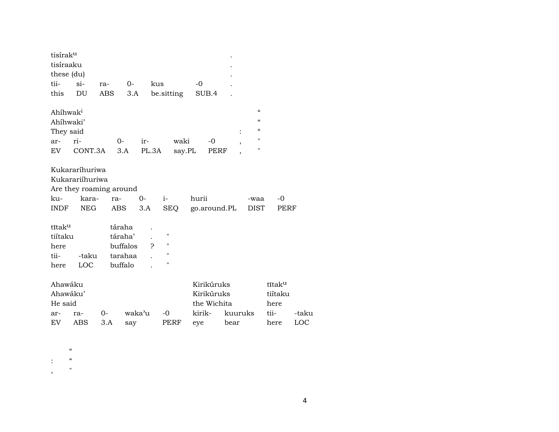| tisírak <sup>u</sup> |                         |         |          |              |                    |        |             |                          |                          |         |       |
|----------------------|-------------------------|---------|----------|--------------|--------------------|--------|-------------|--------------------------|--------------------------|---------|-------|
| tisíraaku            |                         |         |          |              |                    |        |             |                          |                          |         |       |
| these (du)           |                         |         |          |              |                    |        |             |                          |                          |         |       |
| tii-                 | $\sin$                  | ra-     | $0-$     | kus          |                    | $-0$   |             |                          |                          |         |       |
| this                 | DU                      | ABS     | 3.A      |              | be.sitting         |        | SUB.4       |                          |                          |         |       |
|                      |                         |         |          |              |                    |        |             |                          |                          |         |       |
| Ahíhwak <sup>i</sup> |                         |         |          |              |                    |        |             |                          | $\epsilon\epsilon$       |         |       |
| Ahíhwaki'            |                         |         |          |              |                    |        |             |                          | $\epsilon$               |         |       |
| They said            |                         |         |          |              |                    |        |             | $\ddot{\cdot}$           | $\pmb{\zeta}\pmb{\zeta}$ |         |       |
| ar-                  | ri-                     | $0-$    |          | ir-          | waki               |        | $-0$        | ,                        | $\pmb{\mathsf{H}}$       |         |       |
| EV                   | CONT.3A                 |         | 3.A      | PL.3A        | say.PL             |        | PERF        | $\overline{\phantom{a}}$ | "                        |         |       |
|                      |                         |         |          |              |                    |        |             |                          |                          |         |       |
|                      | Kukararíhuriwa          |         |          |              |                    |        |             |                          |                          |         |       |
|                      | Kukarariihuriwa         |         |          |              |                    |        |             |                          |                          |         |       |
|                      | Are they roaming around |         |          |              |                    |        |             |                          |                          |         |       |
| ku-                  | kara-                   | ra-     | $0-$     |              | $i-$               | hurii  |             |                          | -waa                     | -0      |       |
| INDF                 | <b>NEG</b>              | ABS     |          | 3.A          | <b>SEQ</b>         |        |             | go.around.PL             | <b>DIST</b>              | PERF    |       |
|                      |                         |         |          |              |                    |        |             |                          |                          |         |       |
| tĩtak <sup>u</sup>   |                         | táraha  |          |              |                    |        |             |                          |                          |         |       |
| tiítaku              |                         |         | táraha'  |              | $\pmb{\mathsf{H}}$ |        |             |                          |                          |         |       |
| here                 |                         |         | buffalos | $\mathbf{P}$ | $\pmb{\mathsf{H}}$ |        |             |                          |                          |         |       |
| tii-                 | -taku                   |         | tarahaa  |              | $\mathbf{H}$       |        |             |                          |                          |         |       |
| here                 | LOC                     | buffalo |          |              | 11                 |        |             |                          |                          |         |       |
|                      |                         |         |          |              |                    |        |             |                          |                          |         |       |
| Ahawáku              |                         |         |          |              |                    |        | Kirikúruks  |                          |                          | tītaku  |       |
| Ahawáku'             |                         |         |          |              |                    |        | Kirikúruks  |                          |                          | tiítaku |       |
| He said              |                         |         |          |              |                    |        | the Wichita |                          |                          | here    |       |
| ar-                  | ra-                     | $O -$   | waka'u   |              | $-0$               | kirik- |             | kuuruks                  |                          | tii-    | -taku |
| EV.                  | ABS                     | 3.A     | say      |              | PERF               | eye    |             | bear                     |                          | here    | LOC   |
|                      |                         |         |          |              |                    |        |             |                          |                          |         |       |

- $\boldsymbol{\mathcal{U}}$
- : "
- , "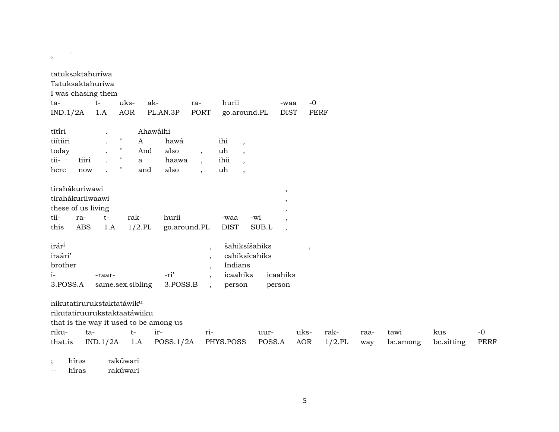| tatuksaktahuríwa<br>Tatuksaktahuríwa<br>I was chasing them<br>ta-<br>IND.1/2A |            | $t-$<br>1.A                | uks-<br>AOR        | ak-          | PL.AN.3P         | ra-<br>PORT                                                      | hurii<br>go.around.PL                                           |        | -waa<br><b>DIST</b>                                                                      | $-0$<br><b>PERF</b> |           |      |          |            |             |
|-------------------------------------------------------------------------------|------------|----------------------------|--------------------|--------------|------------------|------------------------------------------------------------------|-----------------------------------------------------------------|--------|------------------------------------------------------------------------------------------|---------------------|-----------|------|----------|------------|-------------|
| tĩtiri                                                                        |            | $\ddot{\phantom{0}}$       |                    | Ahawáihi     |                  |                                                                  |                                                                 |        |                                                                                          |                     |           |      |          |            |             |
| tiítiiri                                                                      |            |                            | $\pmb{\mathsf{H}}$ | A            | hawá             |                                                                  | ihi<br>$\overline{\phantom{a}}$                                 |        |                                                                                          |                     |           |      |          |            |             |
| today                                                                         |            |                            | $\pmb{\mathsf{H}}$ | And          | also             | $\overline{\phantom{a}}$                                         | uh<br>$\overline{ }$ ,                                          |        |                                                                                          |                     |           |      |          |            |             |
| tii-                                                                          | tiiri      |                            | $\pmb{\mathsf{H}}$ | $\mathbf{a}$ | haawa            | $\cdot$                                                          | ihii<br>$\overline{\phantom{a}}$                                |        |                                                                                          |                     |           |      |          |            |             |
| here                                                                          | now        |                            | $\pmb{\mathsf{H}}$ | and          | also             | $\cdot$                                                          | uh<br>$\overline{\phantom{a}}$                                  |        |                                                                                          |                     |           |      |          |            |             |
| tirahákuriwawi<br>tirahákuriiwaawi<br>these of us living<br>tii-              | ra-        | $t-$                       | rak-               |              | hurii            |                                                                  | -waa                                                            | -wi    | $\,$<br>$\overline{\phantom{a}}$<br>$\overline{\phantom{a}}$<br>$\overline{\phantom{a}}$ |                     |           |      |          |            |             |
| this                                                                          | <b>ABS</b> | 1.A                        |                    | $1/2$ .PL    | go.around.PL     |                                                                  | <b>DIST</b>                                                     | SUB.L  | $\overline{\phantom{a}}$                                                                 |                     |           |      |          |            |             |
| irár <sup>i</sup><br>iraári'<br>brother<br>$i-$<br>3.POSS.A                   |            | -raar-<br>same.sex.sibling |                    |              | -ri'<br>3.POSS.B | $\overline{\phantom{a}}$<br>$\cdot$<br>$\cdot$<br>$\overline{ }$ | šahiksíšahiks<br>cahiksícahiks<br>Indians<br>icaahiks<br>person |        | icaahiks<br>person                                                                       | $\cdot$             |           |      |          |            |             |
| nikutatirurukstaktatáwik <sup>u</sup>                                         |            |                            |                    |              |                  |                                                                  |                                                                 |        |                                                                                          |                     |           |      |          |            |             |
| rikutatiruurukstaktaatáwiiku                                                  |            |                            |                    |              |                  |                                                                  |                                                                 |        |                                                                                          |                     |           |      |          |            |             |
| that is the way it used to be among us                                        |            |                            |                    |              |                  |                                                                  |                                                                 |        |                                                                                          |                     |           |      |          |            |             |
| riku-                                                                         | ta-        |                            | $t-$               |              | ir-              | ri-                                                              |                                                                 | uur-   |                                                                                          | uks-                | rak-      | raa- | tawi     | kus        | $-0$        |
| that.is                                                                       |            | IND.1/2A                   |                    | 1.A          | POSS.1/2A        |                                                                  | PHYS.POSS                                                       | POSS.A |                                                                                          | <b>AOR</b>          | $1/2$ .PL | way  | be.among | be.sitting | <b>PERF</b> |
| hírəs                                                                         |            |                            | rakúwari           |              |                  |                                                                  |                                                                 |        |                                                                                          |                     |           |      |          |            |             |

-- híras rakúwari

,  $\frac{1}{2}$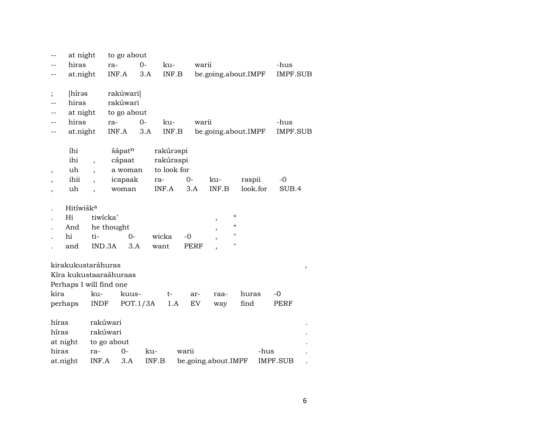|                          | at night                |                          |            | to go about |       |             |           |             |                          |               |          |      |                 |   |
|--------------------------|-------------------------|--------------------------|------------|-------------|-------|-------------|-----------|-------------|--------------------------|---------------|----------|------|-----------------|---|
|                          | hiras                   |                          | ra-        |             | $O -$ | ku-         |           | warii       |                          |               |          |      | -hus            |   |
|                          | at.night                |                          | INF.A      |             | 3.A   |             | INF.B     |             | be.going.about.IMPF      |               |          |      | IMPF.SUB        |   |
|                          |                         |                          |            |             |       |             |           |             |                          |               |          |      |                 |   |
| $\vdots$                 | [hírəs                  |                          |            | rakúwari]   |       |             |           |             |                          |               |          |      |                 |   |
|                          | hiras                   |                          |            | rakúwari    |       |             |           |             |                          |               |          |      |                 |   |
|                          | at night                |                          |            | to go about |       |             |           |             |                          |               |          |      |                 |   |
|                          | hiras                   |                          | ra-        |             | $0-$  | ku-         |           | warii       |                          |               |          |      | -hus            |   |
|                          | at.night                |                          | INF.A      |             | 3.A   |             | INF.B     |             | be.going.about.IMPF      |               |          |      | IMPF.SUB        |   |
|                          |                         |                          |            |             |       |             |           |             |                          |               |          |      |                 |   |
|                          | íhi                     |                          |            | šápatn      |       |             | rakúraspi |             |                          |               |          |      |                 |   |
|                          | ihi                     | $\overline{\phantom{a}}$ |            | cápaat      |       |             | rakúraspi |             |                          |               |          |      |                 |   |
| $\overline{\phantom{a}}$ | uh                      |                          |            | a woman     |       | to look for |           |             |                          |               |          |      |                 |   |
|                          | ihii                    |                          |            | icapaak     |       | ra-         |           | 0-          | ku-                      |               | raspii   |      | -0              |   |
|                          | uh                      |                          |            | woman       |       | INF.A       |           | 3.A         | INF.B                    |               | look.for |      | SUB.4           |   |
|                          | Hitíwišk <sup>a</sup>   |                          |            |             |       |             |           |             |                          |               |          |      |                 |   |
|                          |                         | tiwicka'                 |            |             |       |             |           |             |                          | $\mathcal{C}$ |          |      |                 |   |
|                          | Hi                      |                          |            |             |       |             |           |             |                          | $\mathcal{C}$ |          |      |                 |   |
|                          | And                     |                          | he thought |             |       |             |           |             | $\overline{\phantom{a}}$ | $\mathbf{H}$  |          |      |                 |   |
|                          | hi                      | ti-                      |            | $0-$        |       | wicka       |           | -0          |                          | $\mathbf{H}$  |          |      |                 |   |
|                          | and                     | IND.3A                   |            | 3.A         |       | want        |           | <b>PERF</b> |                          |               |          |      |                 |   |
|                          | kirakukustaráhuras      |                          |            |             |       |             |           |             |                          |               |          |      |                 |   |
|                          | Kíra kukustaaraáhuraas  |                          |            |             |       |             |           |             |                          |               |          |      |                 | , |
|                          | Perhaps I will find one |                          |            |             |       |             |           |             |                          |               |          |      |                 |   |
| kira                     |                         | ku-                      |            | kuus-       |       |             | $t-$      | ar-         | raa-                     |               | huras    |      | -0              |   |
| perhaps                  |                         | INDF                     |            | POT.1/3A    |       |             | 1.A       | EV          | way                      |               | find     |      | <b>PERF</b>     |   |
|                          |                         |                          |            |             |       |             |           |             |                          |               |          |      |                 |   |
| híras                    |                         | rakúwari                 |            |             |       |             |           |             |                          |               |          |      |                 |   |
| híras                    |                         | rakúwari                 |            |             |       |             |           |             |                          |               |          |      |                 |   |
| at night                 |                         | to go about              |            |             |       |             |           |             |                          |               |          |      |                 |   |
| hiras                    |                         | ra-                      |            | $0-$        | ku-   |             |           | warii       |                          |               |          | -hus |                 |   |
| at.night                 |                         | INF.A                    |            | 3.A         |       | INF.B       |           |             | be.going.about.IMPF      |               |          |      | <b>IMPF.SUB</b> |   |
|                          |                         |                          |            |             |       |             |           |             |                          |               |          |      |                 |   |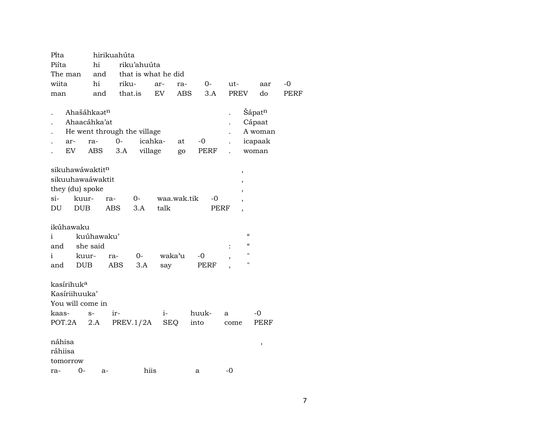| Pita              |                                                             |                                                 | hirikuahúta                                |                     |            |             |            |                   |                               |                                       |                                                 |      |
|-------------------|-------------------------------------------------------------|-------------------------------------------------|--------------------------------------------|---------------------|------------|-------------|------------|-------------------|-------------------------------|---------------------------------------|-------------------------------------------------|------|
| Piíta             |                                                             | hi                                              |                                            | riku'ahuúta         |            |             |            |                   |                               |                                       |                                                 |      |
| The man           |                                                             | and                                             |                                            | that is what he did |            |             |            |                   |                               |                                       |                                                 |      |
| wiita             |                                                             | hi                                              | riku-                                      |                     | ar-        | ra-         | $0-$       |                   | ut-                           |                                       | aar                                             | $-0$ |
| man               |                                                             | and                                             | that.is                                    |                     | ${\rm EV}$ | ABS         |            | 3.A               | <b>PREV</b>                   |                                       | do                                              | PERF |
|                   | ar-<br>EV                                                   | Ahašáhkaatn<br>Ahaacáhka'at<br>ra-<br>ABS       | He went through the village<br>$0-$<br>3.A | icahka-<br>village  |            | at<br>go    | -0<br>PERF |                   | $\ddot{\phantom{0}}$          |                                       | Šápatn<br>Cápaat<br>A woman<br>icapaak<br>woman |      |
| $\sin$<br>DU      | they (du) spoke<br>kuur-<br><b>DUB</b>                      | sikuhawáwaktit <sup>n</sup><br>sikuuhawaáwaktit | ra-<br><b>ABS</b>                          | 0-<br>3.A           | talk       | waa.wak.tik |            | -0<br><b>PERF</b> | ,<br>$\overline{\phantom{a}}$ | ,<br>$\overline{ }$<br>$\overline{ }$ |                                                 |      |
|                   | ikúhawaku                                                   |                                                 |                                            |                     |            |             |            |                   |                               |                                       |                                                 |      |
| i                 |                                                             | kuúhawaku'                                      |                                            |                     |            |             |            |                   |                               | $\mathcal{C}\mathcal{C}$              |                                                 |      |
| and               |                                                             | she said                                        |                                            |                     |            |             |            |                   | $\ddot{\cdot}$                | $\epsilon$                            |                                                 |      |
| i                 | kuur-                                                       |                                                 | ra-                                        | 0-                  | waka'u     |             | $-0$       |                   | ,                             | $\mathbf{H}$                          |                                                 |      |
| and               | <b>DUB</b>                                                  |                                                 | ABS                                        | 3.A                 | say        |             | PERF       |                   |                               | $\mathbf{H}$                          |                                                 |      |
|                   | kasírihuk <sup>a</sup><br>Kasíriihuuka'<br>You will come in |                                                 |                                            |                     |            |             |            |                   |                               |                                       |                                                 |      |
| kaas-             |                                                             | $S-$                                            | ir-                                        |                     | $i-$       |             | huuk-      | a                 |                               |                                       | $-0$                                            |      |
| POT.2A            |                                                             | 2.A                                             |                                            | PREV.1/2A           | <b>SEQ</b> |             | into       |                   | come                          |                                       | PERF                                            |      |
| náhisa<br>ráhiisa | tomorrow                                                    |                                                 |                                            |                     |            |             |            |                   |                               |                                       | $\,$                                            |      |
| ra-               | 0-                                                          | $a-$                                            |                                            | hiis                |            |             | a          |                   | $-0$                          |                                       |                                                 |      |
|                   |                                                             |                                                 |                                            |                     |            |             |            |                   |                               |                                       |                                                 |      |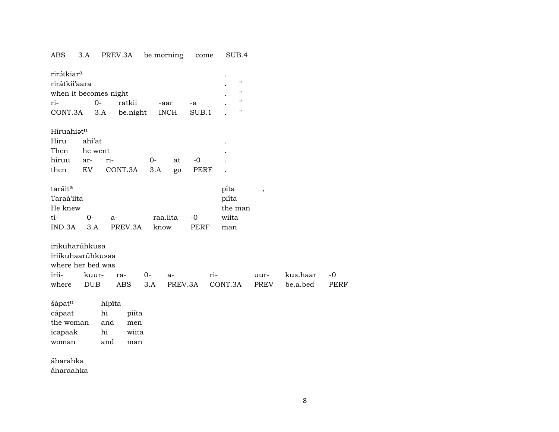#### ABS 3.A PREV.3A be.morning come SUB.4

| rirátkiar <sup>a</sup><br>rirátkii'aara<br>when it becomes night<br>ri-<br>CONT.3A | $O -$                          | 3.A                              | ratkii<br>be.night           |             | -aar<br><b>INCH</b> | -a<br>SUB.1  |     | $\pmb{\mathsf{H}}$<br>п<br>п<br>п        |                          |                      |
|------------------------------------------------------------------------------------|--------------------------------|----------------------------------|------------------------------|-------------|---------------------|--------------|-----|------------------------------------------|--------------------------|----------------------|
| Híruahiatn<br>Hiru<br>Then<br>hiruu<br>then                                        | ahí'at<br>he went<br>ar-<br>EV | ri-                              | CONT.3A                      | $0-$<br>3.A | at<br>go            | $-0$<br>PERF |     |                                          |                          |                      |
| taráit <sup>a</sup><br>Taraá'iita<br>He knew<br>ti-<br>IND.3A                      | $0-$<br>3.A                    | $a-$                             | PREV.3A                      | know        | raa.iita            | $-0$<br>PERF |     | pita<br>piíta<br>the man<br>wiita<br>man | $\overline{\phantom{a}}$ |                      |
| irikuharúhkusa<br>iriikuhaarúhkusaa<br>where her bed was<br>irii-<br>where         | kuur-<br><b>DUB</b>            |                                  | ra-<br><b>ABS</b>            | $0-$<br>3.A | a-<br>PREV.3A       |              | ri- | CONT.3A                                  | uur-<br><b>PREV</b>      | kus.haar<br>be.a.bed |
| šápatn<br>cápaat<br>the woman<br>icapaak<br>woman<br>áharahka                      |                                | hípīta<br>hi<br>and<br>hi<br>and | piíta<br>men<br>wiita<br>man |             |                     |              |     |                                          |                          |                      |

áharaahka

 $-0$ 

PERF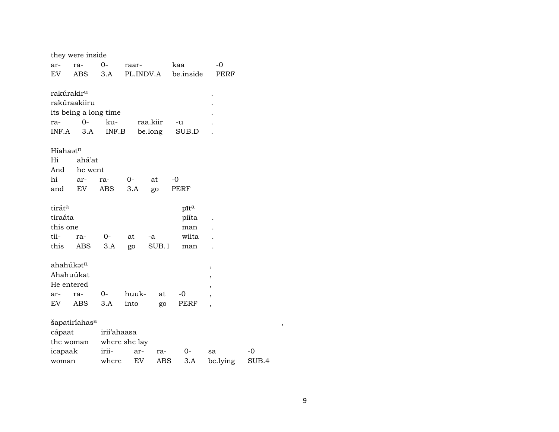|                        | they were inside          |             |               |           |           |                          |    |   |
|------------------------|---------------------------|-------------|---------------|-----------|-----------|--------------------------|----|---|
| ar-                    | ra-                       | $O -$       | raar-         |           | kaa       | $-0$                     |    |   |
| EV.                    | ABS                       | 3.A         |               | PL.INDV.A | be.inside | PERF                     |    |   |
|                        |                           |             |               |           |           |                          |    |   |
| rakúrakir <sup>u</sup> |                           |             |               |           |           |                          |    |   |
|                        | rakúraakiiru              |             |               |           |           |                          |    |   |
|                        | its being a long time     |             |               |           |           |                          |    |   |
| ra-                    | $O -$                     | ku-         |               | raa.kiir  | -u        |                          |    |   |
| INF.A                  | 3.A                       | INF.B       |               | be.long   | SUB.D     |                          |    |   |
| Híahaat <sup>n</sup>   |                           |             |               |           |           |                          |    |   |
| Hi                     | ahá'at                    |             |               |           |           |                          |    |   |
| And                    | he went                   |             |               |           |           |                          |    |   |
| hi                     |                           |             | $0-$          | at        | $-0$      |                          |    |   |
| and                    | ar-<br>EV                 | ra-<br>ABS  | 3.A           |           | PERF      |                          |    |   |
|                        |                           |             |               | go        |           |                          |    |   |
| tiráta                 |                           |             |               |           | pīta      |                          |    |   |
| tiraáta                |                           |             |               |           | piíta     |                          |    |   |
| this one               |                           |             |               |           | man       |                          |    |   |
| tii-                   | ra-                       | $0-$        | at            | -a        | wiita     |                          |    |   |
| this                   | ABS                       | 3.A         | go            | SUB.1     | man       |                          |    |   |
|                        |                           |             |               |           |           |                          |    |   |
| ahahúkatn              |                           |             |               |           |           | $\, ,$                   |    |   |
|                        | Ahahuúkat                 |             |               |           |           | ,                        |    |   |
| He entered             |                           |             |               |           |           | ,                        |    |   |
| ar-                    | ra-                       | 0-          | huuk-         | at        | $-0$      | ,                        |    |   |
| EV                     | ABS                       | 3.A         | into          | go        | PERF      | $\overline{\phantom{a}}$ |    |   |
|                        |                           |             |               |           |           |                          |    |   |
|                        | šapatiríahas <sup>a</sup> |             |               |           |           |                          |    | , |
| cápaat                 |                           | irií'ahaasa |               |           |           |                          |    |   |
|                        | the woman                 |             | where she lay |           |           |                          |    |   |
| icapaak                |                           | irii-       | ar-           | ra-       | 0-        | sa                       | -0 |   |

woman where EV ABS 3.A be.lying SUB.4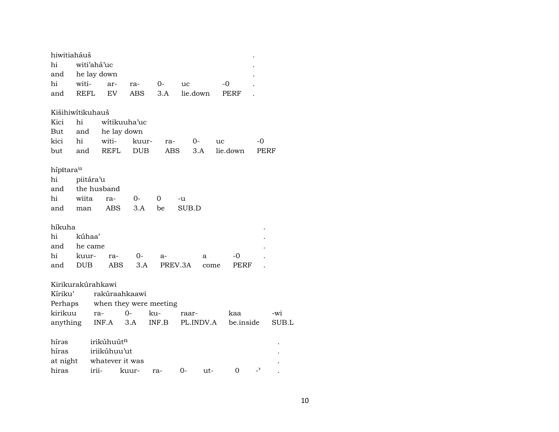| hiwitiaháuš      |             |                   |                        |       |            |           |          |                          |       |
|------------------|-------------|-------------------|------------------------|-------|------------|-----------|----------|--------------------------|-------|
| hi               |             | witi'ahá'uc       |                        |       |            |           |          |                          |       |
| and              |             | he lay down       |                        |       |            |           |          |                          |       |
| hi               | witi-       | ar-               | ra-                    | 0-    | uc         |           | -0       |                          |       |
| and              | <b>REFL</b> | EV                | ABS                    | 3.A   |            | lie.down  | PERF     |                          |       |
| Kišihiwitikuhauš |             |                   |                        |       |            |           |          |                          |       |
| Kici             | hi          |                   | witikuuha'uc           |       |            |           |          |                          |       |
| But              | and         |                   | he lay down            |       |            |           |          |                          |       |
| kici             | hi          | witi-             | kuur-                  |       | ra-        | 0-        | uc       | -0                       |       |
| but              | and         | <b>REFL</b>       | <b>DUB</b>             |       | <b>ABS</b> | 3.A       | lie.down | PERF                     |       |
| hípitarau        |             |                   |                        |       |            |           |          |                          |       |
| hi               | piitára'u   |                   |                        |       |            |           |          |                          |       |
| and              |             | the husband       |                        |       |            |           |          |                          |       |
| hi               | wiita       | ra-               | 0-                     | 0     | -u         |           |          |                          |       |
| and              | man         | <b>ABS</b>        | 3.A                    | be    | SUB.D      |           |          |                          |       |
| híkuha           |             |                   |                        |       |            |           |          |                          |       |
| hi               | kúhaa'      |                   |                        |       |            |           |          |                          |       |
| and              | he came     |                   |                        |       |            |           |          |                          |       |
| hi               | kuur-       | ra-               | $O -$                  | a-    |            | a         | -0       |                          |       |
| and              | <b>DUB</b>  | ABS               | 3.A                    |       | PREV.3A    | come      | PERF     |                          |       |
|                  |             | Kirikurakúrahkawi |                        |       |            |           |          |                          |       |
| Kíriku'          |             |                   | rakúraahkaawi          |       |            |           |          |                          |       |
| Perhaps          |             |                   | when they were meeting |       |            |           |          |                          |       |
| kirikuu          |             | ra-               | $0-$                   | ku-   | raar-      |           | kaa      |                          | -wi   |
| anything         |             | INF.A             | 3.A                    | INF.B |            | PL.INDV.A |          | be.inside                | SUB.L |
| hírəs            |             | irikúhuútn        |                        |       |            |           |          |                          |       |
| híras            |             | iriikúhuu'ut      |                        |       |            |           |          |                          |       |
| at night         |             |                   | whatever it was        |       |            |           |          |                          |       |
| hiras            |             | irii-             | kuur-                  | ra-   | $0-$       | ut-       | 0        | $\overline{\phantom{0}}$ |       |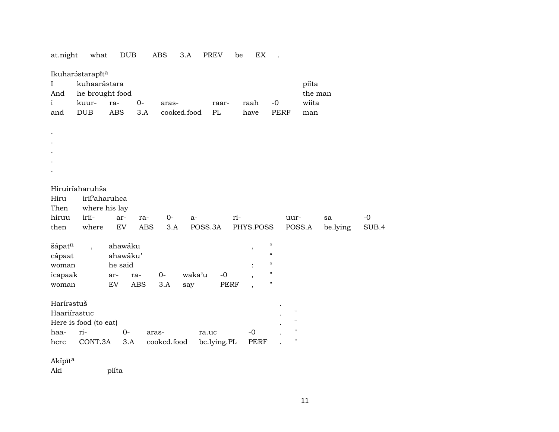| I<br>And<br>$\mathbf{i}$<br>and               | Ikuharástarapíta<br>kuhaarástara<br>he brought food<br>kuur-<br>DUB              | ra-<br><b>ABS</b>                           | $0-$<br>3.A       | aras-<br>cooked.food |               | raar-<br>PL  |     | raah<br>have  | $-0$<br><b>PERF</b>                               |                                                 | piíta<br>the man<br>wiita<br>man |                |               |
|-----------------------------------------------|----------------------------------------------------------------------------------|---------------------------------------------|-------------------|----------------------|---------------|--------------|-----|---------------|---------------------------------------------------|-------------------------------------------------|----------------------------------|----------------|---------------|
|                                               |                                                                                  |                                             |                   |                      |               |              |     |               |                                                   |                                                 |                                  |                |               |
|                                               |                                                                                  |                                             |                   |                      |               |              |     |               |                                                   |                                                 |                                  |                |               |
|                                               |                                                                                  |                                             |                   |                      |               |              |     |               |                                                   |                                                 |                                  |                |               |
|                                               |                                                                                  |                                             |                   |                      |               |              |     |               |                                                   |                                                 |                                  |                |               |
| Hiru<br>Then<br>hiruu<br>then                 | Hiruiríaharuhša<br>irii <sup>2</sup> aharuhca<br>where his lay<br>irii-<br>where | ar-<br>EV                                   | ra-<br><b>ABS</b> | $O -$<br>3.A         | a-<br>POSS.3A |              | ri- | PHYS.POSS     |                                                   | uur-<br>POSS.A                                  |                                  | sa<br>be.lying | $-0$<br>SUB.4 |
| šápatn<br>cápaat<br>woman<br>icapaak<br>woman | $\overline{\phantom{a}}$                                                         | ahawáku<br>ahawáku'<br>he said<br>ar-<br>EV | ra-<br><b>ABS</b> | $0-$<br>3.A          | waka'u<br>say | $-0$<br>PERF |     | $^\mathrm{,}$ | $\epsilon$<br>$\epsilon$<br>$\epsilon$<br>11<br>П |                                                 |                                  |                |               |
| Harírastuš<br>Haariírastuc                    | Here is food (to eat)                                                            |                                             |                   |                      |               |              |     |               |                                                   | $\boldsymbol{\mathsf{H}}$<br>$\pmb{\mathsf{H}}$ |                                  |                |               |
| haa-                                          | ri-                                                                              | $0-$                                        | aras-             |                      | ra.uc         |              |     | $-0$          |                                                   | $\pmb{\mathsf{H}}$<br>$\pmb{\mathsf{H}}$        |                                  |                |               |
| here                                          | CONT.3A                                                                          | 3.A                                         |                   | cooked.food          |               | be.lying.PL  |     | <b>PERF</b>   |                                                   |                                                 |                                  |                |               |
| Akípīta                                       |                                                                                  |                                             |                   |                      |               |              |     |               |                                                   |                                                 |                                  |                |               |
| Aki                                           |                                                                                  | piíta                                       |                   |                      |               |              |     |               |                                                   |                                                 |                                  |                |               |

at.night what DUB ABS 3.A PREV be EX .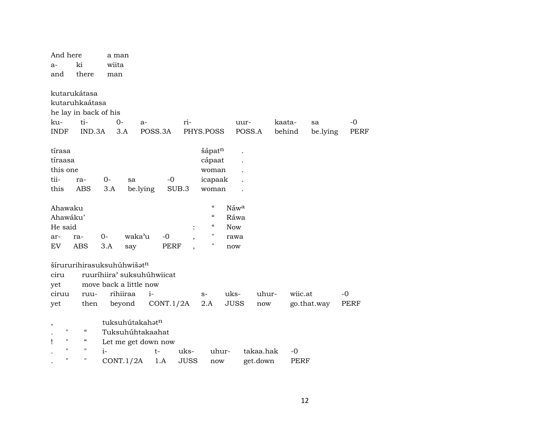| And here                |                                        | a man |                            |             |       |                                        |                  |                      |        |             |             |
|-------------------------|----------------------------------------|-------|----------------------------|-------------|-------|----------------------------------------|------------------|----------------------|--------|-------------|-------------|
| $a-$                    | ki                                     | wiita |                            |             |       |                                        |                  |                      |        |             |             |
| and                     | there                                  | man   |                            |             |       |                                        |                  |                      |        |             |             |
|                         |                                        |       |                            |             |       |                                        |                  |                      |        |             |             |
|                         | kutarukátasa                           |       |                            |             |       |                                        |                  |                      |        |             |             |
|                         | kutaruhkaátasa                         |       |                            |             |       |                                        |                  |                      |        |             |             |
|                         | he lay in back of his                  |       |                            |             |       |                                        |                  |                      |        |             |             |
| ku-                     | ti-                                    | $0-$  | $a-$                       |             | ri-   |                                        |                  | uur-                 | kaata- | sa          | $-0$        |
| <b>INDF</b>             | IND.3A                                 |       | 3.A                        | POSS.3A     |       | PHYS.POSS                              |                  | POSS.A               | behind | be.lying    | <b>PERF</b> |
|                         |                                        |       |                            |             |       |                                        |                  |                      |        |             |             |
| tírasa                  |                                        |       |                            |             |       | šápat <sup>n</sup>                     |                  |                      |        |             |             |
| tíraasa                 |                                        |       |                            |             |       | cápaat                                 |                  |                      |        |             |             |
| this one                |                                        |       |                            |             |       | woman                                  |                  |                      |        |             |             |
| tii-                    | ra-                                    | $0-$  | sa                         | $-0$        |       | icapaak                                |                  |                      |        |             |             |
| this                    | <b>ABS</b>                             | 3.A   | be.lying                   |             | SUB.3 | woman                                  |                  |                      |        |             |             |
|                         |                                        |       |                            |             |       |                                        |                  |                      |        |             |             |
| Ahawaku                 |                                        |       |                            |             |       | $\boldsymbol{\zeta}\boldsymbol{\zeta}$ | Náw <sup>a</sup> |                      |        |             |             |
| Ahawáku'                |                                        |       |                            |             |       | $\zeta\zeta$                           | Ráwa             |                      |        |             |             |
| He said                 |                                        |       |                            |             |       | $\zeta\zeta$                           | <b>Now</b>       |                      |        |             |             |
| ar-                     | ra-                                    | $0-$  | waka'u                     | $-0$        |       | $\pmb{\mathsf{H}}$                     | rawa             |                      |        |             |             |
| EV                      | <b>ABS</b>                             | 3.A   | say                        | <b>PERF</b> |       | Н                                      | now              |                      |        |             |             |
|                         |                                        |       |                            |             |       |                                        |                  |                      |        |             |             |
|                         |                                        |       | šírururihirasuksuhúhwišatn |             |       |                                        |                  |                      |        |             |             |
| ciru                    |                                        |       | ruuríhiira' suksuhúhwiicat |             |       |                                        |                  |                      |        |             |             |
| yet                     |                                        |       | move back a little now     |             |       |                                        |                  |                      |        |             |             |
| ciruu                   | ruu-                                   |       | rihiiraa                   | $i-$        |       | $S-$                                   | uks-             | uhur-                |        | wiic.at     | $-0$        |
| yet                     | then                                   |       | beyond                     | CONT.1/2A   |       | 2.A                                    | <b>JUSS</b>      | $\operatorname{now}$ |        | go.that.way | PERF        |
|                         |                                        |       |                            |             |       |                                        |                  |                      |        |             |             |
| $\, ,$                  |                                        |       | tuksuhútakahatn            |             |       |                                        |                  |                      |        |             |             |
| $\pmb{\mathsf{H}}$      | $\boldsymbol{\zeta}\boldsymbol{\zeta}$ |       | Tuksuhúhtakaahat           |             |       |                                        |                  |                      |        |             |             |
| $\pmb{\mathsf{H}}$<br>Ţ | "                                      |       | Let me get down now        |             |       |                                        |                  |                      |        |             |             |
| $\pmb{\mathsf{H}}$      | $\pmb{\mathsf{H}}$                     | $i-$  |                            | $t-$        | uks-  | uhur-                                  |                  | takaa.hak            | $-0$   |             |             |
| $\mathbf{H}$            | $\pmb{\mathsf{H}}$                     |       | CONT.1/2A                  | 1.A         | JUSS  | now                                    |                  | get.down             |        | <b>PERF</b> |             |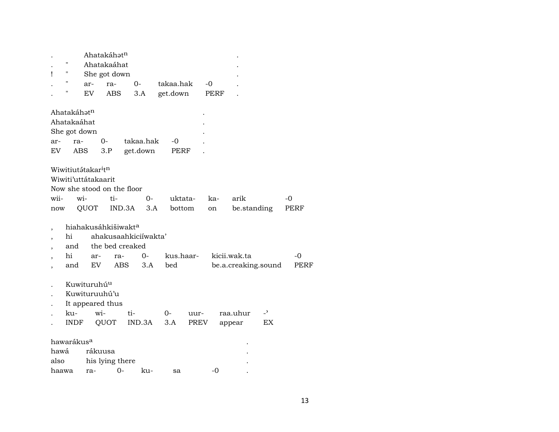|     |                   |                         | Ahatakáhat <sup>n</sup> |           |  |           |      |   |  |  |
|-----|-------------------|-------------------------|-------------------------|-----------|--|-----------|------|---|--|--|
|     | $^{\prime\prime}$ |                         | Ahatakaáhat             |           |  |           |      |   |  |  |
|     | $^{\prime\prime}$ |                         | She got down            |           |  |           |      | ٠ |  |  |
|     | $^{\prime}$       | ar-                     | ra-                     | $O-$      |  | takaa.hak | -0   | ٠ |  |  |
|     | $^{\prime\prime}$ | EV                      | ABS                     | 3.A       |  | get.down  | PERF |   |  |  |
|     |                   |                         |                         |           |  |           |      |   |  |  |
|     |                   | Ahatakáhat <sup>n</sup> |                         |           |  |           | ٠    |   |  |  |
|     |                   | Ahatakaáhat             |                         |           |  |           |      |   |  |  |
|     |                   | She got down            |                         |           |  |           |      |   |  |  |
| ar- |                   | ra-                     | $O -$                   | takaa.hak |  | -0        |      |   |  |  |
| EV  |                   | ABS                     | 3.P                     | get.down  |  | PERF      |      |   |  |  |
|     |                   |                         |                         |           |  |           |      |   |  |  |

Wiwitiutátakar<sup>i</sup>t<sup>n</sup> Wiwiti'uttátakaarit Now she stood on the floor wii- wi- ti- 0- uktata- ka- arik -0 now QUOT IND.3A 3.A bottom on be.standing PERF

- , hiahakusáhkišiwakt<sup>a</sup>
- , hi ahakusaahkiciíwakta'
- , and the bed creaked

|  | ar- | ra-                |  | kus.haar- kicii.wak.ta   |  |
|--|-----|--------------------|--|--------------------------|--|
|  |     | and EV ABS 3.A bed |  | be.a.creaking.sound PERF |  |

- . Kuwituruhú<sup>u</sup>
- . Kuwituruuhú'u
- . It appeared thus

| ku- | $W1-$ |                                  | $\Omega$ | uur- raa.uhur -' |    |
|-----|-------|----------------------------------|----------|------------------|----|
|     |       | INDF QUOT IND.3A 3.A PREV appear |          |                  | ЕX |

| hawarákus <sup>a</sup> |                 |      |        |    |       |  |  |  |  |  |
|------------------------|-----------------|------|--------|----|-------|--|--|--|--|--|
| hawá rákuusa           |                 |      |        |    |       |  |  |  |  |  |
| also                   | his lying there |      |        |    |       |  |  |  |  |  |
| haawa                  | ra-             | $O-$ | $k11-$ | sa | $-()$ |  |  |  |  |  |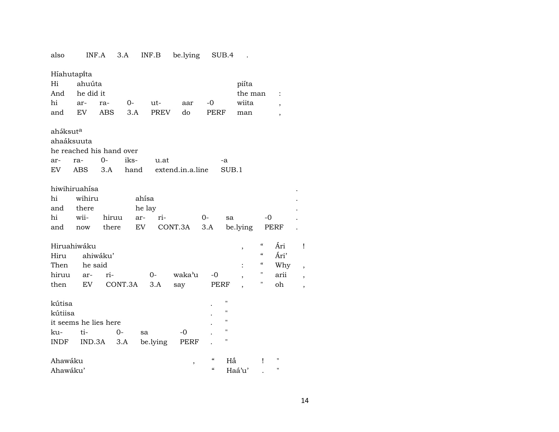| also                     | INF.A                    |          | 3.A     | INF.B       | be.lying         |          | SUB.4              |                  |                                        |                          |   |
|--------------------------|--------------------------|----------|---------|-------------|------------------|----------|--------------------|------------------|----------------------------------------|--------------------------|---|
| Híahutapíta<br>Hi<br>And | ahuúta<br>he did it      |          |         |             |                  |          |                    | piíta<br>the man |                                        | :                        |   |
| hi                       | ar-                      | ra-      | 0-      | ut-         | aar              | $-0$     |                    | wiita            |                                        |                          |   |
| and                      | EV                       | ABS      | 3.A     | <b>PREV</b> | do               | PERF     |                    | man              |                                        | $\overline{\phantom{a}}$ |   |
|                          |                          |          |         |             |                  |          |                    |                  |                                        | $\overline{\phantom{a}}$ |   |
| aháksut <sup>a</sup>     |                          |          |         |             |                  |          |                    |                  |                                        |                          |   |
|                          | ahaáksuuta               |          |         |             |                  |          |                    |                  |                                        |                          |   |
|                          | he reached his hand over |          |         |             |                  |          |                    |                  |                                        |                          |   |
| ar-                      | ra-                      | $0-$     | iks-    | u.at        |                  |          | -a                 |                  |                                        |                          |   |
| EV                       | ABS                      | 3.A      | hand    |             | extend.in.a.line |          | SUB.1              |                  |                                        |                          |   |
|                          |                          |          |         |             |                  |          |                    |                  |                                        |                          |   |
|                          | hiwihiruahísa            |          |         |             |                  |          |                    |                  |                                        |                          |   |
| hi                       | wihiru                   |          |         | ahísa       |                  |          |                    |                  |                                        |                          |   |
| and                      | there                    |          |         | he lay      |                  |          |                    |                  |                                        |                          |   |
| hi                       | wii-                     | hiruu    |         | ri-<br>ar-  |                  | $0-$     | sa                 |                  | $-0$                                   |                          |   |
| and                      | now                      | there    |         | EV          | CONT.3A          | 3.A      |                    | be.lying         |                                        | PERF                     |   |
|                          |                          |          |         |             |                  |          |                    |                  |                                        |                          |   |
|                          | Hiruahiwáku              |          |         |             |                  |          |                    | ,                | $\epsilon\epsilon$                     | Ári                      | I |
| Hiru                     |                          | ahiwáku' |         |             |                  |          |                    |                  | $\boldsymbol{\zeta}\boldsymbol{\zeta}$ | Ári'                     |   |
| Then                     | he said                  |          |         |             |                  |          |                    |                  | $\epsilon$                             | Why                      |   |
| hiruu                    | ar-                      | ri-      |         | $0-$        | waka'u           | $-0$     |                    |                  | Н                                      | arii                     |   |
| then                     | EV                       |          | CONT.3A | 3.A         | say              | PERF     |                    |                  | П                                      | oh                       |   |
|                          |                          |          |         |             |                  |          |                    |                  |                                        |                          |   |
| kútisa                   |                          |          |         |             |                  |          | $^{\prime}$        |                  |                                        |                          |   |
| kútiisa                  |                          |          |         |             |                  |          | $\pmb{\mathsf{H}}$ |                  |                                        |                          |   |
|                          | it seems he lies here    |          |         |             |                  |          | $\pmb{\mathsf{H}}$ |                  |                                        |                          |   |
| ku-                      | ti-                      |          | $0-$    | sa          | -0               |          | 11                 |                  |                                        |                          |   |
| INDF                     | IND.3A                   |          | 3.A     | be.lying    | PERF             |          | П                  |                  |                                        |                          |   |
|                          |                          |          |         |             |                  |          |                    |                  |                                        |                          |   |
| Ahawáku                  |                          |          |         |             | ,                | "        | Hắ                 |                  | Ţ                                      | н                        |   |
| Ahawáku'                 |                          |          |         |             |                  | $\alpha$ |                    | Haá'u'           |                                        | 11                       |   |

## 14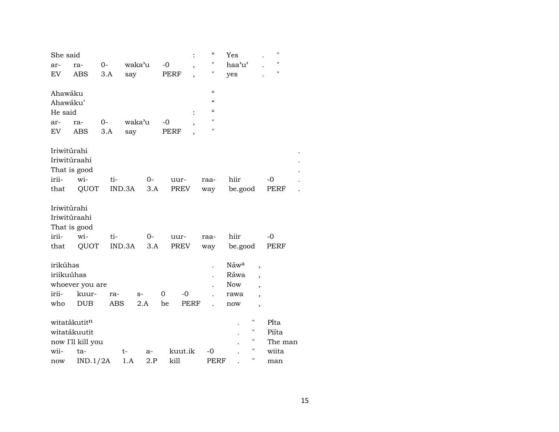| She said     |                   |       |        |      |          |             |                          | $\mathcal{C}$      | Yes              |                          | $\bar{\mathbf{H}}$ |  |
|--------------|-------------------|-------|--------|------|----------|-------------|--------------------------|--------------------|------------------|--------------------------|--------------------|--|
| ar-          | ra-               | $O -$ | waka'u |      | $-0$     |             | $\overline{\phantom{a}}$ | 11                 | haa'u'           |                          | $\pmb{\mathsf{H}}$ |  |
| EV           | <b>ABS</b>        | 3.A   | say    |      |          | PERF        |                          | 11                 | yes              |                          | $\pmb{\mathsf{H}}$ |  |
|              |                   |       |        |      |          |             |                          |                    |                  |                          |                    |  |
| Ahawáku      |                   |       |        |      |          |             |                          | $\alpha$           |                  |                          |                    |  |
| Ahawáku'     |                   |       |        |      |          |             |                          | $\epsilon\epsilon$ |                  |                          |                    |  |
| He said      |                   |       |        |      |          |             |                          | $\alpha$           |                  |                          |                    |  |
| ar-          | ra-               | $0-$  | waka'u |      | $-0$     |             |                          | $\pmb{\mathsf{H}}$ |                  |                          |                    |  |
| EV           | ABS               | 3.A   | say    |      |          | PERF        |                          | $\pmb{\mathsf{H}}$ |                  |                          |                    |  |
| Iriwitúrahi  |                   |       |        |      |          |             |                          |                    |                  |                          |                    |  |
| Iriwitúraahi |                   |       |        |      |          |             |                          |                    |                  |                          |                    |  |
|              | That is good      |       |        |      |          |             |                          |                    |                  |                          |                    |  |
| irii-        | wi-               | ti-   |        | $0-$ |          | uur-        |                          | raa-               | hiir             |                          | $-0$               |  |
| that         | QUOT              |       | IND.3A | 3.A  |          | PREV        |                          | way                | be.good          |                          | PERF               |  |
|              |                   |       |        |      |          |             |                          |                    |                  |                          |                    |  |
| Iriwitúrahi  |                   |       |        |      |          |             |                          |                    |                  |                          |                    |  |
| Iriwitúraahi |                   |       |        |      |          |             |                          |                    |                  |                          |                    |  |
|              | That is good      |       |        |      |          |             |                          |                    |                  |                          |                    |  |
| irii-        | wi-               | ti-   |        | 0-   |          | uur-        |                          | raa-               | hiir             |                          | $-0$               |  |
| that         | QUOT              |       | IND.3A | 3.A  |          | <b>PREV</b> |                          | way                | be.good          |                          | PERF               |  |
|              |                   |       |        |      |          |             |                          |                    |                  |                          |                    |  |
| irikúhas     |                   |       |        |      |          |             |                          |                    | Náw <sup>a</sup> | ,                        |                    |  |
| iriikuúhas   |                   |       |        |      |          |             |                          |                    | Ráwa             |                          |                    |  |
|              | whoever you are   |       |        |      |          |             |                          |                    | <b>Now</b>       | $\overline{\phantom{a}}$ |                    |  |
| irii-        | kuur-             | ra-   | $S-$   |      | $\Omega$ | $-0$        |                          |                    | rawa             |                          |                    |  |
| who          | <b>DUB</b>        | ABS   |        | 2.A  | be       | <b>PERF</b> |                          |                    | now              | $\overline{\phantom{a}}$ |                    |  |
| witatákutitn |                   |       |        |      |          |             |                          |                    |                  | н                        | Pita               |  |
|              | witatákuutit      |       |        |      |          |             |                          |                    |                  | $\pmb{\mathsf{H}}$       | Piíta              |  |
|              | now I'll kill you |       |        |      |          |             |                          |                    |                  | н                        | The man            |  |
| wii-         | ta-               |       | t-     | a-   |          | kuut.ik     |                          | -0                 |                  | н                        | wiita              |  |
| now          | IND.1/2A          |       | 1.A    | 2.P  |          | kill        |                          | PERF               |                  | Ħ                        | man                |  |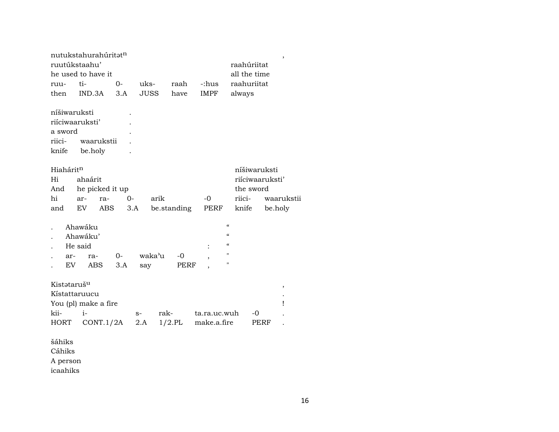|                         | nutukstahurahúritət <sup>n</sup><br>ruutúkstaahu' |      |             |             |                            | raahúriitat              | ,          |
|-------------------------|---------------------------------------------------|------|-------------|-------------|----------------------------|--------------------------|------------|
|                         | he used to have it                                |      |             |             |                            | all the time             |            |
| ruu-                    | ti-                                               | 0-   | uks-        | raah        | -:hus                      | raahuriitat              |            |
| then                    | IND.3A                                            | 3.A  | <b>JUSS</b> | have        | <b>IMPF</b>                | always                   |            |
| níšiwaruksti            |                                                   |      |             |             |                            |                          |            |
|                         | riíciwaaruksti'                                   |      |             |             |                            |                          |            |
| a sword                 |                                                   |      |             |             |                            |                          |            |
| riici-                  | waarukstii                                        |      |             |             |                            |                          |            |
| knife                   | be.holy                                           |      |             |             |                            |                          |            |
| Hiahárit <sup>n</sup>   |                                                   |      |             |             |                            | níšiwaruksti             |            |
| Hi                      | ahaárit                                           |      |             |             |                            | riiciwaaruksti'          |            |
| And                     | he picked it up                                   |      |             |             |                            | the sword                |            |
| hi                      | ra-<br>ar-                                        | $0-$ | arik        |             | -0                         | riici-                   | waarukstii |
| and                     | EV<br>ABS                                         | 3.A  |             | be.standing | PERF                       | knife                    | be.holy    |
|                         | Ahawáku                                           |      |             |             | $\mathcal{C}$              |                          |            |
|                         | Ahawáku'                                          |      |             |             |                            | $\pmb{\zeta}\pmb{\zeta}$ |            |
|                         | He said                                           |      |             |             | $\alpha$<br>$\ddot{\cdot}$ |                          |            |
| ar-                     | ra-                                               | 0-   | waka'u      | -0          | ,                          | Ħ                        |            |
| EV                      | ABS                                               | 3.A  | say         | PERF        |                            | 11                       |            |
| Kistataruš <sup>u</sup> |                                                   |      |             |             |                            |                          | $\,$       |
| Kístattaruucu           |                                                   |      |             |             |                            |                          |            |
|                         | You (pl) make a fire                              |      |             |             |                            |                          | Ţ          |
| kii-                    | $i-$                                              |      | $S-$        | rak-        | ta.ra.uc.wuh               | -0                       |            |
| HORT                    | CONT.1/2A                                         |      | $2.A$       | $1/2$ .PL   | make.a.fire                | PERF                     |            |
|                         |                                                   |      |             |             |                            |                          |            |
| šáhiks                  |                                                   |      |             |             |                            |                          |            |
| Cáhiks                  |                                                   |      |             |             |                            |                          |            |
| A person                |                                                   |      |             |             |                            |                          |            |
| icaahiks                |                                                   |      |             |             |                            |                          |            |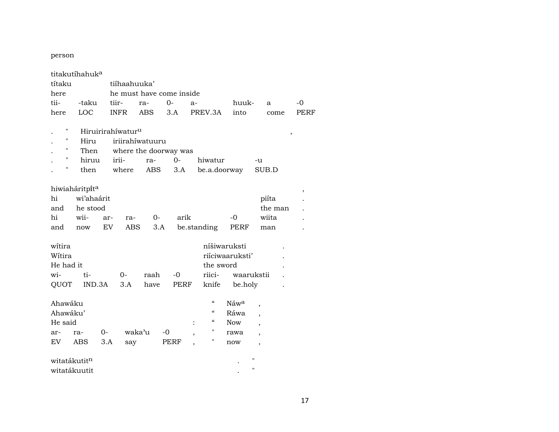#### person

| títaku<br>here | titakutíhahuk <sup>a</sup> |       | tiíhaahuuka'<br>he must have come inside |      |                       |      |                                        |                 |                          |      |  |  |
|----------------|----------------------------|-------|------------------------------------------|------|-----------------------|------|----------------------------------------|-----------------|--------------------------|------|--|--|
| tii-           | -taku                      | tiir- |                                          | ra-  | $O -$                 | $a-$ |                                        | huuk-           | a                        | $-0$ |  |  |
| here           | LOC                        |       | <b>INFR</b>                              | ABS  | 3.A                   |      | PREV.3A                                | into            | come                     | PERF |  |  |
|                |                            |       |                                          |      |                       |      |                                        |                 |                          |      |  |  |
| Ħ              |                            |       | Hiruirirahíwatur <sup>u</sup>            |      |                       |      |                                        |                 |                          | ,    |  |  |
| п              | Hiru                       |       | iriirahíwatuuru                          |      |                       |      |                                        |                 |                          |      |  |  |
| п              | Then                       |       |                                          |      | where the doorway was |      |                                        |                 |                          |      |  |  |
| Н              | hiruu                      |       | irii-                                    | ra-  | $0-$                  |      | hiwatur                                |                 | -u                       |      |  |  |
| н              | then                       |       | where                                    | ABS  | 3.A                   |      | be.a.doorway                           | SUB.D           |                          |      |  |  |
|                |                            |       |                                          |      |                       |      |                                        |                 |                          |      |  |  |
|                | hiwiaháritpít <sup>a</sup> |       |                                          |      |                       |      |                                        |                 |                          | $\,$ |  |  |
| hi             | wi'ahaárit                 |       |                                          |      |                       |      |                                        |                 | piíta                    |      |  |  |
| and            | he stood                   |       |                                          |      |                       |      |                                        |                 | the man                  |      |  |  |
| hi             | wii-                       | ar-   | ra-                                      | $0-$ | arik                  |      |                                        | -0              | wiita                    |      |  |  |
| and            | now                        | EV    | ABS                                      | 3.A  |                       |      | be.standing                            | PERF            | man                      |      |  |  |
|                |                            |       |                                          |      |                       |      |                                        |                 |                          |      |  |  |
| witira         |                            |       |                                          |      |                       |      |                                        | níšiwaruksti    |                          |      |  |  |
| Wítira         |                            |       |                                          |      |                       |      |                                        | riíciwaaruksti' |                          |      |  |  |
| He had it      |                            |       |                                          |      |                       |      | the sword                              |                 |                          |      |  |  |
| wi-            | ti-                        |       | $0-$                                     | raah | $-0$                  |      | riici-                                 | waarukstii      |                          |      |  |  |
| QUOT           | IND.3A                     |       | 3.A                                      | have | <b>PERF</b>           |      | knife                                  | be.holy         |                          |      |  |  |
|                |                            |       |                                          |      |                       |      |                                        |                 |                          |      |  |  |
| Ahawáku        |                            |       |                                          |      |                       |      | "                                      | Náwa            | $\overline{\phantom{a}}$ |      |  |  |
| Ahawáku'       |                            |       |                                          |      |                       |      | $\boldsymbol{\zeta}\boldsymbol{\zeta}$ | Ráwa            | $\overline{\phantom{a}}$ |      |  |  |
| He said        |                            |       |                                          |      |                       |      | $\epsilon\epsilon$                     | <b>Now</b>      | $\overline{\phantom{a}}$ |      |  |  |
| ar-            | ra-                        | $0 -$ | waka'u                                   |      | -0                    |      | н                                      | rawa            | $\overline{\phantom{a}}$ |      |  |  |
| EV             | ABS                        | 3.A   | say                                      |      | PERF                  |      | н                                      | now             | $\overline{\phantom{a}}$ |      |  |  |
|                |                            |       |                                          |      |                       |      |                                        |                 |                          |      |  |  |
|                | witatákutit <sup>n</sup>   |       |                                          |      |                       |      |                                        |                 | п                        |      |  |  |
|                | witatákuutit               |       |                                          |      |                       |      |                                        |                 | н                        |      |  |  |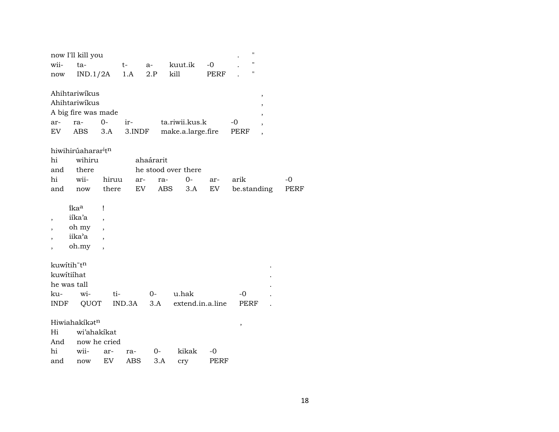|      | now I'll kill you                          |              |        |           |                     |      | $\pmb{\mathsf{H}}$ |                          |      |
|------|--------------------------------------------|--------------|--------|-----------|---------------------|------|--------------------|--------------------------|------|
| wii- | ta-                                        |              | $t-$   | a-        | kuut.ik             | $-0$ | п                  |                          |      |
| now  | IND.1/2A                                   |              | 1.A    | 2.P       | kill                | PERF | н                  |                          |      |
|      |                                            |              |        |           |                     |      |                    |                          |      |
|      | Ahihtariwíkus                              |              |        |           |                     |      |                    | $\,$                     |      |
|      | Ahihtariwikus                              |              |        |           |                     |      |                    | ,                        |      |
|      | A big fire was made                        |              |        |           |                     |      |                    |                          |      |
| ar-  | ra-                                        | $0-$         | ir-    |           | ta.riwii.kus.k      |      | -0                 | ,                        |      |
| EV   | ABS                                        | 3.A          | 3.INDF |           | make.a.large.fire   |      | PERF               | $\overline{\phantom{a}}$ |      |
|      |                                            |              |        |           |                     |      |                    |                          |      |
|      | hiwihirúaharar <sup>i</sup> t <sup>n</sup> |              |        |           |                     |      |                    |                          |      |
| hi   | wihiru                                     |              |        | ahaárarit |                     |      |                    |                          |      |
| and  | there                                      |              |        |           | he stood over there |      |                    |                          |      |
| hi   | wii-                                       | hiruu        | ar-    | ra-       | $0-$                | ar-  | arik               |                          | $-0$ |
| and  | $\operatorname{now}$                       | there        | EV     | ABS       | 3.A                 | EV   | be.standing        |                          | PERF |
|      |                                            |              |        |           |                     |      |                    |                          |      |
|      | ikaa                                       | Ţ            |        |           |                     |      |                    |                          |      |
| ,    | iíka'a                                     |              |        |           |                     |      |                    |                          |      |
|      | oh my                                      |              |        |           |                     |      |                    |                          |      |
|      | iika'a                                     |              |        |           |                     |      |                    |                          |      |
|      | oh.my                                      |              |        |           |                     |      |                    |                          |      |
|      |                                            |              |        |           |                     |      |                    |                          |      |
|      | kuwitih"tn                                 |              |        |           |                     |      |                    |                          |      |
|      | kuwitiihat                                 |              |        |           |                     |      |                    |                          |      |
|      | he was tall                                |              |        |           |                     |      |                    |                          |      |
| ku-  | wi-                                        | ti-          |        | $0-$      | u.hak               |      | $-0$               |                          |      |
| INDF | QUOT                                       |              | IND.3A | 3.A       | extend.in.a.line    |      | PERF               |                          |      |
|      |                                            |              |        |           |                     |      |                    |                          |      |
|      | Hiwiahakíkatn                              |              |        |           |                     |      | $\, ,$             |                          |      |
| Hi   | wi'ahakikat                                |              |        |           |                     |      |                    |                          |      |
| And  |                                            | now he cried |        |           |                     |      |                    |                          |      |
| hi   | wii-                                       | ar-          | ra-    | $0-$      | kikak               | -0   |                    |                          |      |
| and  | now                                        | EV           | ABS    | 3.A       | cry                 | PERF |                    |                          |      |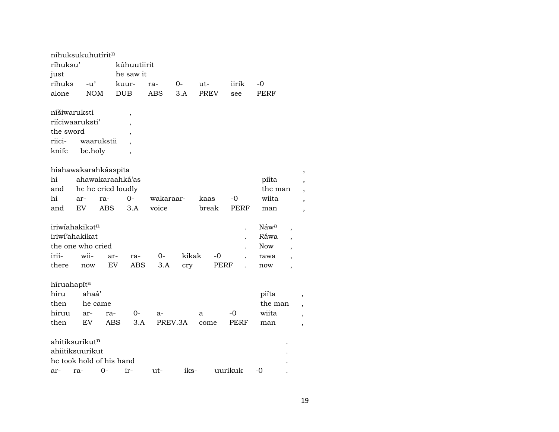| níhuksukuhutíritn |               |                          |                          |            |       |             |         |            |                          |   |
|-------------------|---------------|--------------------------|--------------------------|------------|-------|-------------|---------|------------|--------------------------|---|
| ríhuksu'          |               |                          | kúhuutiirit              |            |       |             |         |            |                          |   |
| just              |               |                          | he saw it                |            |       |             |         |            |                          |   |
| rihuks            | $-u^{\prime}$ |                          | kuur-                    | ra-        | 0-    | ut-         | iirik   | -0         |                          |   |
| alone             | <b>NOM</b>    |                          | <b>DUB</b>               | <b>ABS</b> | 3.A   | <b>PREV</b> | see     | PERF       |                          |   |
|                   |               |                          |                          |            |       |             |         |            |                          |   |
| níšiwaruksti      |               |                          | $\overline{\phantom{a}}$ |            |       |             |         |            |                          |   |
| riiciwaaruksti'   |               |                          | $\overline{\phantom{a}}$ |            |       |             |         |            |                          |   |
| the sword         |               |                          | $\overline{\phantom{a}}$ |            |       |             |         |            |                          |   |
| riici-            |               | waarukstii               |                          |            |       |             |         |            |                          |   |
| knife             | be.holy       |                          | $\overline{\phantom{a}}$ |            |       |             |         |            |                          |   |
|                   |               | hiahawakarahkáaspíta     |                          |            |       |             |         |            |                          |   |
| hi                |               | ahawakaraahká'as         |                          |            |       |             |         | piíta      |                          |   |
| and               |               | he he cried loudly       |                          |            |       |             |         | the man    |                          |   |
| hi                | ar-           | ra-                      | 0-                       | wakaraar-  |       | kaas        | -0      | wiita      |                          |   |
| and               | <b>EV</b>     | <b>ABS</b>               | 3.A                      | voice      |       | break       | PERF    | man        |                          | , |
|                   |               |                          |                          |            |       |             |         |            |                          |   |
| iriwiahakikatn    |               |                          |                          |            |       |             |         | Náwa       | $\overline{\phantom{a}}$ |   |
| iriwi'ahakikat    |               |                          |                          |            |       |             |         | Ráwa       |                          |   |
| the one who cried |               |                          |                          |            |       |             |         | <b>Now</b> |                          |   |
| irii-             | wii-          | ar-                      | ra-                      | 0-         | kikak | -0          |         | rawa       |                          |   |
| there             | now           | EV                       | ABS                      | 3.A        | cry   | PERF        |         | now        | $\overline{\phantom{a}}$ |   |
|                   |               |                          |                          |            |       |             |         |            |                          |   |
| híruahapīta       |               |                          |                          |            |       |             |         |            |                          |   |
| hiru              | ahaá'         |                          |                          |            |       |             |         | piíta      |                          |   |
| then              |               | he came                  |                          |            |       |             |         | the man    |                          |   |
| hiruu             | ar-           | ra-                      | 0-                       | a-         |       | a           | -0      | wiita      |                          |   |
| then              | EV            | <b>ABS</b>               | 3.A                      | PREV.3A    |       | come        | PERF    | man        |                          | , |
| ahitiksuríkutn    |               |                          |                          |            |       |             |         |            |                          |   |
| ahiitiksuuríkut   |               |                          |                          |            |       |             |         |            |                          |   |
|                   |               | he took hold of his hand |                          |            |       |             |         |            |                          |   |
| ar-               | ra-           | 0-                       | ir-                      | ut-        | iks-  |             | uurikuk | -0         |                          |   |
|                   |               |                          |                          |            |       |             |         |            |                          |   |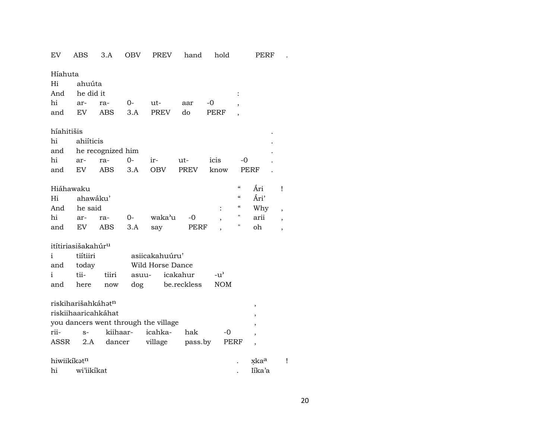| EV          | <b>ABS</b>                     | 3.A                 | <b>OBV</b> | <b>PREV</b>                          | hand        | hold           |                                                 | PERF                     |   |
|-------------|--------------------------------|---------------------|------------|--------------------------------------|-------------|----------------|-------------------------------------------------|--------------------------|---|
| Híahuta     |                                |                     |            |                                      |             |                |                                                 |                          |   |
| Hi          | ahuúta                         |                     |            |                                      |             |                |                                                 |                          |   |
| And         | he did it                      |                     |            |                                      |             |                |                                                 |                          |   |
| hi          | ar-                            | ra-                 | $0-$       | ut-                                  | aar         | -0             |                                                 |                          |   |
| and         | EV                             | <b>ABS</b>          | 3.A        | <b>PREV</b>                          | do          | PERF           |                                                 |                          |   |
| híahitišis  |                                |                     |            |                                      |             |                |                                                 |                          |   |
| hi          | ahiíticis                      |                     |            |                                      |             |                |                                                 |                          |   |
| and         |                                | he recognized him   |            |                                      |             |                |                                                 |                          |   |
| hi          | ar-                            | ra-                 | $0-$       | ir-                                  | ut-         | icis           | -0                                              |                          |   |
| and         | EV                             | <b>ABS</b>          | 3.A        | <b>OBV</b>                           | <b>PREV</b> | know           |                                                 | PERF                     |   |
| Hiáhawaku   |                                |                     |            |                                      |             |                | $\boldsymbol{\varsigma} \boldsymbol{\varsigma}$ | Ári                      | ï |
| Hi          | ahawáku'                       |                     |            |                                      |             |                | $\mathcal{C}$                                   | Ári'                     |   |
| And         | he said                        |                     |            |                                      |             | $\ddot{\cdot}$ | $\boldsymbol{\varsigma} \boldsymbol{\varsigma}$ | Why                      | , |
| hi          | ar-                            | ra-                 | $0-$       | waka'u                               | -0          |                |                                                 | arii                     |   |
| and         | EV                             | <b>ABS</b>          | 3.A        | say                                  | PERF        |                | 11                                              | oh                       | , |
|             | itítiriasišakahúr <sup>u</sup> |                     |            |                                      |             |                |                                                 |                          |   |
| i           | tiítiiri                       |                     |            | asiicakahuúru'                       |             |                |                                                 |                          |   |
| and         | today                          |                     |            | Wild Horse Dance                     |             |                |                                                 |                          |   |
| i           | tii-                           | tiiri               | asuu-      |                                      | icakahur    | $-u^{\prime}$  |                                                 |                          |   |
| and         | here                           | now                 | dog        |                                      | be.reckless | <b>NOM</b>     |                                                 |                          |   |
|             | riskiharišahkáhat <sup>n</sup> |                     |            |                                      |             |                |                                                 | ,                        |   |
|             |                                | riskiihaaricahkáhat |            |                                      |             |                |                                                 |                          |   |
|             |                                |                     |            | you dancers went through the village |             |                |                                                 |                          |   |
| rii-        | $S-$                           |                     | kiihaar-   | icahka-                              | hak         | -0             |                                                 | $\overline{ }$           |   |
| ASSR        | 2.A                            | dancer              |            | village                              | pass.by     |                | PERF                                            | $\overline{\phantom{a}}$ |   |
| hiwiikíkatn |                                |                     |            |                                      |             |                |                                                 | xkaa                     | Ţ |
| hi          | wi'iikikat                     |                     |            |                                      |             |                |                                                 | Iíka'a                   |   |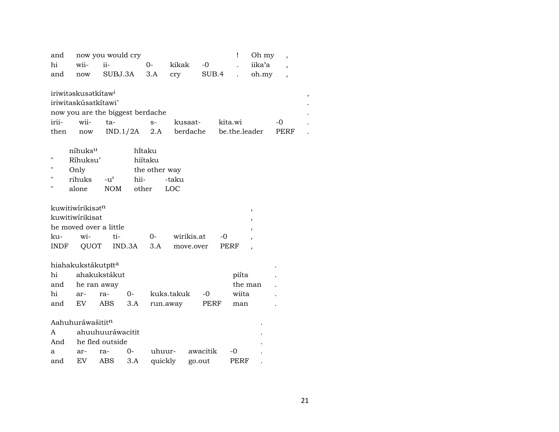| and         |                                 | now you would cry                |               |            |            |          |               | Ţ       | Oh my  | ,                        |  |
|-------------|---------------------------------|----------------------------------|---------------|------------|------------|----------|---------------|---------|--------|--------------------------|--|
| hi          | wii-                            | ii-                              | $0 -$         |            | kikak      | $-0$     |               |         | iika'a | $\overline{\phantom{a}}$ |  |
| and         | now                             | SUBJ.3A                          | 3.A           |            | cry        | SUB.4    |               |         | oh.my  | $\overline{\phantom{a}}$ |  |
|             |                                 |                                  |               |            |            |          |               |         |        |                          |  |
|             | iriwitəskusətkitaw <sup>i</sup> |                                  |               |            |            |          |               |         |        |                          |  |
|             | iriwitaskúsatkítawi'            |                                  |               |            |            |          |               |         |        |                          |  |
|             |                                 | now you are the biggest berdache |               |            |            |          |               |         |        |                          |  |
| irii-       | wii-                            | ta-                              |               | $S-$       | kusaat-    |          | kita.wi       |         |        | -0                       |  |
| then        | now                             | IND.1/2A                         |               | 2.A        | berdache   |          | be.the.leader |         |        | PERF                     |  |
|             |                                 |                                  |               |            |            |          |               |         |        |                          |  |
|             | níhuksu                         |                                  | hi̇̃taku      |            |            |          |               |         |        |                          |  |
| $^{\prime}$ | Ríhuksu'                        |                                  | hiítaku       |            |            |          |               |         |        |                          |  |
| п           | Only                            |                                  | the other way |            |            |          |               |         |        |                          |  |
| п           | rihuks                          | $-u^{\prime}$                    | hii-          |            | -taku      |          |               |         |        |                          |  |
| н           | alone                           | <b>NOM</b>                       | other         | LOC        |            |          |               |         |        |                          |  |
|             |                                 |                                  |               |            |            |          |               |         |        |                          |  |
|             | kuwitiwirikisatn                |                                  |               |            |            |          |               |         | ,      |                          |  |
|             | kuwitiwírikisat                 |                                  |               |            |            |          |               |         |        |                          |  |
|             | he moved over a little          |                                  |               |            |            |          |               |         |        |                          |  |
| ku-         | wi-                             | ti-                              | $0-$          |            | wirikis.at |          | -0            |         |        |                          |  |
| INDF        | QUOT                            | IND.3A                           |               | 3.A        | move.over  |          | PERF          |         |        |                          |  |
|             |                                 |                                  |               |            |            |          |               |         |        |                          |  |
|             | hiahakukstákutpīta              |                                  |               |            |            |          |               |         |        |                          |  |
| hi          |                                 | ahakukstákut                     |               |            |            |          |               | piíta   |        |                          |  |
| and         | he ran away                     |                                  |               |            |            |          |               | the man |        |                          |  |
| hi          | ar-                             | $0-$<br>ra-                      |               | kuks.takuk |            | -0       |               | wiita   |        |                          |  |
| and         | EV.                             | ABS                              | 3.A           | run.away   |            | PERF     |               | man     |        |                          |  |
|             |                                 |                                  |               |            |            |          |               |         |        |                          |  |
|             | Aahuhuráwašititn                |                                  |               |            |            |          |               |         |        |                          |  |
| A           |                                 | ahuuhuuráwacitit                 |               |            |            |          |               |         |        |                          |  |
| And         |                                 | he fled outside                  |               |            |            |          |               |         |        |                          |  |
| a           | ar-                             | 0-<br>ra-                        |               | uhuur-     |            | awacitik | -0            |         |        |                          |  |
| and         | EV                              | ABS                              | 3.A           | quickly    | go.out     |          |               | PERF    |        |                          |  |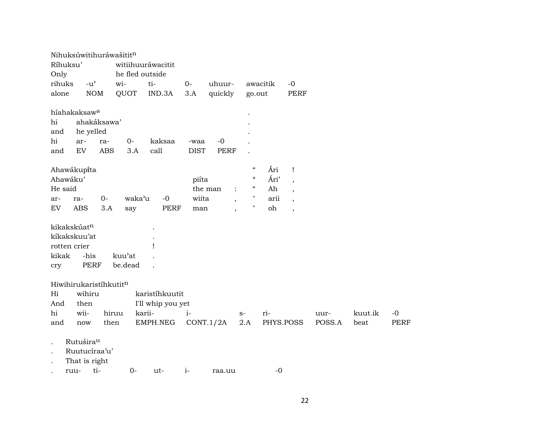| Nihuksúwitihuráwašititn                                                                                          |                                                                    |                                                                                                            |                                                                                                                                                  |                                                                                               |                                        |
|------------------------------------------------------------------------------------------------------------------|--------------------------------------------------------------------|------------------------------------------------------------------------------------------------------------|--------------------------------------------------------------------------------------------------------------------------------------------------|-----------------------------------------------------------------------------------------------|----------------------------------------|
| Ríhuksu'                                                                                                         | witiihuuráwacitit                                                  |                                                                                                            |                                                                                                                                                  |                                                                                               |                                        |
| Only                                                                                                             | he fled outside                                                    |                                                                                                            |                                                                                                                                                  |                                                                                               |                                        |
| rihuks<br>$-u^{\prime}$                                                                                          | wi-<br>ti-                                                         | $O -$<br>uhuur-                                                                                            | awacitik                                                                                                                                         | $-0$                                                                                          |                                        |
| alone<br><b>NOM</b>                                                                                              | QUOT<br>IND.3A                                                     | quickly<br>3.A                                                                                             | go.out                                                                                                                                           | <b>PERF</b>                                                                                   |                                        |
| híahakaksaw <sup>a</sup><br>hi<br>ahakáksawa'<br>and<br>he yelled<br>hi<br>ar-<br>ra-<br>EV<br><b>ABS</b><br>and | $O -$<br>kaksaa<br>call<br>3.A                                     | $-0$<br>-waa<br><b>PERF</b><br><b>DIST</b>                                                                 |                                                                                                                                                  |                                                                                               |                                        |
| Ahawákupíta<br>Ahawáku'<br>He said<br>$0-$<br>ra-<br>ar-<br>${\rm EV}$<br><b>ABS</b><br>3.A                      | waka'u<br>$-0$<br><b>PERF</b><br>say                               | piíta<br>the man<br>$\ddot{\cdot}$<br>wiita<br>$\overline{\phantom{a}}$<br>man<br>$\overline{\phantom{a}}$ | $\boldsymbol{\mathcal{C}}$<br>Ári<br>$\mathcal{C}$<br>Ári'<br>$\epsilon\epsilon$<br>Ah<br>$\pmb{\mathsf{H}}$<br>arii<br>$\pmb{\mathsf{H}}$<br>oh | Ţ<br>$\,$<br>$\overline{\phantom{a}}$<br>$\overline{\phantom{a}}$<br>$\overline{\phantom{a}}$ |                                        |
| kikakskúatn<br>kíkakskuu'at<br>rotten crier<br>-his<br>kikak<br><b>PERF</b><br>cry                               | kuu'at<br>be.dead                                                  |                                                                                                            |                                                                                                                                                  |                                                                                               |                                        |
| Hiwihirukaristíhkutitn<br>wihiru<br>Hi<br>And<br>then<br>wii-<br>hi<br>then<br>and<br>now                        | karistíhkuutit<br>I'll whip you yet<br>karii-<br>hiruu<br>EMPH.NEG | $i-$<br>$S-$<br>CONT.1/2A                                                                                  | ri-<br>2.A<br>PHYS.POSS                                                                                                                          | uur-<br>POSS.A                                                                                | kuut.ik<br>$-0$<br><b>PERF</b><br>beat |
| Rutušira <sup>u</sup><br>Ruutucíraa'u'<br>That is right<br>ti-<br>ruu-                                           | $0-$<br>ut-                                                        | $i-$<br>raa.uu                                                                                             | $-0$                                                                                                                                             |                                                                                               |                                        |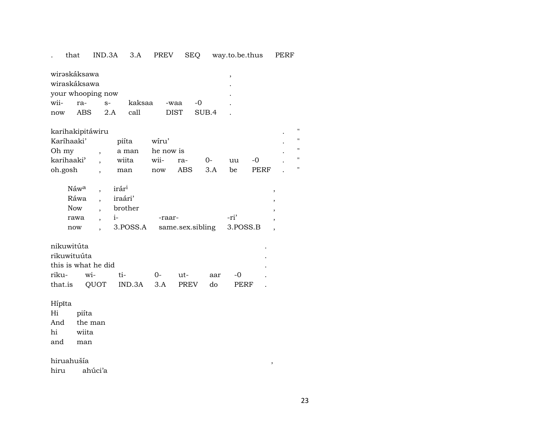#### that IND.3A 3.A PREV SEQ way.to.be.thus PERF  $\mathcal{L}^{\text{max}}$

| wirəskáksawa                                                |       |      |        |      |       |                          |  |  |  |  |
|-------------------------------------------------------------|-------|------|--------|------|-------|--------------------------|--|--|--|--|
| wiraskáksawa                                                |       |      |        |      |       |                          |  |  |  |  |
| your whooping now                                           |       |      |        |      |       |                          |  |  |  |  |
| wii-                                                        | $ra-$ | $S-$ | kaksaa | -waa | $-()$ | $\overline{\phantom{a}}$ |  |  |  |  |
| <b>DIST</b><br>ABS<br>2A<br>SUB <sub>4</sub><br>call<br>now |       |      |        |      |       |                          |  |  |  |  |

| karihakipitáwiru |  |       |           |     |        |    |             |  |  |  |  |
|------------------|--|-------|-----------|-----|--------|----|-------------|--|--|--|--|
| Karíhaaki'       |  | piíta | wiru'     |     |        |    |             |  |  |  |  |
| Oh my            |  | a man | he now is |     |        |    |             |  |  |  |  |
| karihaaki'       |  | wiita | wii- ra-  |     | $()$ - | uu | $-$ ()      |  |  |  |  |
| oh.gosh          |  | man   | now       | ABS | 3.A    | be | <b>PERF</b> |  |  |  |  |

| Ráwa , iraári'<br>brother<br>Now<br>-ri'<br>$1 -$<br>rawa<br>-raar-<br>3. POSS.A same.sex.sibling 3. POSS.B<br>now | Náw <sup>a</sup> , irár <sup>i</sup> |  |  |  |
|--------------------------------------------------------------------------------------------------------------------|--------------------------------------|--|--|--|
|                                                                                                                    |                                      |  |  |  |
|                                                                                                                    |                                      |  |  |  |
|                                                                                                                    |                                      |  |  |  |
|                                                                                                                    |                                      |  |  |  |

|                                                    | nikuwitúta |  |  |  |     |        |  |  |  |  |  |  |
|----------------------------------------------------|------------|--|--|--|-----|--------|--|--|--|--|--|--|
| rikuwituúta                                        |            |  |  |  |     |        |  |  |  |  |  |  |
| this is what he did                                |            |  |  |  |     |        |  |  |  |  |  |  |
|                                                    |            |  |  |  | aar | $-$ () |  |  |  |  |  |  |
| that.is OUOT IND.3A 3.A PREV<br><b>PERF</b><br>do. |            |  |  |  |     |        |  |  |  |  |  |  |

Hípīta

 $Hi$ piíta

And the man

hi wiita

and man

hiruahušía

hiru ahúci'a  $\overline{\phantom{a}}$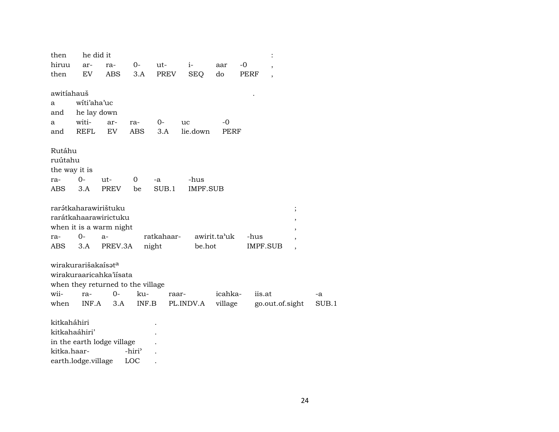| then          | he did it                       |                                   |                    |            |                 |              |        |                 |          |
|---------------|---------------------------------|-----------------------------------|--------------------|------------|-----------------|--------------|--------|-----------------|----------|
| hiruu         | ar-                             | ra-                               | 0-                 | ut-        | $i-$            | aar          | -0     |                 |          |
| then          | EV                              | <b>ABS</b>                        | 3.A                | PREV       | <b>SEQ</b>      | do           | PERF   |                 |          |
|               |                                 |                                   |                    |            |                 |              |        |                 |          |
| awitiahauš    |                                 |                                   |                    |            |                 |              |        |                 |          |
| a             | witi'aha'uc                     |                                   |                    |            |                 |              |        |                 |          |
| and           | he lay down                     |                                   |                    |            |                 |              |        |                 |          |
| a             | witi-                           | ar-                               | ra-                | $0-$       | uc              | -0           |        |                 |          |
| and           | REFL                            | EV                                | ABS                | 3.A        | lie.down        | PERF         |        |                 |          |
|               |                                 |                                   |                    |            |                 |              |        |                 |          |
| Rutáhu        |                                 |                                   |                    |            |                 |              |        |                 |          |
| ruútahu       |                                 |                                   |                    |            |                 |              |        |                 |          |
| the way it is |                                 |                                   |                    |            |                 |              |        |                 |          |
| ra-           | $O -$                           | ut-                               | 0                  | -a         | -hus            |              |        |                 |          |
| ABS           | 3.A                             | <b>PREV</b>                       | be                 | SUB.1      | <b>IMPF.SUB</b> |              |        |                 |          |
|               |                                 |                                   |                    |            |                 |              |        |                 |          |
|               |                                 | rarэ́tkaharawirištuku             |                    |            |                 |              |        |                 | $\vdots$ |
|               |                                 | rarátkahaarawirictuku             |                    |            |                 |              |        |                 | ,        |
|               |                                 | when it is a warm night           |                    |            |                 |              |        |                 | ,        |
| ra-           | $0-$                            | a-                                |                    | ratkahaar- |                 | awirit.ta'uk | -hus   |                 |          |
| ABS           | 3.A                             | PREV.3A                           |                    | night      | be.hot          |              |        | IMPF.SUB        |          |
|               |                                 |                                   |                    |            |                 |              |        |                 |          |
|               | wirakurarišakaisət <sup>a</sup> |                                   |                    |            |                 |              |        |                 |          |
|               |                                 | wirakuraaricahka'iisata           |                    |            |                 |              |        |                 |          |
|               |                                 | when they returned to the village |                    |            |                 |              |        |                 |          |
| wii-          | ra-                             | $0-$                              | ku-                | raar-      |                 | icahka-      | iis.at |                 |          |
| when          | INF.A                           | 3.A                               | INF.B              |            | PL.INDV.A       | village      |        | go.out.of.sight |          |
|               |                                 |                                   |                    |            |                 |              |        |                 |          |
| kitkaháhiri   |                                 |                                   |                    |            |                 |              |        |                 |          |
|               | kitkahaáhiri'                   |                                   |                    |            |                 |              |        |                 |          |
|               |                                 | in the earth lodge village        |                    |            |                 |              |        |                 |          |
| kitka.haar-   |                                 |                                   | -hiri <sup>3</sup> |            |                 |              |        |                 |          |

earth.lodge.village LOC .

 $24$ 

 $\mbox{-a}$  $SUB.1$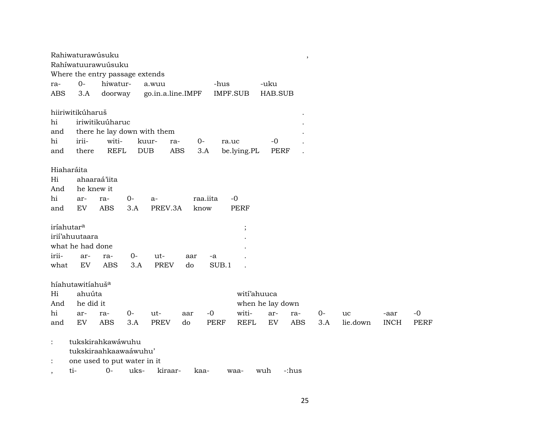| Rahiwaturawúsuku<br>$\, ,$                                                                                                  |  |  |  |  |  |  |  |  |  |  |
|-----------------------------------------------------------------------------------------------------------------------------|--|--|--|--|--|--|--|--|--|--|
| Rahíwatuurawuúsuku                                                                                                          |  |  |  |  |  |  |  |  |  |  |
| Where the entry passage extends                                                                                             |  |  |  |  |  |  |  |  |  |  |
| $0 -$<br>hiwatur-<br>-uku<br>a.wuu<br>-hus<br>ra-                                                                           |  |  |  |  |  |  |  |  |  |  |
| 3.A<br>IMPF.SUB<br>HAB.SUB<br>ABS<br>doorway<br>go.in.a.line.IMPF                                                           |  |  |  |  |  |  |  |  |  |  |
| hiiriwitikúharuš<br>iriwitikuúharuc                                                                                         |  |  |  |  |  |  |  |  |  |  |
| hi                                                                                                                          |  |  |  |  |  |  |  |  |  |  |
| there he lay down with them<br>and                                                                                          |  |  |  |  |  |  |  |  |  |  |
| hi<br>irii-<br>witi-<br>$O -$<br>$-0$<br>kuur-<br>ra-<br>ra.uc                                                              |  |  |  |  |  |  |  |  |  |  |
| <b>REFL</b><br><b>ABS</b><br>and<br>there<br><b>DUB</b><br>3.A<br>be.lying.PL<br><b>PERF</b>                                |  |  |  |  |  |  |  |  |  |  |
| Hiaharáita                                                                                                                  |  |  |  |  |  |  |  |  |  |  |
| ahaaraá'iita<br>Hi                                                                                                          |  |  |  |  |  |  |  |  |  |  |
| And<br>he knew it                                                                                                           |  |  |  |  |  |  |  |  |  |  |
|                                                                                                                             |  |  |  |  |  |  |  |  |  |  |
| hi<br>$-0$<br>$0-$<br>raa.iita<br>ar-<br>ra-<br>$a-$                                                                        |  |  |  |  |  |  |  |  |  |  |
| PREV.3A<br>EV<br><b>ABS</b><br>3.A<br><b>PERF</b><br>and<br>know                                                            |  |  |  |  |  |  |  |  |  |  |
| iríahutar <sup>a</sup><br>$\vdots$                                                                                          |  |  |  |  |  |  |  |  |  |  |
| irii'ahuutaara                                                                                                              |  |  |  |  |  |  |  |  |  |  |
| what he had done                                                                                                            |  |  |  |  |  |  |  |  |  |  |
| irii-<br>$0-$<br>ut-<br>ar-<br>ra-<br>aar<br>-a                                                                             |  |  |  |  |  |  |  |  |  |  |
| EV<br><b>ABS</b><br><b>PREV</b><br>SUB.1<br>what<br>3.A<br>do                                                               |  |  |  |  |  |  |  |  |  |  |
|                                                                                                                             |  |  |  |  |  |  |  |  |  |  |
| híahutawitíahuš <sup>a</sup>                                                                                                |  |  |  |  |  |  |  |  |  |  |
| ahuúta<br>wití'ahuuca<br>Hi                                                                                                 |  |  |  |  |  |  |  |  |  |  |
| And<br>he did it<br>when he lay down                                                                                        |  |  |  |  |  |  |  |  |  |  |
| witi-<br>hi<br>$0-$<br>ut-<br>$-0$<br>$0-$<br>$-0$                                                                          |  |  |  |  |  |  |  |  |  |  |
| ar-<br>ra-<br>aar<br>ar-<br>ra-<br>uc<br>-aar<br>EV<br><b>ABS</b><br>3.A<br><b>PREV</b><br><b>REFL</b><br><b>ABS</b><br>3.A |  |  |  |  |  |  |  |  |  |  |
| and<br>do<br><b>PERF</b><br>EV<br>lie.down<br><b>INCH</b><br><b>PERF</b>                                                    |  |  |  |  |  |  |  |  |  |  |
| tukskirahkawáwuhu<br>$\ddot{\cdot}$                                                                                         |  |  |  |  |  |  |  |  |  |  |
| tukskiraahkaawaáwuhu'                                                                                                       |  |  |  |  |  |  |  |  |  |  |
| one used to put water in it<br>$\ddot{\cdot}$                                                                               |  |  |  |  |  |  |  |  |  |  |
| $0-$<br>ti-<br>uks-<br>kiraar-<br>wuh<br>-:hus<br>kaa-<br>waa-<br>$\cdot$                                                   |  |  |  |  |  |  |  |  |  |  |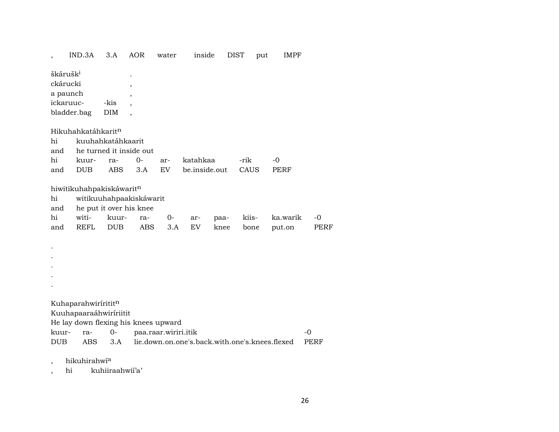|                        | IND.3A                                                                                                                                                                                                                            | 3.A                | <b>AOR</b>                                                              | water     | inside           |              | <b>DIST</b>   | put | <b>IMPF</b>        |                     |
|------------------------|-----------------------------------------------------------------------------------------------------------------------------------------------------------------------------------------------------------------------------------|--------------------|-------------------------------------------------------------------------|-----------|------------------|--------------|---------------|-----|--------------------|---------------------|
|                        | škárušk <sup>i</sup><br>ckárucki<br>a paunch<br>ickaruuc-<br>bladder.bag                                                                                                                                                          | -kis<br><b>DIM</b> | ,                                                                       |           |                  |              |               |     |                    |                     |
|                        | Hikuhahkatáhkarit <sup>n</sup>                                                                                                                                                                                                    |                    |                                                                         |           |                  |              |               |     |                    |                     |
| hi                     |                                                                                                                                                                                                                                   | kuuhahkatáhkaarit  |                                                                         |           |                  |              |               |     |                    |                     |
| and                    |                                                                                                                                                                                                                                   |                    | he turned it inside out                                                 |           |                  |              |               |     |                    |                     |
| hi                     | kuur-                                                                                                                                                                                                                             | ra-                | $0-$                                                                    | ar-       | katahkaa         |              | -rik          |     | $-0$               |                     |
| and                    | <b>DUB</b>                                                                                                                                                                                                                        | <b>ABS</b>         | 3.A                                                                     | EV        | be.inside.out    |              | CAUS          |     | PERF               |                     |
| hi<br>and<br>hi<br>and | hiwitikuhahpakiskáwaritn<br>witi-<br><b>REFL</b>                                                                                                                                                                                  | kuur-<br>DUB       | witikuuhahpaakiskáwarit<br>he put it over his knee<br>ra-<br><b>ABS</b> | 0-<br>3.A | ar-<br><b>EV</b> | paa-<br>knee | kiis-<br>bone |     | ka.warik<br>put.on | $-0$<br><b>PERF</b> |
|                        | Kuhaparahwirirititn<br>Kuuhapaaraáhwiríriitit<br>He lay down flexing his knees upward<br>paa.raar.wiriri.itik<br>0-<br>$-0$<br>kuur-<br>ra-<br>lie.down.on.one's.back.with.one's.knees.flexed<br><b>DUB</b><br>ABS<br>3.A<br>PERF |                    |                                                                         |           |                  |              |               |     |                    |                     |

, hikuhirahwí<sup>a</sup>

, hi kuhiiraahwií'a'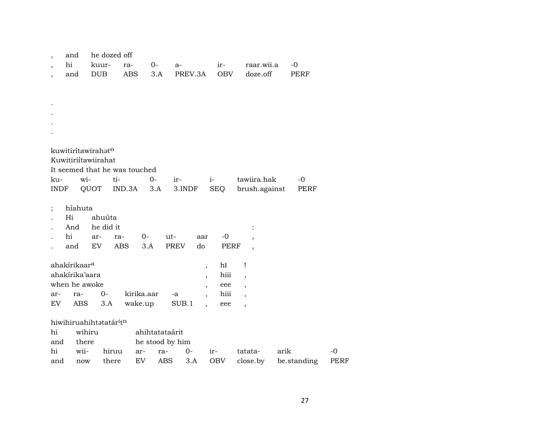| $\overline{\phantom{a}}$ | and                                |            | he dozed off                  |                |                 |                                  |            |                          |             |             |
|--------------------------|------------------------------------|------------|-------------------------------|----------------|-----------------|----------------------------------|------------|--------------------------|-------------|-------------|
| $\overline{\phantom{a}}$ | hi                                 | kuur-      | ra-                           | $0-$           | a-              |                                  | ir-        | raar.wii.a               | $-0$        |             |
| $\overline{\phantom{a}}$ | and                                | <b>DUB</b> |                               | ABS<br>3.A     | PREV.3A         |                                  | <b>OBV</b> | doze.off                 | PERF        |             |
|                          |                                    |            |                               |                |                 |                                  |            |                          |             |             |
|                          |                                    |            |                               |                |                 |                                  |            |                          |             |             |
|                          |                                    |            |                               |                |                 |                                  |            |                          |             |             |
|                          |                                    |            |                               |                |                 |                                  |            |                          |             |             |
|                          |                                    |            |                               |                |                 |                                  |            |                          |             |             |
|                          |                                    |            |                               |                |                 |                                  |            |                          |             |             |
|                          | kuwitiritawirahatn                 |            |                               |                |                 |                                  |            |                          |             |             |
|                          | Kuwitiriítawiirahat                |            |                               |                |                 |                                  |            |                          |             |             |
|                          |                                    |            | It seemed that he was touched |                |                 |                                  |            |                          |             |             |
| ku-                      | wi-                                |            | ti-                           | $0-$           | ir-             | $i-$                             |            | tawiira.hak              | -0          |             |
|                          | INDF                               | QUOT       | IND.3A                        | 3.A            | 3.INDF          |                                  | SEQ        | brush.against            | PERF        |             |
|                          |                                    |            |                               |                |                 |                                  |            |                          |             |             |
| $\vdots$                 | híahuta                            |            |                               |                |                 |                                  |            |                          |             |             |
|                          | Hi                                 | ahuúta     |                               |                |                 |                                  |            |                          |             |             |
|                          | And                                | he did it  |                               |                |                 |                                  |            |                          |             |             |
|                          | hi                                 | ar-        | ra-                           | $0-$           | ut-             | aar                              | $-0$       |                          |             |             |
|                          | and                                | EV         | <b>ABS</b>                    | 3.A            | <b>PREV</b>     | do                               | PERF       |                          |             |             |
|                          | ahakírikaar <sup>a</sup>           |            |                               |                |                 |                                  | hĩ         | $\mathbf{I}$             |             |             |
|                          | ahakírika'aara                     |            |                               |                |                 | $\overline{\phantom{a}}$         | hiii       | $\overline{\phantom{a}}$ |             |             |
|                          | when he awoke                      |            |                               |                |                 | $\overline{ }$<br>$\overline{ }$ | eee        | $\overline{\phantom{a}}$ |             |             |
| ar-                      | ra-                                | $0-$       |                               | kirika.aar     | -a              | $\overline{\phantom{a}}$         | hiii       | $\overline{\phantom{a}}$ |             |             |
| EV                       | ABS                                | 3.A        |                               | wake.up        | SUB.1           | $\ddot{\phantom{0}}$             | eee        |                          |             |             |
|                          |                                    |            |                               |                |                 |                                  |            |                          |             |             |
|                          | hiwihiruahihtatatár <sup>itn</sup> |            |                               |                |                 |                                  |            |                          |             |             |
| hi                       |                                    | wihiru     |                               | ahihtatataárit |                 |                                  |            |                          |             |             |
| and                      | there                              |            |                               |                | he stood by him |                                  |            |                          |             |             |
| hi                       | wii-                               |            | hiruu                         | ar-            | $0-$<br>ra-     | $ir-$                            |            | tatata-                  | arik        | -0          |
| and                      | now                                |            | there                         | EV             | ABS<br>3.A      |                                  | OBV        | close.by                 | be.standing | <b>PERF</b> |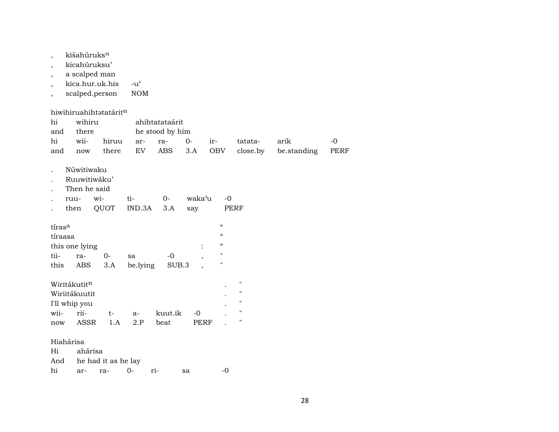| $\overline{\phantom{a}}$<br>$\overline{\phantom{a}}$<br>$\overline{\phantom{a}}$ | kišahúruks <sup>u</sup><br>kicahúruksu'<br>a scalped man<br>kica.hur.uk.his<br>scalped.person |                                          | $-u^{\prime}$<br><b>NOM</b> |                                                        |                   |                                                                            |                                                                                       |                     |                     |
|----------------------------------------------------------------------------------|-----------------------------------------------------------------------------------------------|------------------------------------------|-----------------------------|--------------------------------------------------------|-------------------|----------------------------------------------------------------------------|---------------------------------------------------------------------------------------|---------------------|---------------------|
| hi<br>and<br>hi<br>and                                                           | wihiru<br>there<br>wii-<br>now                                                                | hiwihiruahihtatatáritn<br>hiruu<br>there | ar-<br>EV                   | ahihtatataárit<br>he stood by him<br>ra-<br><b>ABS</b> | $0-$<br>3.A       | ir-<br><b>OBV</b>                                                          | tatata-<br>close.by                                                                   | arik<br>be.standing | $-o$<br><b>PERF</b> |
|                                                                                  | Núwitiwaku<br>Ruuwitiwáku'<br>Then he said<br>ruu-<br>then                                    | wi-<br>QUOT                              | ti-<br>IND.3A               | $0-$<br>3.A                                            | waka'u<br>say     | $-0$                                                                       | <b>PERF</b>                                                                           |                     |                     |
| tíras <sup>a</sup><br>tíraasa<br>tii-<br>this                                    | this one lying<br>ra-<br>ABS                                                                  | $0-$<br>3.A                              | sa<br>be.lying              | $-0$<br>SUB.3                                          | $\ddot{\cdot}$    | $\epsilon\epsilon$<br>$\epsilon\epsilon$<br>$\epsilon\epsilon$<br>11<br>11 |                                                                                       |                     |                     |
| wii-<br>now                                                                      | Wiritákutitn<br>Wiriitákuutit<br>I'll whip you<br>rii-<br>ASSR                                | $t-$<br>1.A                              | a-<br>2.P                   | kuut.ik<br>beat                                        | -0<br><b>PERF</b> |                                                                            | $\blacksquare$<br>$\pmb{\mathsf{H}}$<br>$\pmb{\mathsf{H}}$<br>$\pmb{\mathsf{H}}$<br>П |                     |                     |
| Hiahárisa<br>Hi<br>And<br>hi                                                     | ahárisa<br>ar-                                                                                | he had it as he lay<br>ra-               | $0-$                        | ri-                                                    | sa                | -0                                                                         |                                                                                       |                     |                     |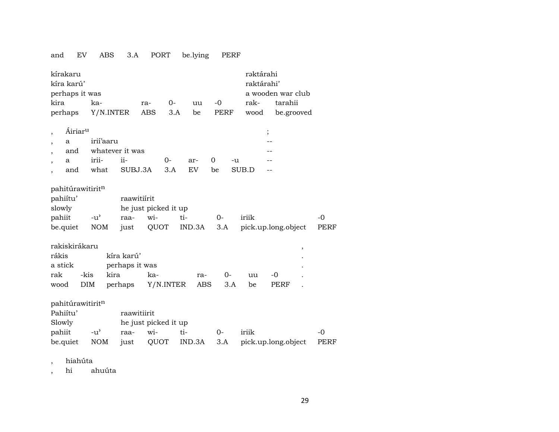### and EV ABS 3.A PORT be.lying PERF

| kírakaru<br>kíra karú'<br>perhaps it was |                     |                             |      |                              |             |      |               |     |             |      | rəktárahi<br>raktárahi'      |          | a wooden war club |      |                     |
|------------------------------------------|---------------------|-----------------------------|------|------------------------------|-------------|------|---------------|-----|-------------|------|------------------------------|----------|-------------------|------|---------------------|
| kira                                     |                     | ka-                         |      |                              | ra-         | $0-$ |               | uu  | $-0$        |      | rak-                         |          | tarahii           |      |                     |
| perhaps                                  |                     | Y/N.INTER                   |      |                              | <b>ABS</b>  | 3.A  |               | be  | PERF        |      | wood                         |          | be.grooved        |      |                     |
| $\cdot$<br>a                             | Áiriar <sup>u</sup> | irií'aaru                   |      |                              |             |      |               |     |             |      |                              | $\vdots$ |                   |      |                     |
| and                                      |                     |                             |      | whatever it was              |             |      |               |     |             |      |                              |          |                   |      |                     |
| a<br>$\overline{\phantom{a}}$            |                     | irii-                       |      | ii-                          |             | 0-   | ar-           |     | $\Omega$    | -u   |                              |          |                   |      |                     |
| and                                      |                     | what                        |      | SUBJ.3A                      |             | 3.A  | <b>EV</b>     |     | be          |      | SUB.D                        |          |                   |      |                     |
| pahitúrawitiritn<br>pahiítu'             |                     |                             |      | raawitiirit                  |             |      |               |     |             |      |                              |          |                   |      |                     |
| slowly<br>pahiit                         |                     | $-u^{\prime}$               |      | he just picked it up<br>raa- | wi-         |      | ti-           |     | $O -$       |      | iriik                        |          |                   |      | $-0$                |
| be.quiet                                 |                     | <b>NOM</b>                  |      | just                         | QUOT        |      | IND.3A        |     | 3.A         |      | pick.up.long.object          |          |                   |      | <b>PERF</b>         |
| rakiskirákaru                            |                     |                             |      |                              |             |      |               |     |             |      |                              |          |                   | $\,$ |                     |
| rákis                                    |                     |                             |      | kíra karú'                   |             |      |               |     |             |      |                              |          |                   |      |                     |
| a stick                                  |                     |                             |      | perhaps it was               |             |      |               |     |             |      |                              |          |                   |      |                     |
| rak                                      | -kis                |                             | kira |                              | ka-         |      |               | ra- |             | $0-$ | uu                           | $-0$     |                   |      |                     |
| wood                                     | <b>DIM</b>          |                             |      | perhaps                      | Y/N.INTER   |      |               | ABS |             | 3.A  | be                           |          | PERF              |      |                     |
| pahitúrawitiritn<br>Pahiítu'             |                     |                             |      | raawitiirit                  |             |      |               |     |             |      |                              |          |                   |      |                     |
| Slowly                                   |                     |                             |      | he just picked it up         |             |      |               |     |             |      |                              |          |                   |      |                     |
| pahiit<br>be.quiet                       |                     | $-u^{\prime}$<br><b>NOM</b> |      | raa-<br>just                 | wi-<br>QUOT |      | ti-<br>IND.3A |     | $0-$<br>3.A |      | iriik<br>pick.up.long.object |          |                   |      | $-0$<br><b>PERF</b> |

, hiahúta

, hi ahuúta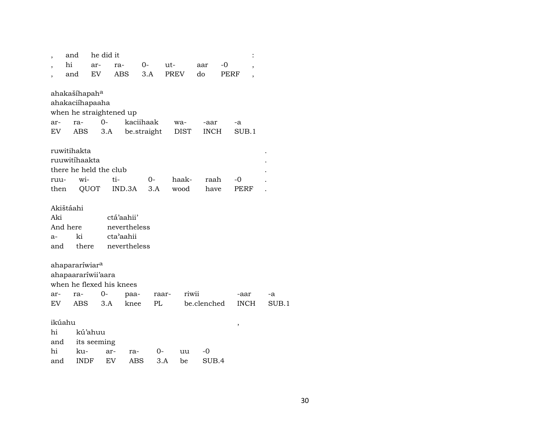|                           | and                                                           | he did it                     |                                                         |             |               |              |            |             |       |
|---------------------------|---------------------------------------------------------------|-------------------------------|---------------------------------------------------------|-------------|---------------|--------------|------------|-------------|-------|
|                           | hi                                                            | ar-                           | ra-                                                     | 0-          | $ut -$        | aar          | -0         | ,           |       |
|                           | and                                                           | EV.                           | ABS                                                     | 3.A         | PREV          | do           | PERF       |             |       |
| ar-                       | ahakašíhapah <sup>a</sup><br>ahakaciíhapaaha<br>ra-           | $0-$                          | when he straightened up                                 | kaciihaak   | wa-           | -aar         | -a         |             |       |
| EV                        | ABS                                                           | 3.A                           |                                                         | be.straight | DIST          | <b>INCH</b>  |            | SUB.1       |       |
| ruu-<br>then              | ruwitihakta<br>ruuwitíhaakta<br>there he held the club<br>wi- | QUOT                          | ti-<br>IND.3A                                           | 0-<br>3.A   | haak-<br>wood | raah<br>have | -0<br>PERF |             |       |
| Aki<br>a-<br>and          | Akištáahi<br>And here<br>ki<br>there                          |                               | ctá'aahii'<br>nevertheless<br>cta'aahii<br>nevertheless |             |               |              |            |             |       |
| ar-                       | ahapararíwiar <sup>a</sup><br>ahapaarariwii'aara<br>ra-       | $0-$                          | when he flexed his knees<br>paa-                        | raar-       | riwii         |              | -aar       |             | -a    |
| EV.                       | ABS                                                           | 3.A                           | knee                                                    | PL          |               | be.clenched  |            | <b>INCH</b> | SUB.1 |
| ikúahu<br>hi<br>and<br>hi | ku-                                                           | kú'ahuu<br>its seeming<br>ar- | ra-                                                     | $0-$        | uu            | -0           | ,          |             |       |
|                           |                                                               |                               |                                                         |             |               |              |            |             |       |

and INDF EV ABS 3.A be SUB.4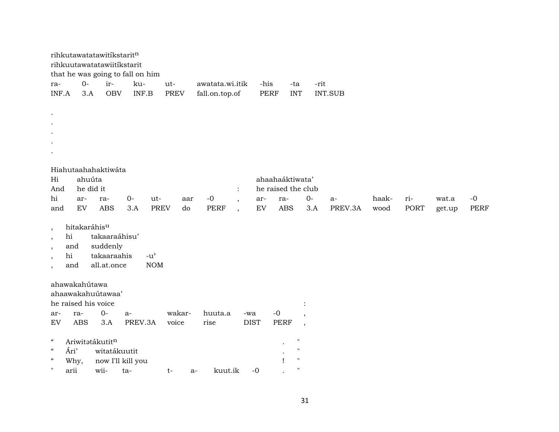|                                                                                                                |                 | rihkutawatatawitíkstaritn<br>rihkuutawatatawiitíkstarit | that he was going to fall on him |                   |                                         |             |                                                                |                          |                |       |             |        |             |
|----------------------------------------------------------------------------------------------------------------|-----------------|---------------------------------------------------------|----------------------------------|-------------------|-----------------------------------------|-------------|----------------------------------------------------------------|--------------------------|----------------|-------|-------------|--------|-------------|
| ra-                                                                                                            | $O -$           | ir-                                                     | ku-                              | ut-               | awatata.wi.itik                         | -his        | -ta                                                            | -rit                     |                |       |             |        |             |
| INF.A                                                                                                          | 3.A             | <b>OBV</b>                                              | INF.B                            | <b>PREV</b>       | fall.on.top.of                          |             | <b>INT</b><br>PERF                                             |                          | <b>INT.SUB</b> |       |             |        |             |
| $\ddot{\phantom{a}}$                                                                                           |                 |                                                         |                                  |                   |                                         |             |                                                                |                          |                |       |             |        |             |
|                                                                                                                |                 |                                                         |                                  |                   |                                         |             |                                                                |                          |                |       |             |        |             |
|                                                                                                                |                 |                                                         |                                  |                   |                                         |             |                                                                |                          |                |       |             |        |             |
|                                                                                                                |                 |                                                         |                                  |                   |                                         |             |                                                                |                          |                |       |             |        |             |
|                                                                                                                |                 |                                                         |                                  |                   |                                         |             |                                                                |                          |                |       |             |        |             |
|                                                                                                                |                 | Hiahutaahahaktiwáta                                     |                                  |                   |                                         |             |                                                                |                          |                |       |             |        |             |
| Hi                                                                                                             | ahuúta          |                                                         |                                  |                   |                                         |             | ahaahaáktiwata'                                                |                          |                |       |             |        |             |
| And                                                                                                            | he did it       |                                                         |                                  |                   | $\ddot{\cdot}$                          |             | he raised the club                                             |                          |                |       |             |        |             |
| hi                                                                                                             | ar-             | ra-                                                     | $O -$<br>ut-                     | aar               | $-0$<br>$\overline{\phantom{a}}$        | ar-         | ra-                                                            | $0-$                     | $a-$           | haak- | ri-         | wat.a  | $-0$        |
| and                                                                                                            | EV              | <b>ABS</b>                                              | 3.A                              | <b>PREV</b><br>do | <b>PERF</b><br>$\overline{\phantom{a}}$ | <b>EV</b>   | <b>ABS</b>                                                     | 3.A                      | PREV.3A        | wood  | <b>PORT</b> | get.up | <b>PERF</b> |
| $\,$<br>hi<br>$\,$<br>and<br>$\cdot$<br>hi<br>$\overline{\phantom{a}}$<br>and<br>$\overline{\phantom{a}}$      | hitakaráhisu    | takaaraáhisu'<br>suddenly<br>takaaraahis<br>all.at.once | $-u^{\prime}$<br>NOM             |                   |                                         |             |                                                                |                          |                |       |             |        |             |
| ahawakahútawa<br>ahaawakahuutawaa'<br>he raised his voice                                                      |                 |                                                         |                                  |                   |                                         |             |                                                                |                          |                |       |             |        |             |
| ar-                                                                                                            | ra-             | $O -$                                                   | $a-$                             | wakar-            | huuta.a                                 | -wa         | $-0$                                                           | $\overline{\phantom{a}}$ |                |       |             |        |             |
| ${\rm EV}$                                                                                                     | <b>ABS</b>      | 3.A                                                     | PREV.3A                          | voice             | rise                                    | <b>DIST</b> | <b>PERF</b>                                                    | $\overline{\phantom{a}}$ |                |       |             |        |             |
| $\boldsymbol{\mathcal{C}}$<br>$\zeta\zeta$<br>Ári'<br>$\mathcal{C}\mathcal{C}$<br>Why,<br>$\mathbf{H}$<br>arii | Ariwitatákutitn | witatákuutit<br>now I'll kill you<br>wii-<br>ta-        |                                  | $t-$              | kuut.ik<br>a-                           | $-0$        | $\mathbf{H}$<br>$^{\prime}$<br>$^{\prime}$<br>1<br>$^{\prime}$ |                          |                |       |             |        |             |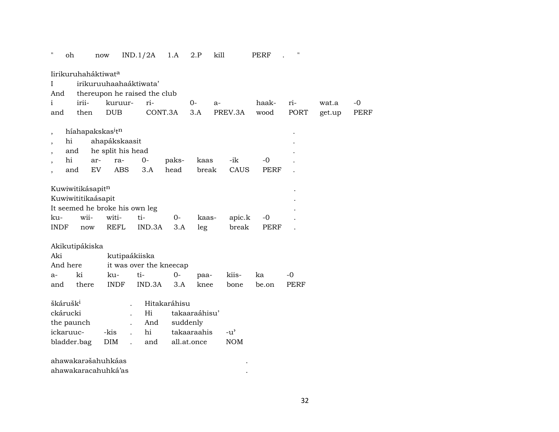| .,                       | oh                                       | now                            | IND.1/2A                     | 1.A          | 2.P           | kill |               | PERF        | .,          |        |             |
|--------------------------|------------------------------------------|--------------------------------|------------------------------|--------------|---------------|------|---------------|-------------|-------------|--------|-------------|
|                          | Iirikuruhaháktiwat <sup>a</sup>          |                                |                              |              |               |      |               |             |             |        |             |
| T                        |                                          |                                | irikuruuhaahaáktiwata'       |              |               |      |               |             |             |        |             |
| And                      |                                          |                                | thereupon he raised the club |              |               |      |               |             |             |        |             |
| i                        | irii-                                    | kuruur-                        | ri-                          |              | $O -$         | $a-$ |               | haak-       | ri-         | wat.a  | $-0$        |
| and                      | then                                     | <b>DUB</b>                     |                              | CONT.3A      | 3.A           |      | PREV.3A       | wood        | <b>PORT</b> | get.up | <b>PERF</b> |
| $\overline{\phantom{a}}$ | híahapakskas <sup>i</sup> t <sup>n</sup> |                                |                              |              |               |      |               |             |             |        |             |
| $\cdot$                  | hi                                       | ahapákskaasit                  |                              |              |               |      |               |             |             |        |             |
|                          | and                                      | he split his head              |                              |              |               |      |               |             |             |        |             |
|                          | hi<br>ar-                                | ra-                            | $0-$                         | paks-        | kaas          |      | -ik           | $-0$        |             |        |             |
|                          | EV<br>and                                | <b>ABS</b>                     | 3.A                          | head         | break         |      | CAUS          | <b>PERF</b> |             |        |             |
|                          |                                          |                                |                              |              |               |      |               |             |             |        |             |
|                          | Kuwiwitikásapitn                         |                                |                              |              |               |      |               |             |             |        |             |
|                          | Kuwiwititikaásapit                       |                                |                              |              |               |      |               |             |             |        |             |
|                          |                                          | It seemed he broke his own leg |                              |              |               |      |               |             |             |        |             |
| ku-                      | wii-                                     | witi-                          | ti-                          | $0-$         | kaas-         |      | apic.k        | $-0$        |             |        |             |
| <b>INDF</b>              | now                                      | REFL                           | IND.3A                       | 3.A          | leg           |      | break         | PERF        |             |        |             |
|                          |                                          |                                |                              |              |               |      |               |             |             |        |             |
|                          | Akikutipákiska                           |                                |                              |              |               |      |               |             |             |        |             |
| Aki                      |                                          |                                | kutipaákiiska                |              |               |      |               |             |             |        |             |
| And here                 |                                          |                                | it was over the kneecap      |              |               |      |               |             |             |        |             |
| a-                       | ki                                       | ku-                            | ti-                          | $0-$         | paa-          |      | kiis-         | ka          | -0          |        |             |
| and                      | there                                    | <b>INDF</b>                    | IND.3A                       | 3.A          | knee          |      | bone          | be.on       | PERF        |        |             |
|                          |                                          |                                |                              |              |               |      |               |             |             |        |             |
| škárušk <sup>i</sup>     |                                          |                                |                              | Hitakaráhisu |               |      |               |             |             |        |             |
| ckárucki                 |                                          |                                | Hi                           |              | takaaraáhisu' |      |               |             |             |        |             |
|                          | the paunch                               |                                | And                          | suddenly     |               |      |               |             |             |        |             |
| ickaruuc-                |                                          | -kis                           | hi                           |              | takaaraahis   |      | $-u^{\prime}$ |             |             |        |             |
|                          | bladder.bag                              | $\rm{DIM}$                     | and                          |              | all.at.once   |      | <b>NOM</b>    |             |             |        |             |
|                          |                                          |                                |                              |              |               |      |               |             |             |        |             |
|                          | ahawakarašahuhkáas                       |                                |                              |              |               |      |               |             |             |        |             |
|                          |                                          | ahawakaracahuhká'as            |                              |              |               |      |               |             |             |        |             |

32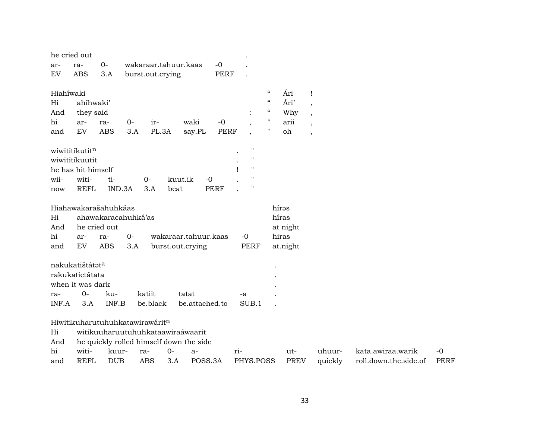| he cried out                                |                                            |                     |       |                                                                                                                 |                      |                |             |                    |                          |             |                          |                       |             |
|---------------------------------------------|--------------------------------------------|---------------------|-------|-----------------------------------------------------------------------------------------------------------------|----------------------|----------------|-------------|--------------------|--------------------------|-------------|--------------------------|-----------------------|-------------|
| ar-                                         | ra-                                        | $0-$                |       | wakaraar.tahuur.kaas                                                                                            |                      |                | $-0$        |                    |                          |             |                          |                       |             |
| EV                                          | <b>ABS</b>                                 | 3.A                 |       | burst.out.crying                                                                                                |                      |                | <b>PERF</b> |                    |                          |             |                          |                       |             |
| Hiahíwaki                                   |                                            |                     |       |                                                                                                                 |                      |                |             |                    | $\epsilon\epsilon$       | Ári         | Ţ                        |                       |             |
| Hi                                          | ahíhwaki'                                  |                     |       |                                                                                                                 |                      |                |             |                    | $\pmb{\zeta}\pmb{\zeta}$ | Ári'        | $\overline{\phantom{a}}$ |                       |             |
| And                                         | they said                                  |                     |       |                                                                                                                 |                      |                |             |                    | $\epsilon\epsilon$       | Why         | $\overline{\phantom{a}}$ |                       |             |
| hi                                          | waki<br>$-0$<br>$O -$<br>ar-<br>ir-<br>ra- |                     |       |                                                                                                                 |                      |                |             |                    | $\pmb{\mathsf{H}}$       | arii        |                          |                       |             |
| and                                         | EV                                         | <b>ABS</b>          | 3.A   | PL.3A                                                                                                           |                      | say.PL         | <b>PERF</b> |                    | 11                       | oh          | $\overline{ }$           |                       |             |
| wiwititikutitn                              |                                            |                     |       |                                                                                                                 |                      |                |             | $\mathbf{H}$       |                          |             |                          |                       |             |
| wiwititikuutit                              |                                            |                     |       |                                                                                                                 |                      |                |             | П                  |                          |             |                          |                       |             |
|                                             | he has hit himself                         |                     |       |                                                                                                                 |                      |                |             | $\pmb{\mathsf{H}}$ |                          |             |                          |                       |             |
| wii-                                        | witi-                                      | ti-                 |       | $O -$                                                                                                           | kuut.ik              | $-0$           |             | n                  |                          |             |                          |                       |             |
| <b>REFL</b><br>IND.3A<br>3.A<br>beat<br>now |                                            |                     |       |                                                                                                                 |                      |                | <b>PERF</b> | Ħ                  |                          |             |                          |                       |             |
|                                             | Hiahawakarašahuhkáas                       |                     |       |                                                                                                                 |                      |                |             |                    |                          | hírəs       |                          |                       |             |
| Hi                                          |                                            | ahawakaracahuhká'as |       |                                                                                                                 |                      |                |             |                    |                          | híras       |                          |                       |             |
| And                                         | he cried out                               |                     |       |                                                                                                                 |                      |                |             |                    |                          | at night    |                          |                       |             |
| hi                                          | ar-                                        | ra-                 | $0 -$ |                                                                                                                 | wakaraar.tahuur.kaas |                |             | $-0$               |                          | hiras       |                          |                       |             |
| and                                         | EV                                         | <b>ABS</b>          | 3.A   |                                                                                                                 | burst.out.crying     |                |             | <b>PERF</b>        |                          | at.night    |                          |                       |             |
|                                             | nakukatištátata                            |                     |       |                                                                                                                 |                      |                |             |                    |                          |             |                          |                       |             |
|                                             | rakukatictátata                            |                     |       |                                                                                                                 |                      |                |             |                    |                          |             |                          |                       |             |
|                                             | when it was dark                           |                     |       |                                                                                                                 |                      |                |             |                    |                          |             |                          |                       |             |
| ra-                                         | $O -$                                      | ku-                 |       | katiit                                                                                                          | tatat                |                |             | -a                 |                          |             |                          |                       |             |
| INF.A                                       | 3.A                                        | INF.B               |       | be.black                                                                                                        |                      | be.attached.to |             | SUB.1              |                          |             |                          |                       |             |
| Hi<br>And                                   |                                            |                     |       | Hiwitikuharutuhuhkatawirawáritn<br>witikuuharuutuhuhkataawiraáwaarit<br>he quickly rolled himself down the side |                      |                |             |                    |                          |             |                          |                       |             |
| hi                                          | witi-                                      | kuur-               |       | ra-                                                                                                             | $O -$                | $a-$           |             | ri-                |                          | ut-         | uhuur-                   | kata.awiraa.warik     | $-0$        |
| and                                         | <b>REFL</b>                                | <b>DUB</b>          |       | <b>ABS</b>                                                                                                      | 3.A                  | POSS.3A        |             | PHYS.POSS          |                          | <b>PREV</b> | quickly                  | roll.down.the.side.of | <b>PERF</b> |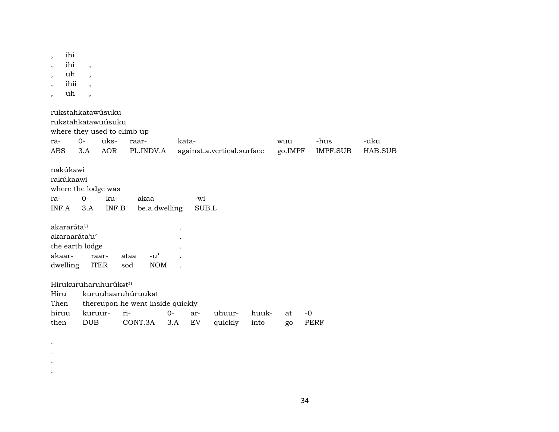| ihi<br>$\cdot$<br>ihi<br>$\cdot$<br>uh<br>ihii                | $\overline{\phantom{a}}$<br>$\overline{\phantom{a}}$    |                                                                          |                           |                            |               |                |                  |                 |
|---------------------------------------------------------------|---------------------------------------------------------|--------------------------------------------------------------------------|---------------------------|----------------------------|---------------|----------------|------------------|-----------------|
| uh                                                            | $\overline{\phantom{a}}$                                |                                                                          |                           |                            |               |                |                  |                 |
| ra-<br><b>ABS</b>                                             | rukstahkatawúsuku<br>rukstahkatawuúsuku<br>$0 -$<br>3.A | where they used to climb up<br>uks-<br>raar-<br><b>AOR</b><br>PL.INDV.A  | kata-                     | against.a.vertical.surface |               | wuu<br>go.IMPF | -hus<br>IMPF.SUB | -uku<br>HAB.SUB |
| nakúkawi<br>rakúkaawi<br>ra-<br>INF.A                         | where the lodge was<br>$0-$<br>3.A                      | ku-<br>akaa<br>INF.B                                                     | -wi<br>be.a.dwelling      | SUB.L                      |               |                |                  |                 |
| akararáta <sup>u</sup><br>akaraaráta'u'<br>akaar-<br>dwelling | the earth lodge<br>raar-<br><b>ITER</b>                 | $-u$ <sup><math>\prime</math></sup><br>ataa<br>sod                       | <b>NOM</b>                |                            |               |                |                  |                 |
| Hiru<br>Then<br>hiruu<br>then                                 | Hirukuruharuhurúkatn<br>kuruur-<br><b>DUB</b>           | kuruuhaaruhúruukat<br>thereupon he went inside quickly<br>ri-<br>CONT.3A | $0 -$<br>ar-<br>3.A<br>EV | uhuur-<br>quickly          | huuk-<br>into | at<br>go       | $-0$<br>PERF     |                 |

 $\bullet$  $\bullet$  $\langle \cdot \rangle$ 

 $\bullet$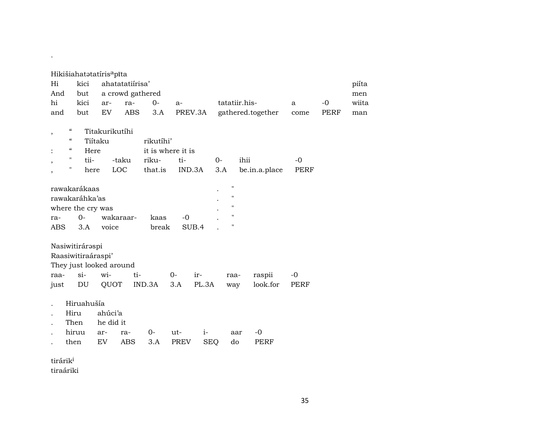|                      |                                        |                            | Hikišiahatatatíris <sup>a</sup> pīta |                  |                   |        |            |                    |                   |      |             |       |
|----------------------|----------------------------------------|----------------------------|--------------------------------------|------------------|-------------------|--------|------------|--------------------|-------------------|------|-------------|-------|
| Hi                   |                                        | kici                       |                                      | ahatatatiirisa'  |                   |        |            |                    |                   |      |             | piíta |
| And                  |                                        | but                        |                                      | a crowd gathered |                   |        |            |                    |                   |      |             | men   |
| hi                   |                                        | kici                       | ar-                                  | ra-              | $0-$              | $a-$   |            |                    | tatatiir.his-     | a    | $-0$        | wiita |
| and                  |                                        | but                        | ${\rm EV}$                           | <b>ABS</b>       | 3.A               |        | PREV.3A    |                    | gathered.together | come | <b>PERF</b> | man   |
|                      |                                        |                            |                                      |                  |                   |        |            |                    |                   |      |             |       |
| $\, ,$               | $\boldsymbol{\zeta}\boldsymbol{\zeta}$ |                            | Titakurikutíhi                       |                  |                   |        |            |                    |                   |      |             |       |
|                      | $\boldsymbol{\zeta}\boldsymbol{\zeta}$ |                            | Tiítaku                              |                  | rikutíhi'         |        |            |                    |                   |      |             |       |
|                      | $\boldsymbol{\zeta}\boldsymbol{\zeta}$ | Here                       |                                      |                  | it is where it is |        |            |                    |                   |      |             |       |
| ,                    | 11                                     | tii-                       |                                      | -taku            | riku-             | ti-    | $0-$       |                    | ihii              | $-0$ |             |       |
|                      | 11                                     | here                       |                                      | LOC              | that.is           | IND.3A |            | 3.A                | be.in.a.place     | PERF |             |       |
|                      |                                        |                            |                                      |                  |                   |        |            | $\pmb{\mathsf{H}}$ |                   |      |             |       |
|                      |                                        | rawakarákaas               |                                      |                  |                   |        |            | $\pmb{\mathsf{H}}$ |                   |      |             |       |
|                      |                                        | rawakaráhka'as             |                                      |                  |                   |        |            | $\pmb{\mathsf{H}}$ |                   |      |             |       |
|                      |                                        | where the cry was<br>$O -$ |                                      | wakaraar-        |                   | $-0$   |            | $\pmb{\mathsf{H}}$ |                   |      |             |       |
| ra-<br>ABS           |                                        | 3.A                        | voice                                |                  | kaas<br>break     |        | SUB.4      | $\pmb{\mathsf{H}}$ |                   |      |             |       |
|                      |                                        |                            |                                      |                  |                   |        |            |                    |                   |      |             |       |
|                      |                                        | Nasiwitiráraspi            |                                      |                  |                   |        |            |                    |                   |      |             |       |
|                      |                                        | Raasiwitiraáraspi'         |                                      |                  |                   |        |            |                    |                   |      |             |       |
|                      |                                        |                            | They just looked around              |                  |                   |        |            |                    |                   |      |             |       |
| raa-                 |                                        | $\sin$                     | wi-                                  | ti-              |                   | $0-$   | ir-        | raa-               | raspii            | $-0$ |             |       |
| just                 |                                        | DU                         | QUOT                                 |                  | IND.3A            | 3.A    | PL.3A      | way                | look.for          | PERF |             |       |
|                      |                                        |                            |                                      |                  |                   |        |            |                    |                   |      |             |       |
|                      |                                        | Hiruahušía                 |                                      |                  |                   |        |            |                    |                   |      |             |       |
|                      | Hiru                                   |                            | ahúci'a                              |                  |                   |        |            |                    |                   |      |             |       |
|                      | Then                                   |                            | he did it                            |                  |                   |        |            |                    |                   |      |             |       |
|                      |                                        | hiruu                      | ar-                                  | ra-              | $0-$              | ut-    | $i-$       | aar                | -0                |      |             |       |
|                      | then                                   |                            | EV                                   | <b>ABS</b>       | 3.A               | PREV   | <b>SEQ</b> | do                 | PERF              |      |             |       |
|                      |                                        |                            |                                      |                  |                   |        |            |                    |                   |      |             |       |
| tirárik <sup>i</sup> |                                        |                            |                                      |                  |                   |        |            |                    |                   |      |             |       |
|                      |                                        |                            |                                      |                  |                   |        |            |                    |                   |      |             |       |

tiraáriki

.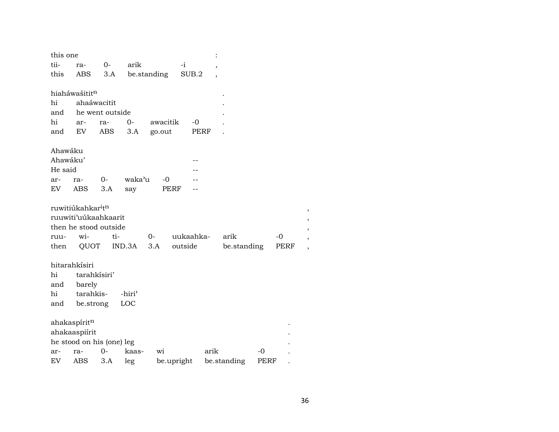| this one            |                                           |                 |                    |             |            |           |      |             |      |      |  |
|---------------------|-------------------------------------------|-----------------|--------------------|-------------|------------|-----------|------|-------------|------|------|--|
| tii-                | ra-                                       | $0-$            | arik               |             | $-i$       |           |      |             |      |      |  |
| this                | ABS                                       | 3.A             |                    | be.standing |            | SUB.2     |      |             |      |      |  |
|                     |                                           |                 |                    |             |            |           |      |             |      |      |  |
|                     | hiaháwašititn                             |                 |                    |             |            |           |      |             |      |      |  |
| hi                  |                                           | ahaáwacitit     |                    |             |            |           |      |             |      |      |  |
| and                 |                                           | he went outside |                    |             |            |           |      |             |      |      |  |
| hi                  | ar-                                       | ra-             | $0-$               | awacitik    |            | $-0$      |      |             |      |      |  |
| and                 | EV                                        | ABS             | 3.A                | go.out      |            | PERF      |      |             |      |      |  |
|                     |                                           |                 |                    |             |            |           |      |             |      |      |  |
| Ahawáku<br>Ahawáku' |                                           |                 |                    |             |            |           |      |             |      |      |  |
| He said             |                                           |                 |                    |             |            |           |      |             |      |      |  |
| ar-                 | ra-                                       | $0-$            | waka'u             | $-0$        |            |           |      |             |      |      |  |
| EV                  | ABS                                       | 3.A             | say                |             | PERF       |           |      |             |      |      |  |
|                     |                                           |                 |                    |             |            |           |      |             |      |      |  |
|                     | ruwitiúkahkar <sup>i</sup> t <sup>n</sup> |                 |                    |             |            |           |      |             |      |      |  |
|                     | ruuwiti'uúkaahkaarit                      |                 |                    |             |            |           |      |             |      |      |  |
|                     | then he stood outside                     |                 |                    |             |            |           |      |             |      |      |  |
| ruu-                | wi-                                       | ti-             |                    | $0-$        |            | uukaahka- |      | arik        |      | $-0$ |  |
| then                | QUOT                                      |                 | IND.3A             | 3.A         | outside    |           |      | be.standing |      | PERF |  |
|                     |                                           |                 |                    |             |            |           |      |             |      |      |  |
|                     | hitarahkísiri                             |                 |                    |             |            |           |      |             |      |      |  |
| hi                  | tarahkísiri'                              |                 |                    |             |            |           |      |             |      |      |  |
| and                 | barely                                    |                 |                    |             |            |           |      |             |      |      |  |
| hi                  | tarahkis-                                 |                 | -hiri <sup>3</sup> |             |            |           |      |             |      |      |  |
| and                 | be.strong                                 |                 | LOC                |             |            |           |      |             |      |      |  |
|                     |                                           |                 |                    |             |            |           |      |             |      |      |  |
|                     | ahakaspíritn                              |                 |                    |             |            |           |      |             |      |      |  |
|                     | ahakaaspiirit                             |                 |                    |             |            |           |      |             |      |      |  |
|                     | he stood on his (one) leg                 |                 |                    |             |            |           |      |             |      |      |  |
| ar-                 | ra-                                       | 0-              | kaas-              | wi          |            |           | arik |             | -0   |      |  |
| EV                  | <b>ABS</b>                                | 3.A             | leg                |             | be.upright |           |      | be.standing | PERF |      |  |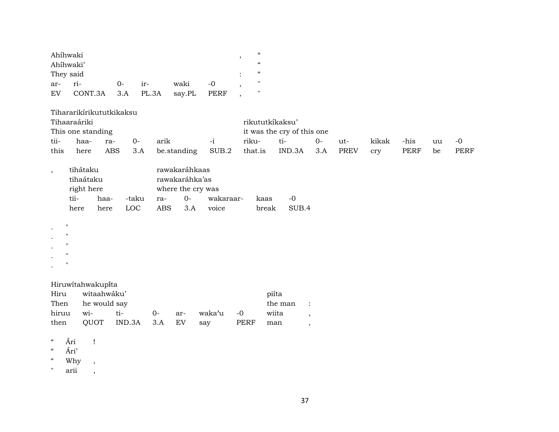| Ahíhwaki  |                   |          |     |        |      |   | $\epsilon$ |
|-----------|-------------------|----------|-----|--------|------|---|------------|
| Ahíhwaki' |                   |          |     |        |      |   | $\epsilon$ |
| They said |                   |          |     |        |      |   | $\epsilon$ |
| $ar-$     | ri-               | $\Omega$ | ir- | waki   | $-0$ | ۰ | п          |
| EV .      | CONT.3A 3.A PL.3A |          |     | say.PL | PERF |   | "          |

Tihararikírikututkikaksu

|      | Tihaaraáriki      |         |      |             |       | rikututkíkaksu' |                            |    |          |       |      |    |      |  |  |
|------|-------------------|---------|------|-------------|-------|-----------------|----------------------------|----|----------|-------|------|----|------|--|--|
|      | This one standing |         |      |             |       |                 | it was the cry of this one |    |          |       |      |    |      |  |  |
| tii- | haa-              | ra-     | $O-$ | arik        | $-1$  | riku-           | - †1–                      | ∩– | ut-      | kikak | -his | uu | -0   |  |  |
| this | here              | ABS 3.A |      | be.standing | SUB.2 |                 | that.is IND.3A             |    | 3.A PREV | cry   | PERF | be | PERF |  |  |

| tihátaku   |       |       | rawakaráhkaas |                   |           |              |       |  |  |  |  |
|------------|-------|-------|---------------|-------------------|-----------|--------------|-------|--|--|--|--|
| tihaátaku  |       |       |               | rawakaráhka'as    |           |              |       |  |  |  |  |
| right here |       |       |               | where the cry was |           |              |       |  |  |  |  |
| tii-       | haa-  | -taku | ra-           | $\Omega$          | wakaraar- | kaas         | $-0$  |  |  |  |  |
| here.      | here. | LOC.  | ABS           | $\mathcal{A}$     | voice     | <b>break</b> | SUR 4 |  |  |  |  |

| $\bullet$ | $\mathbf{H}$ |  |  |  |
|-----------|--------------|--|--|--|
| $\bullet$ | $\mathbf{H}$ |  |  |  |
| $\bullet$ | $\mathbf{H}$ |  |  |  |
| $\cdot$   | $\mathbf{H}$ |  |  |  |
| $\bullet$ | $\mathbf{H}$ |  |  |  |

# Hiruwítahwakupïta

| Hiru witaahwáku' | piíta             |  |  |                                  |  |       |  |  |  |
|------------------|-------------------|--|--|----------------------------------|--|-------|--|--|--|
|                  | Then he would say |  |  |                                  |  |       |  |  |  |
|                  | hiruu wi- ti-     |  |  | 0- ar- waka'u -0                 |  | wiita |  |  |  |
|                  |                   |  |  | then QUOT IND.3A 3.A EV say PERF |  | man   |  |  |  |

- $\lq$   $\qquad$   $\qquad$   $\qquad$   $\qquad$   $\qquad$   $\qquad$   $\qquad$   $\qquad$   $\qquad$   $\qquad$   $\qquad$   $\qquad$   $\qquad$   $\qquad$   $\qquad$   $\qquad$   $\qquad$   $\qquad$   $\qquad$   $\qquad$   $\qquad$   $\qquad$   $\qquad$   $\qquad$   $\qquad$   $\qquad$   $\qquad$   $\qquad$   $\qquad$   $\qquad$   $\qquad$   $\qquad$   $\qquad$   $\qquad$   $\qquad$   $\qquad$
- " Ári'
- " Why ,
- " arii ,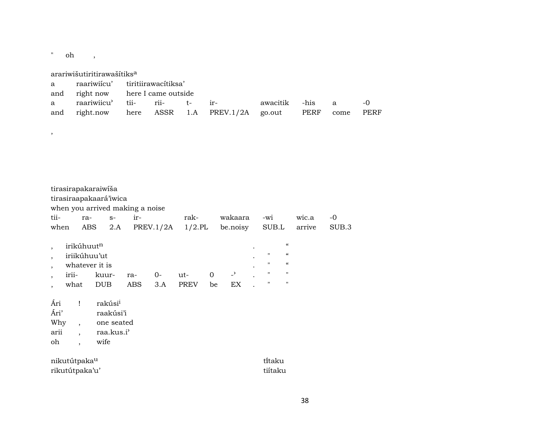$"$  oh ,

,

arariwišutiritirawašítiks<sup>a</sup>

|  | a raariwiicu' tiritiirawacitiksa' |  |                                                             |  |  |  |  |  |  |  |
|--|-----------------------------------|--|-------------------------------------------------------------|--|--|--|--|--|--|--|
|  | and right now here I came outside |  |                                                             |  |  |  |  |  |  |  |
|  |                                   |  | a raariwiicu' tii- rii- t- ir-   awacitik -his a  -0        |  |  |  |  |  |  |  |
|  |                                   |  | and right.now here ASSR 1.A PREV.1/2A go.out PERF come PERF |  |  |  |  |  |  |  |

| tii-<br>when                                                 | tirasirapakaraiwiša                                                         | ra-<br>ABS            | tirasiraapakaará'iwica<br>$S-$<br>2.A                                | when you arrived making a noise<br>ir- |           | rak-<br>$PREV.1/2A$ 1/2.PL |                   | wakaara<br>be.noisy            | -wi<br>SUB.L                                             |                                                                                                  | wic.a<br>arrive | -0<br>SUB.3 |
|--------------------------------------------------------------|-----------------------------------------------------------------------------|-----------------------|----------------------------------------------------------------------|----------------------------------------|-----------|----------------------------|-------------------|--------------------------------|----------------------------------------------------------|--------------------------------------------------------------------------------------------------|-----------------|-------------|
| $\overline{\phantom{a}}$<br>$\overline{ }$<br>$\overline{ }$ | irikúhuut <sup>n</sup><br>iriikúhuu'ut<br>irii-<br>what                     | whatever it is<br>DUB | kuur-                                                                | ra-<br>ABS                             | 0-<br>3.A | ut-<br>PREV                | $\mathbf 0$<br>be | $\overline{\phantom{0}}$<br>EX | $\pmb{\mathsf{H}}$<br>$\mathbf{H}$<br>$\mathbf{H}$<br>11 | $\mathcal{C}\mathcal{C}$<br>$\mathcal{C}$<br>$\mathcal{C}$<br>$\pmb{\mathsf{H}}$<br>$\mathbf{H}$ |                 |             |
| Ári<br>Ári'<br>Why<br>arii<br>oh                             | $\mathbf{I}$<br>$\overline{\phantom{a}}$<br>$\ddot{\phantom{0}}$<br>$\cdot$ |                       | rakúsi <sup>i</sup><br>raakúsi'i<br>one seated<br>raa.kus.i'<br>wife |                                        |           |                            |                   |                                |                                                          |                                                                                                  |                 |             |
|                                                              | nikutútpaka <sup>u</sup><br>rikutútpaka'u'                                  |                       |                                                                      |                                        |           |                            |                   |                                | tītaku<br>tiítaku                                        |                                                                                                  |                 |             |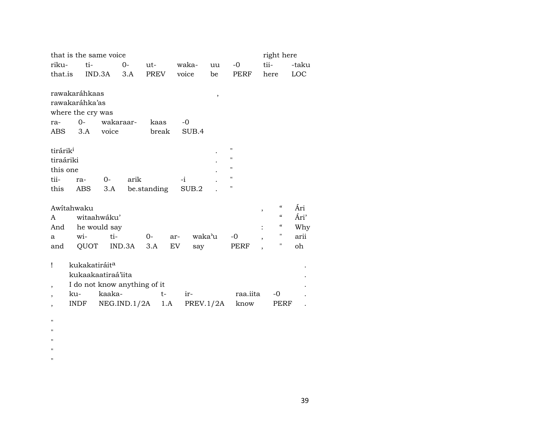| that is the same voice<br>right here |                           |                |           |                              |       |        |        |                    |                |                                        |            |  |
|--------------------------------------|---------------------------|----------------|-----------|------------------------------|-------|--------|--------|--------------------|----------------|----------------------------------------|------------|--|
| riku-                                | ti-                       |                | $0-$      | ut-                          | waka- |        | uu     | $-0$               | tii-           |                                        | -taku      |  |
| that.is                              |                           | $IND.3A$ $3.A$ |           | PREV                         | voice |        | be     | PERF               | here           |                                        | <b>LOC</b> |  |
|                                      |                           |                |           |                              |       |        |        |                    |                |                                        |            |  |
|                                      | rawakaráhkaas             |                |           |                              |       |        | $\, ,$ |                    |                |                                        |            |  |
|                                      | rawakaráhka'as            |                |           |                              |       |        |        |                    |                |                                        |            |  |
|                                      | where the cry was         |                |           |                              |       |        |        |                    |                |                                        |            |  |
| ra-                                  | $0-$                      |                | wakaraar- | kaas                         | $-0$  |        |        |                    |                |                                        |            |  |
|                                      | ABS 3.A                   | voice          |           | break                        |       | SUB.4  |        |                    |                |                                        |            |  |
|                                      |                           |                |           |                              |       |        |        |                    |                |                                        |            |  |
| tirárik <sup>i</sup>                 |                           |                |           |                              |       |        |        | "                  |                |                                        |            |  |
| tiraáriki                            |                           |                |           |                              |       |        |        | "                  |                |                                        |            |  |
| this one                             |                           |                |           |                              |       |        |        | $\pmb{\mathsf{H}}$ |                |                                        |            |  |
| tii-                                 | ra-                       | 0-             | arik      |                              | $-i$  |        |        | $\pmb{\mathsf{H}}$ |                |                                        |            |  |
| this                                 | ABS                       | 3.A            |           | be.standing                  |       | SUB.2  |        | "                  |                |                                        |            |  |
|                                      |                           |                |           |                              |       |        |        |                    |                |                                        |            |  |
| Awitahwaku                           |                           |                |           |                              |       |        |        |                    | $\overline{ }$ | $\epsilon$                             | Ári        |  |
| A                                    | witaahwáku'               |                |           |                              |       |        |        |                    |                | $\boldsymbol{\zeta}\boldsymbol{\zeta}$ | Ári'       |  |
| And                                  | he would say              |                |           |                              |       |        |        |                    |                | "                                      | Why        |  |
| a                                    | wi-                       | ti-            |           | 0-                           | ar-   | waka'u |        | -0                 |                | 11                                     | arii       |  |
| and                                  | QUOT                      |                | IND.3A    | 3.A                          | EV    | say    |        | PERF               |                | Η                                      | oh         |  |
|                                      |                           |                |           |                              |       |        |        |                    |                |                                        |            |  |
| Ţ                                    | kukakatiráit <sup>a</sup> |                |           |                              |       |        |        |                    |                |                                        |            |  |
|                                      | kukaakaatiraá'iita        |                |           |                              |       |        |        |                    |                |                                        |            |  |
| $\overline{\phantom{a}}$             |                           |                |           | I do not know anything of it |       |        |        |                    |                |                                        |            |  |

, ku- kaaka- t- ir- raa.iita -0 .<br>, INDF NEG.IND.1/2A 1.A PREV.1/2A know PERF . , INDF NEG.IND.1/2A 1.A PREV.1/2A know

 $\mathbf{u}$ "  $\mathbf{u}$  $\mathbf{u}$  $\mathbf{u}$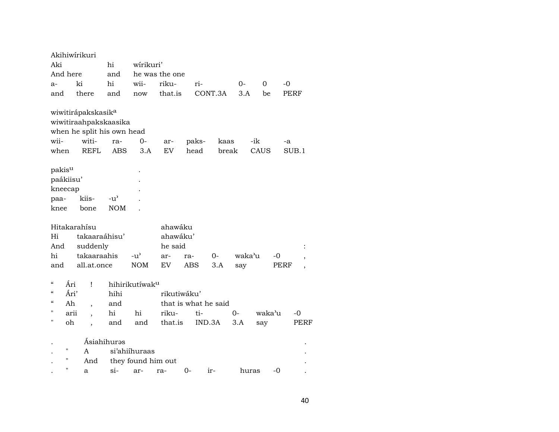|                                                |           | Akihiwírikuri                  |               |                            |                      |      |        |         |        |        |      |       |
|------------------------------------------------|-----------|--------------------------------|---------------|----------------------------|----------------------|------|--------|---------|--------|--------|------|-------|
| Aki                                            |           |                                | hi            | wírikuri'                  |                      |      |        |         |        |        |      |       |
|                                                | And here  |                                | and           |                            | he was the one       |      |        |         |        |        |      |       |
| a-                                             |           | ki                             | hi            | wii-                       | riku-                |      | ri-    |         | 0-     | 0      | -0   |       |
| and                                            |           | there                          | and           | now                        | that.is              |      |        | CONT.3A | 3.A    | be     |      | PERF  |
|                                                |           | wiwitirápakskasik <sup>a</sup> |               |                            |                      |      |        |         |        |        |      |       |
|                                                |           | wiwitiraahpakskaasika          |               |                            |                      |      |        |         |        |        |      |       |
|                                                |           | when he split his own head     |               |                            |                      |      |        |         |        |        |      |       |
| wii-                                           |           | witi-                          | ra-           | $O -$                      | ar-                  |      | paks-  | kaas    |        | -ik    | -a   |       |
| when                                           |           | <b>REFL</b>                    | <b>ABS</b>    | 3.A                        | EV                   |      | head   | break   |        | CAUS   |      | SUB.1 |
| pakisu                                         |           |                                |               |                            |                      |      |        |         |        |        |      |       |
|                                                | paákiisu' |                                |               |                            |                      |      |        |         |        |        |      |       |
|                                                | kneecap   |                                |               |                            |                      |      |        |         |        |        |      |       |
| paa-                                           |           | kiis-                          | $-u^{\prime}$ |                            |                      |      |        |         |        |        |      |       |
| knee                                           |           | bone                           | <b>NOM</b>    |                            |                      |      |        |         |        |        |      |       |
|                                                |           | Hitakarahísu                   |               |                            | ahawáku              |      |        |         |        |        |      |       |
| Hi                                             |           | takaaraáhisu'                  |               |                            | ahawáku'             |      |        |         |        |        |      |       |
| And                                            |           | suddenly                       |               |                            | he said              |      |        |         |        |        |      |       |
| hi                                             |           | takaaraahis                    |               | $-u^{\prime}$              | ar-                  | ra-  |        | 0-      | waka'u |        | -0   |       |
| and                                            |           | all.at.once                    |               | <b>NOM</b>                 | EV                   | ABS  |        | 3.A     | say    |        | PERF |       |
| $\boldsymbol{\varsigma}\boldsymbol{\varsigma}$ | Ári       | Ţ                              |               | hihirikutíwak <sup>u</sup> |                      |      |        |         |        |        |      |       |
| $\mathcal{C}$                                  | Ári'      |                                | hihi          |                            | rikutiwáku'          |      |        |         |        |        |      |       |
| $\epsilon$                                     | Ah        | $\overline{\phantom{a}}$       | and           |                            | that is what he said |      |        |         |        |        |      |       |
| П                                              | arii      |                                | hi            | hi                         | riku-                |      | ti-    |         | $0-$   | waka'u |      | $-0$  |
| п                                              | oh        |                                | and           | and                        | that.is              |      | IND.3A |         | 3.A    | say    |      | PERF  |
|                                                |           |                                | Ásiahihurəs   |                            |                      |      |        |         |        |        |      |       |
|                                                | П         | A                              |               | si'ahiihuraas              |                      |      |        |         |        |        |      |       |
|                                                | П         | And                            |               | they found him out         |                      |      |        |         |        |        |      |       |
|                                                | н         | a                              | $si-$         | ar-                        | ra-                  | $0-$ |        | ir-     | huras  |        | -0   |       |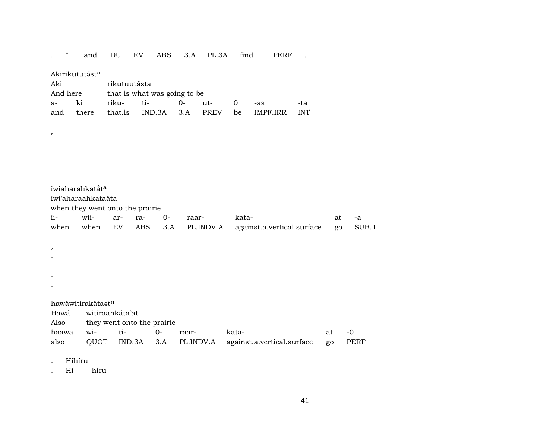### PERF . . " and DU EV ABS 3.A PL.3A find

### Akirikututást<sup>a</sup>

 $\overline{\phantom{a}}$ 

| Aki      |    | rikutuutásta                 |  |  |  |                                           |     |  |  |  |  |  |
|----------|----|------------------------------|--|--|--|-------------------------------------------|-----|--|--|--|--|--|
| And here |    | that is what was going to be |  |  |  |                                           |     |  |  |  |  |  |
| $a-$     | ki |                              |  |  |  | $-8s$                                     | -ta |  |  |  |  |  |
| and      |    |                              |  |  |  | there that is IND.3A 3.A PREV be IMPF.IRR | INT |  |  |  |  |  |

|           | iwiaharahkatắt <sup>a</sup>     |                 |                            |     |           |                            |    |    |       |
|-----------|---------------------------------|-----------------|----------------------------|-----|-----------|----------------------------|----|----|-------|
|           | iwi'aharaahkataáta              |                 |                            |     |           |                            |    |    |       |
|           | when they went onto the prairie |                 |                            |     |           |                            |    |    |       |
| ii-       | wii-                            | ar-             | ra-                        | 0-  | raar-     | kata-                      | at | -a |       |
| when      | when                            | EV              | <b>ABS</b>                 | 3.A | PL.INDV.A | against.a.vertical.surface | go |    | SUB.1 |
|           |                                 |                 |                            |     |           |                            |    |    |       |
| $\cdot$   |                                 |                 |                            |     |           |                            |    |    |       |
| $\bullet$ |                                 |                 |                            |     |           |                            |    |    |       |
| $\bullet$ |                                 |                 |                            |     |           |                            |    |    |       |
| $\bullet$ |                                 |                 |                            |     |           |                            |    |    |       |
| $\bullet$ |                                 |                 |                            |     |           |                            |    |    |       |
|           |                                 |                 |                            |     |           |                            |    |    |       |
|           | hawáwitirakátaatn               |                 |                            |     |           |                            |    |    |       |
| Hawá      |                                 | witiraahkáta'at |                            |     |           |                            |    |    |       |
| Also      |                                 |                 | they went onto the prairie |     |           |                            |    |    |       |
| haawa     | wi-                             | ti-             |                            | 0-  | raar-     | kata-                      | at | -0 |       |

|  |  | also QUOT IND.3A 3.A PL.INDV.A against.a.vertical.surface go PERF |  |
|--|--|-------------------------------------------------------------------|--|
|  |  |                                                                   |  |

Hihíru  $\mathbb{Z}^{\mathbb{Z}}$ 

 $Hi$ hiru  $\mathcal{L}^{\pm}$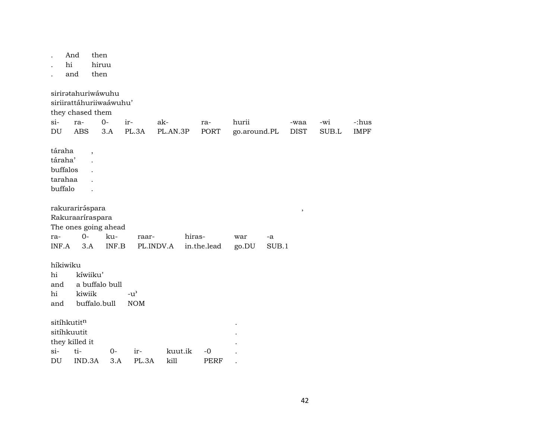|          | And<br>hi<br>and                                    |                                | then<br>hiruu<br>then                                                            |                                                   |                 |                       |                       |             |                     |              |                      |
|----------|-----------------------------------------------------|--------------------------------|----------------------------------------------------------------------------------|---------------------------------------------------|-----------------|-----------------------|-----------------------|-------------|---------------------|--------------|----------------------|
|          | $si-$<br>DU                                         | ra-<br><b>ABS</b>              | sirirətahuriwáwuhu<br>siriirattáhuriiwaáwuhu'<br>they chased them<br>$0-$<br>3.A | ir-<br>PL.3A                                      | ak-<br>PL.AN.3P | ra-<br>PORT           | hurii<br>go.around.PL |             | -waa<br><b>DIST</b> | -wi<br>SUB.L | -:hus<br><b>IMPF</b> |
|          | táraha<br>táraha'<br>buffalos<br>tarahaa<br>buffalo |                                | $\overline{\phantom{a}}$                                                         |                                                   |                 |                       |                       |             |                     |              |                      |
|          | ra-<br>INF.A                                        | rakurariráspara<br>$0-$<br>3.A | Rakuraaríraspara<br>The ones going ahead<br>ku-<br>INF.B                         | raar-                                             | PL.INDV.A       | hiras-<br>in.the.lead | war<br>go.DU          | -a<br>SUB.1 | $^\mathrm{,}$       |              |                      |
| hi<br>hi | híkiwiku<br>and<br>and                              | kíwiiku'<br>kiwiik             | a buffalo bull<br>buffalo.bull                                                   | $-u$ <sup><math>\prime</math></sup><br><b>NOM</b> |                 |                       |                       |             |                     |              |                      |
|          | sitíhkutit <sup>n</sup><br>sitíhkuutit<br>$\sin$    | they killed it<br>ti-          | $0-$                                                                             | ir-                                               | kuut.ik         | $-0$                  |                       |             |                     |              |                      |
|          | $\mathop{\rm DU}\nolimits$                          | IND.3A                         | 3.A                                                                              | PL.3A                                             | kill            | <b>PERF</b>           |                       |             |                     |              |                      |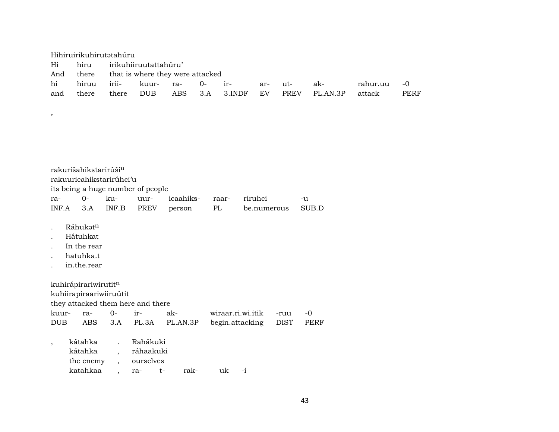|     | Hihiruirikuhirutətahúru       |                                            |  |  |                             |     |        |          |          |      |
|-----|-------------------------------|--------------------------------------------|--|--|-----------------------------|-----|--------|----------|----------|------|
|     | Hi hiru irikuhiiruutattahúru' |                                            |  |  |                             |     |        |          |          |      |
|     |                               | And there that is where they were attacked |  |  |                             |     |        |          |          |      |
| hi  | hiruu irii- kuur- ra- 0- ir-  |                                            |  |  |                             | ar- | $ut$ - | ak-      | rahur.uu | $-0$ |
| and | there                         |                                            |  |  | there DUB ABS 3.A 3.INDF EV |     | PREV   | PL.AN.3P | attack   | PERF |

| rakurišahikstarirúši <sup>u</sup> |                                   |  |  |                                         |  |             |       |  |  |  |  |
|-----------------------------------|-----------------------------------|--|--|-----------------------------------------|--|-------------|-------|--|--|--|--|
|                                   | rakuuricahikstarirúhci'u          |  |  |                                         |  |             |       |  |  |  |  |
|                                   | its being a huge number of people |  |  |                                         |  |             |       |  |  |  |  |
|                                   |                                   |  |  | ra- 0- ku- uur- icaahiks- raar- riruhci |  |             | -11   |  |  |  |  |
|                                   |                                   |  |  | INF.A 3.A INF.B PREV person PL          |  | be.numerous | SUB.D |  |  |  |  |

. Ráhukət<sup>n</sup>

 $\lambda$ 

- . Hátuhkat
- . In the rear
- . hatuhka.t
- . in.the.rear

kuhirápirariwirutit $^{\rm n}$ kuhiirapiraariwiiruútit

they attacked them here and there

|  |  | DUB ABS 3.A PL.3A PL.AN.3P begin.attacking DIST PERF |  |
|--|--|------------------------------------------------------|--|

| kátahka   | Rahákuki  |    |      |               |      |  |
|-----------|-----------|----|------|---------------|------|--|
| kátahka   | ráhaakuki |    |      |               |      |  |
| the enemy | ourselves |    |      |               |      |  |
| katahkaa  | -ra       | t- | rak- | $n\mathbf{k}$ | $-1$ |  |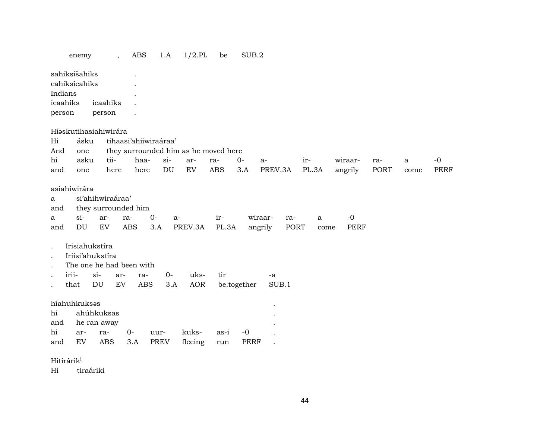|                        | enemy                        |                               | ABS<br>$\overline{ }$ ,                  |             | 1.A    | $1/2$ .PL                            | be                   | SUB.2       |                                   |           |                     |      |      |             |
|------------------------|------------------------------|-------------------------------|------------------------------------------|-------------|--------|--------------------------------------|----------------------|-------------|-----------------------------------|-----------|---------------------|------|------|-------------|
|                        | sahiksíšahiks                |                               |                                          |             |        |                                      |                      |             |                                   |           |                     |      |      |             |
|                        | cahiksícahiks                |                               |                                          |             |        |                                      |                      |             |                                   |           |                     |      |      |             |
| Indians                |                              |                               |                                          |             |        |                                      |                      |             |                                   |           |                     |      |      |             |
| icaahiks               |                              | icaahiks                      |                                          |             |        |                                      |                      |             |                                   |           |                     |      |      |             |
| person                 |                              | person                        |                                          |             |        |                                      |                      |             |                                   |           |                     |      |      |             |
|                        |                              | Híaskutihasiahiwirára         |                                          |             |        |                                      |                      |             |                                   |           |                     |      |      |             |
| Hi                     | ásku                         |                               | tihaasi'ahiiwiraáraa'                    |             |        |                                      |                      |             |                                   |           |                     |      |      |             |
| And                    | one                          |                               |                                          |             |        | they surrounded him as he moved here |                      |             |                                   |           |                     |      |      |             |
| hi                     | asku                         | tii-                          |                                          | haa-        | $si$ - | ar-                                  | ra-                  | $0-$        | a-                                | ir-       | wiraar-             | ra-  | a    | $-0$        |
| and                    | one                          | here                          |                                          | here        | DU     | EV                                   | <b>ABS</b>           | 3.A         | PREV.3A                           | PL.3A     | angrily             | PORT | come | <b>PERF</b> |
| a<br>and<br>a<br>and   | asiahiwirára<br>$\sin$<br>DU | si'ahihwiraáraa'<br>ar-<br>EV | they surrounded him<br>ra-<br><b>ABS</b> | $0-$<br>3.A | a-     | PREV.3A                              | ir-<br>PL.3A         |             | wiraar-<br>ra-<br>angrily<br>PORT | a<br>come | $-0$<br><b>PERF</b> |      |      |             |
|                        | Irisiahukstíra               |                               |                                          |             |        |                                      |                      |             |                                   |           |                     |      |      |             |
|                        |                              | Iriisi'ahukstíra              |                                          |             |        |                                      |                      |             |                                   |           |                     |      |      |             |
|                        |                              |                               | The one he had been with                 |             |        |                                      |                      |             |                                   |           |                     |      |      |             |
|                        | irii-                        | $si-$                         | ar-                                      | ra-         | $O -$  | uks-                                 | tir                  |             | $-a$                              |           |                     |      |      |             |
|                        | that                         | DU                            | EV                                       | <b>ABS</b>  | 3.A    | AOR                                  |                      | be.together | SUB.1                             |           |                     |      |      |             |
| hi<br>and              | híahuhkuksas                 | ahúhkuksas<br>he ran away     |                                          |             |        |                                      |                      |             |                                   |           |                     |      |      |             |
| hi                     | ar-                          | ra-                           | $0-$                                     | uur-        |        | kuks-                                | as-i                 | $-0$        |                                   |           |                     |      |      |             |
| and                    | EV                           | ABS                           | 3.A                                      | <b>PREV</b> |        | fleeing                              | $\operatorname{run}$ | <b>PERF</b> |                                   |           |                     |      |      |             |
| Hitirárik <sup>i</sup> |                              |                               |                                          |             |        |                                      |                      |             |                                   |           |                     |      |      |             |

Hi tiraáriki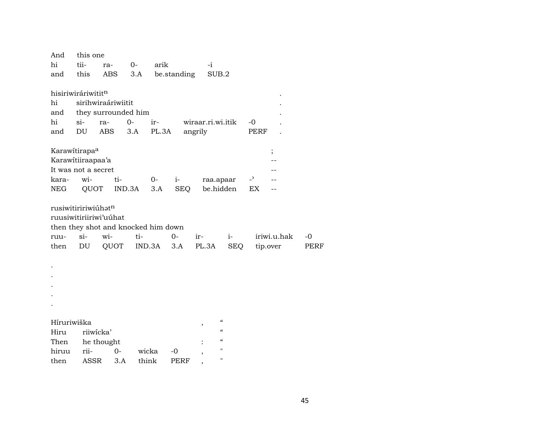| And                       | this one    |                                     |        |        |             |                   |               |              |             |
|---------------------------|-------------|-------------------------------------|--------|--------|-------------|-------------------|---------------|--------------|-------------|
| $\hbox{hi}$               | tii-        | ra-                                 | 0-     | arik   |             | -i                |               |              |             |
| and                       | this        | <b>ABS</b>                          | 3.A    |        | be.standing |                   | SUB.2         |              |             |
|                           |             |                                     |        |        |             |                   |               |              |             |
| hisiriwiráriwititn        |             |                                     |        |        |             |                   |               |              |             |
| hi                        |             | sirihwiraáriwiitit                  |        |        |             |                   |               |              |             |
| and                       |             | they surrounded him                 |        |        |             |                   |               |              |             |
| hi                        | $si-$       | ra-                                 | $0 -$  | ir-    |             | wiraar.ri.wi.itik |               | -0           |             |
| and                       | DU          | ABS                                 | 3.A    | PL.3A  |             | angrily           |               | <b>PERF</b>  |             |
|                           |             |                                     |        |        |             |                   |               |              |             |
| Karawitirapa <sup>a</sup> |             |                                     |        |        |             |                   |               |              | $\vdots$    |
| Karawitiiraapaa'a         |             |                                     |        |        |             |                   |               |              |             |
| It was not a secret       |             |                                     |        |        |             |                   |               |              |             |
| kara-                     | wi-         | ti-                                 |        | 0-     | $i-$        |                   | raa.apaar     | $\mathbf{P}$ |             |
| NEG                       | QUOT        |                                     | IND.3A | 3.A    | <b>SEQ</b>  |                   | be.hidden     | EX           |             |
|                           |             |                                     |        |        |             |                   |               |              |             |
| rusiwitiririwiúhatn       |             |                                     |        |        |             |                   |               |              |             |
|                           |             | ruusiwitiriiriwi'uuhat              |        |        |             |                   |               |              |             |
|                           |             | then they shot and knocked him down |        |        |             |                   |               |              |             |
| ruu-                      | si-         | wi-                                 | ti-    |        | $0-$        | ir-               | $i-$          |              | iriwi.u.hak |
| then                      | DU          | QUOT                                |        | IND.3A | 3.A         | PL.3A             | <b>SEQ</b>    |              | tip.over    |
|                           |             |                                     |        |        |             |                   |               |              |             |
|                           |             |                                     |        |        |             |                   |               |              |             |
|                           |             |                                     |        |        |             |                   |               |              |             |
|                           |             |                                     |        |        |             |                   |               |              |             |
|                           |             |                                     |        |        |             |                   |               |              |             |
|                           |             |                                     |        |        |             |                   |               |              |             |
|                           |             |                                     |        |        |             |                   |               |              |             |
| Híruriwiška               |             |                                     |        |        |             | ,                 | $\mathcal{C}$ |              |             |
| Hiru                      |             | riiwicka'                           |        |        |             |                   | $\epsilon$    |              |             |
| Then                      |             | he thought                          |        |        |             |                   | $\alpha$      |              |             |
| hiruu                     | rii-        | 0-                                  |        | wicka  | -0          |                   | $\mathbf{H}$  |              |             |
| then                      | <b>ASSR</b> | 3.A                                 | think  |        | PERF        |                   | п             |              |             |

 $-0$ PERF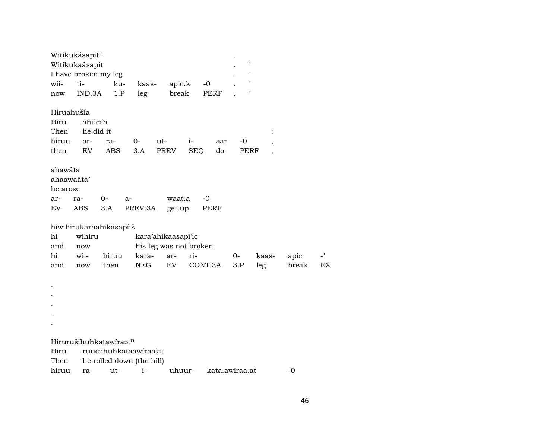| $\pmb{\mathsf{H}}$<br>Witikukaásapit<br>11<br>I have broken my leg<br>$\pmb{\mathsf{H}}$<br>ti-<br>wii-<br>ku-<br>apic.k<br>$-0$<br>kaas-<br>"<br>1.P<br>break<br>IND.3A<br>PERF<br>leg<br>now<br>Hiruahušía<br>ahúci'a<br>Hiru<br>Then<br>he did it<br>$\ddot{\cdot}$<br>hiruu<br>$0-$<br>$-0$<br>ut-<br>$i-$<br>ra-<br>aar<br>ar-<br>$\overline{\phantom{a}}$<br>EV<br>PREV<br>then<br>ABS<br>3.A<br><b>SEQ</b><br>do<br>PERF<br>$\overline{\phantom{a}}$<br>ahawáta<br>ahaawaáta'<br>he arose<br>$0-$<br>waat.a<br>-0<br>ra-<br>ar-<br>a-<br>3.A<br>EV.<br>ABS<br>PREV.3A<br>get.up<br>PERF<br>hiwihirukaraahikasapíiš<br>wihiru<br>hi<br>kara'ahikaasapí'ic<br>his leg was not broken<br>and<br>now<br>hi<br>wii-<br>ri-<br>$\overline{z}$<br>hiruu<br>kara-<br>0-<br>apic<br>ar-<br>kaas-<br>NEG<br>EV<br>CONT.3A<br>break<br>then<br>3.P<br>leg<br>EX<br>and<br>now |
|---------------------------------------------------------------------------------------------------------------------------------------------------------------------------------------------------------------------------------------------------------------------------------------------------------------------------------------------------------------------------------------------------------------------------------------------------------------------------------------------------------------------------------------------------------------------------------------------------------------------------------------------------------------------------------------------------------------------------------------------------------------------------------------------------------------------------------------------------------------------------|
|                                                                                                                                                                                                                                                                                                                                                                                                                                                                                                                                                                                                                                                                                                                                                                                                                                                                           |
|                                                                                                                                                                                                                                                                                                                                                                                                                                                                                                                                                                                                                                                                                                                                                                                                                                                                           |
|                                                                                                                                                                                                                                                                                                                                                                                                                                                                                                                                                                                                                                                                                                                                                                                                                                                                           |
|                                                                                                                                                                                                                                                                                                                                                                                                                                                                                                                                                                                                                                                                                                                                                                                                                                                                           |
|                                                                                                                                                                                                                                                                                                                                                                                                                                                                                                                                                                                                                                                                                                                                                                                                                                                                           |
|                                                                                                                                                                                                                                                                                                                                                                                                                                                                                                                                                                                                                                                                                                                                                                                                                                                                           |
|                                                                                                                                                                                                                                                                                                                                                                                                                                                                                                                                                                                                                                                                                                                                                                                                                                                                           |
|                                                                                                                                                                                                                                                                                                                                                                                                                                                                                                                                                                                                                                                                                                                                                                                                                                                                           |
|                                                                                                                                                                                                                                                                                                                                                                                                                                                                                                                                                                                                                                                                                                                                                                                                                                                                           |
|                                                                                                                                                                                                                                                                                                                                                                                                                                                                                                                                                                                                                                                                                                                                                                                                                                                                           |
|                                                                                                                                                                                                                                                                                                                                                                                                                                                                                                                                                                                                                                                                                                                                                                                                                                                                           |
|                                                                                                                                                                                                                                                                                                                                                                                                                                                                                                                                                                                                                                                                                                                                                                                                                                                                           |
|                                                                                                                                                                                                                                                                                                                                                                                                                                                                                                                                                                                                                                                                                                                                                                                                                                                                           |
|                                                                                                                                                                                                                                                                                                                                                                                                                                                                                                                                                                                                                                                                                                                                                                                                                                                                           |
|                                                                                                                                                                                                                                                                                                                                                                                                                                                                                                                                                                                                                                                                                                                                                                                                                                                                           |
|                                                                                                                                                                                                                                                                                                                                                                                                                                                                                                                                                                                                                                                                                                                                                                                                                                                                           |
|                                                                                                                                                                                                                                                                                                                                                                                                                                                                                                                                                                                                                                                                                                                                                                                                                                                                           |
|                                                                                                                                                                                                                                                                                                                                                                                                                                                                                                                                                                                                                                                                                                                                                                                                                                                                           |
|                                                                                                                                                                                                                                                                                                                                                                                                                                                                                                                                                                                                                                                                                                                                                                                                                                                                           |
|                                                                                                                                                                                                                                                                                                                                                                                                                                                                                                                                                                                                                                                                                                                                                                                                                                                                           |
|                                                                                                                                                                                                                                                                                                                                                                                                                                                                                                                                                                                                                                                                                                                                                                                                                                                                           |
|                                                                                                                                                                                                                                                                                                                                                                                                                                                                                                                                                                                                                                                                                                                                                                                                                                                                           |
|                                                                                                                                                                                                                                                                                                                                                                                                                                                                                                                                                                                                                                                                                                                                                                                                                                                                           |
|                                                                                                                                                                                                                                                                                                                                                                                                                                                                                                                                                                                                                                                                                                                                                                                                                                                                           |
|                                                                                                                                                                                                                                                                                                                                                                                                                                                                                                                                                                                                                                                                                                                                                                                                                                                                           |
|                                                                                                                                                                                                                                                                                                                                                                                                                                                                                                                                                                                                                                                                                                                                                                                                                                                                           |
| Hirurušihuhkatawiraatn                                                                                                                                                                                                                                                                                                                                                                                                                                                                                                                                                                                                                                                                                                                                                                                                                                                    |
| Hiru<br>ruuciihuhkataawiraa'at                                                                                                                                                                                                                                                                                                                                                                                                                                                                                                                                                                                                                                                                                                                                                                                                                                            |
| Then<br>he rolled down (the hill)                                                                                                                                                                                                                                                                                                                                                                                                                                                                                                                                                                                                                                                                                                                                                                                                                                         |
| hiruu<br>kata.awiraa.at<br>$i-$<br>uhuur-<br>$-0$<br>ut-<br>ra-                                                                                                                                                                                                                                                                                                                                                                                                                                                                                                                                                                                                                                                                                                                                                                                                           |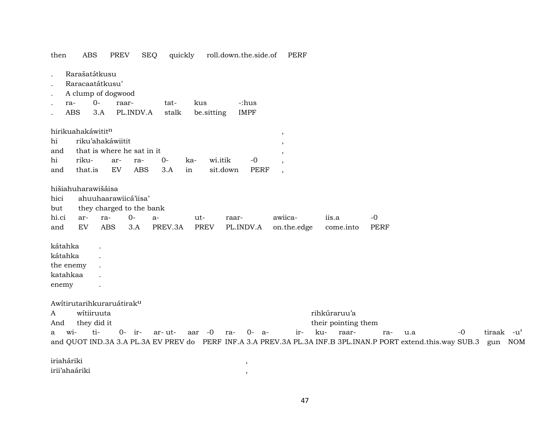then **ABS** PREV SEQ quickly roll.down.the.side.of **PERF** Rarašatátkusu Raracaatátkusu' A clump of dogwood ra- $0$ raartatkus -:hus 3.A PL.INDV.A **ABS** be sitting **IMPF** stalk hirikuahakáwitit<sup>n</sup>  $\cdot$ riku'ahakáwiitit hi and that is where he sat in it  $\cdot$ hi riku- $O -<sup>0</sup>$ arrakawi.itik that.is EV sit.down **PERF** and **ABS**  $3.A$ in hišiahuharawišáisa hici ahuuhaarawiicá'iisa' they charged to the bank but hi.ci  $0$  $a$ awiicaiis.a  $-0$ arrautraaron.the.edge **PERF** and **EV ABS**  $3.A$ PREV.3A **PREV** PL.INDV.A come.into kátahka  $\ddot{\phantom{a}}$ kátahka  $\ddot{\phantom{a}}$ the enemy  $\ddot{\phantom{a}}$ katahkaa  $\ddot{\phantom{a}}$ enemy  $\ddot{\phantom{a}}$ Awitirutarihkuraruátirak<sup>u</sup> witiiruuta rihkúraruu'a  $\mathbf{A}$ they did it their pointing them And a wi- ti- $0 - ir$ aar  $-0$  $0 - a$ ir- ku- raar- $-0$ tiraak -u'  $ar-ut$ rarau.a and QUOT IND.3A 3.A PL.3A EV PREV do PERF INF.A 3.A PREV.3A PL.3A INF.B 3PL.INAN.P PORT extend.this.way SUB.3 gun NOM iriaháriki  $\,$ irii'ahaáriki

47

 $\overline{\phantom{a}}$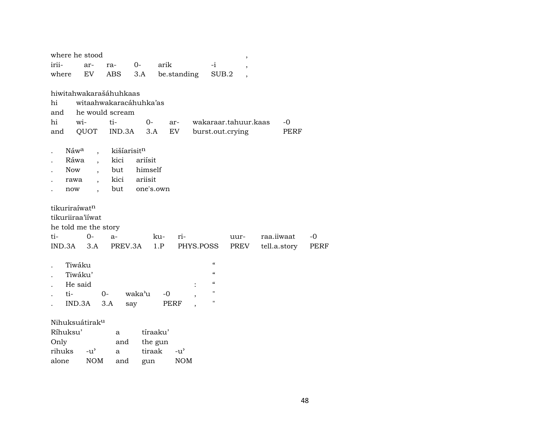|               | where he stood                               |                        |           |          |               |           |                                        | $\, ,$                   |              |             |
|---------------|----------------------------------------------|------------------------|-----------|----------|---------------|-----------|----------------------------------------|--------------------------|--------------|-------------|
| irii-         | ar-                                          | ra-                    | $0-$      | arik     |               |           | $-i$                                   | $\, ,$                   |              |             |
| where         | EV                                           | ABS                    | 3.A       |          | be.standing   |           | SUB.2                                  | $\overline{\phantom{a}}$ |              |             |
|               |                                              |                        |           |          |               |           |                                        |                          |              |             |
|               |                                              | hiwitahwakarašáhuhkaas |           |          |               |           |                                        |                          |              |             |
| hi            |                                              | witaahwakaracáhuhka'as |           |          |               |           |                                        |                          |              |             |
| and           |                                              | he would scream        |           |          |               |           |                                        |                          |              |             |
| hi            | wi-                                          | ti-                    | $0 -$     |          | ar-           |           |                                        | wakaraar.tahuur.kaas     | $-0$         |             |
| and           | QUOT                                         | IND.3A                 | 3.A       |          | EV            |           |                                        | burst.out.crying         | PERF         |             |
|               |                                              |                        |           |          |               |           |                                        |                          |              |             |
|               | Náw <sup>a</sup><br>$\overline{\phantom{a}}$ | kišíarisitn            |           |          |               |           |                                        |                          |              |             |
|               | Ráwa<br>$\ddot{\phantom{0}}$                 | kici                   | ariísit   |          |               |           |                                        |                          |              |             |
| <b>Now</b>    | $\overline{ }$                               | but                    | himself   |          |               |           |                                        |                          |              |             |
| rawa          | $\overline{\phantom{a}}$                     | kici                   | ariisit   |          |               |           |                                        |                          |              |             |
| now           | $\overline{\phantom{a}}$                     | but                    | one's.own |          |               |           |                                        |                          |              |             |
|               |                                              |                        |           |          |               |           |                                        |                          |              |             |
| tikuriraíwatn |                                              |                        |           |          |               |           |                                        |                          |              |             |
|               | tikuriiraa'iiwat                             |                        |           |          |               |           |                                        |                          |              |             |
|               | he told me the story                         |                        |           |          |               |           |                                        |                          |              |             |
| ti-           | $0-$                                         | $a-$                   |           | ku-      | ri-           |           |                                        | uur-                     | raa.iiwaat   | -0          |
| IND.3A        | 3.A                                          | PREV.3A                |           | 1.P      |               | PHYS.POSS |                                        | PREV                     | tell.a.story | <b>PERF</b> |
|               |                                              |                        |           |          |               |           |                                        |                          |              |             |
|               | Tiwáku                                       |                        |           |          |               |           | $\epsilon\epsilon$                     |                          |              |             |
|               | Tiwáku'                                      |                        |           |          |               |           | $\boldsymbol{\zeta}\boldsymbol{\zeta}$ |                          |              |             |
|               | He said                                      |                        |           |          |               | $\vdots$  | $\boldsymbol{\zeta}\boldsymbol{\zeta}$ |                          |              |             |
| ti-           |                                              | $0-$                   | waka'u    | $-0$     |               |           | 11                                     |                          |              |             |
|               | IND.3A                                       | 3.A                    | say       |          | PERF          |           | 11                                     |                          |              |             |
|               |                                              |                        |           |          |               |           |                                        |                          |              |             |
|               | Nihuksuátirak <sup>u</sup>                   |                        |           |          |               |           |                                        |                          |              |             |
| Ríhuksu'      |                                              | a                      |           | tíraaku' |               |           |                                        |                          |              |             |
| Only          |                                              | and                    |           | the gun  |               |           |                                        |                          |              |             |
| rihuks        | $-u^{\prime}$                                | a                      | tiraak    |          | $-u^{\prime}$ |           |                                        |                          |              |             |
| alone         | <b>NOM</b>                                   | and                    | gun       |          | <b>NOM</b>    |           |                                        |                          |              |             |
|               |                                              |                        |           |          |               |           |                                        |                          |              |             |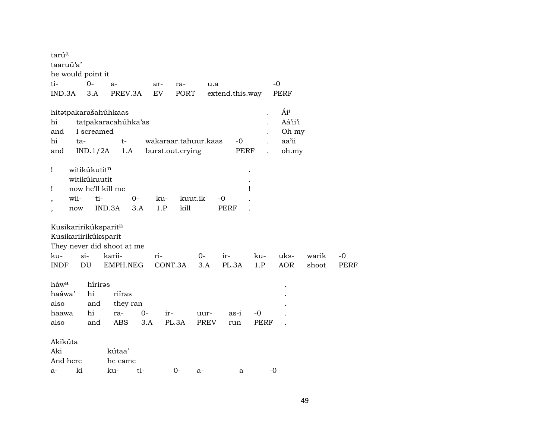| tarúa                      |      |              |                                                        |                                        |                  |         |                      |                 |            |                                           |                |              |
|----------------------------|------|--------------|--------------------------------------------------------|----------------------------------------|------------------|---------|----------------------|-----------------|------------|-------------------------------------------|----------------|--------------|
| taaruú'a'                  |      |              |                                                        |                                        |                  |         |                      |                 |            |                                           |                |              |
| he would point it          |      |              |                                                        |                                        |                  |         |                      |                 |            |                                           |                |              |
| ti-                        |      | $O -$        | $a-$                                                   |                                        | ar-              | ra-     | u.a                  |                 |            | $-0$                                      |                |              |
| IND.3A                     |      | 3.A          |                                                        | PREV.3A                                | EV               | PORT    |                      | extend.this.way |            | PERF                                      |                |              |
| hi<br>and<br>hi<br>and     | ta-  | IND.1/2A     | hitatpakarašahúhkaas<br>I screamed                     | tatpakaracahúhka'as<br>$t-$<br>1.A     | burst.out.crying |         | wakaraar.tahuur.kaas | $-0$            | PERF       | Áii<br>Aá'ii'i<br>Oh my<br>aa'ii<br>oh.my |                |              |
| Ţ<br>Ţ                     |      | witikúkutitn | witikúkuutit<br>now he'll kill me                      |                                        |                  |         |                      |                 | Ţ          |                                           |                |              |
| $\overline{ }$             | wii- |              | ti-                                                    | 0-                                     | ku-              |         | kuut.ik              | -0              |            |                                           |                |              |
| $\overline{\phantom{a}}$   | now  |              | IND.3A                                                 | 3.A                                    | 1.P              | kill    |                      | <b>PERF</b>     |            |                                           |                |              |
| ku-<br><b>INDF</b>         |      | si-<br>DU    | Kusikaririkúksparitn<br>Kusikariirikúksparit<br>karii- | They never did shoot at me<br>EMPH.NEG | ri-              | CONT.3A | $0-$<br>3.A          | $ir-$<br>PL.3A  | ku-<br>1.P | uks-<br><b>AOR</b>                        | warik<br>shoot | $-0$<br>PERF |
| háw <sup>a</sup><br>haáwa' |      | hi           | híriras                                                | riíras                                 |                  |         |                      |                 |            |                                           |                |              |
| also                       |      | and          |                                                        | they ran                               |                  |         |                      |                 |            |                                           |                |              |
| haawa                      |      | hi           | ra-                                                    |                                        | $0-$             | $ir-$   | uur-                 | as-i            | $-0$       |                                           |                |              |
| also                       |      | and          |                                                        | <b>ABS</b>                             | 3.A              | PL.3A   | PREV                 | run             | PERF       |                                           |                |              |
| Akikúta<br>Aki             |      |              | kútaa'                                                 |                                        |                  |         |                      |                 |            |                                           |                |              |
| And here                   |      |              |                                                        | he came                                |                  |         |                      |                 |            |                                           |                |              |
| a-                         | ki   |              | ku-                                                    | ti-                                    |                  | $0-$    | a-                   | a               |            | $-0$                                      |                |              |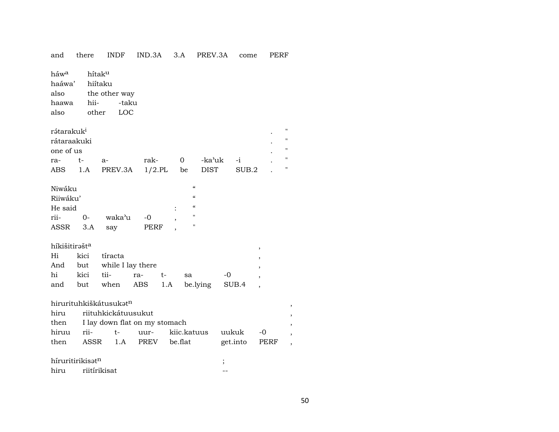| and                                                 | there         | <b>INDF</b>                                        | IND.3A       | 3.A     | PREV.3A                                                          |                          | come     | <b>PERF</b> |                    |
|-----------------------------------------------------|---------------|----------------------------------------------------|--------------|---------|------------------------------------------------------------------|--------------------------|----------|-------------|--------------------|
| háw <sup>a</sup><br>haáwa'<br>also<br>haawa<br>also | hii-<br>other | hítaku<br>hiítaku<br>the other way<br>-taku<br>LOC |              |         |                                                                  |                          |          |             |                    |
| rátarakuk <sup>i</sup>                              |               |                                                    |              |         |                                                                  |                          |          |             | $^{\prime}$        |
| rátaraakuki                                         |               |                                                    |              |         |                                                                  |                          |          |             | $\blacksquare$     |
| one of us                                           |               |                                                    |              |         |                                                                  |                          |          |             | "                  |
| ra-                                                 | $t-$          | a-                                                 | rak-         | 0       | -ka'uk                                                           |                          | -i       |             | $\pmb{\mathsf{H}}$ |
| ABS                                                 | 1.A           | PREV.3A                                            | $1/2$ .PL    | be      | <b>DIST</b>                                                      |                          | SUB.2    |             | $\pmb{\mathsf{H}}$ |
| Niwáku<br>Riiwáku'                                  |               |                                                    |              |         | $\epsilon$<br>$\boldsymbol{\zeta}\boldsymbol{\zeta}$<br>$\alpha$ |                          |          |             |                    |
| He said                                             |               |                                                    |              |         | п                                                                |                          |          |             |                    |
| rii-<br>ASSR                                        | $0-$<br>3.A   | waka'u<br>say                                      | $-0$<br>PERF |         | п                                                                |                          |          |             |                    |
|                                                     |               |                                                    |              |         |                                                                  |                          |          |             |                    |
| híkišitirašta                                       |               |                                                    |              |         |                                                                  |                          |          |             |                    |
| Hi                                                  | kici          | tíracta                                            |              |         |                                                                  |                          |          |             |                    |
| And                                                 | but           | while I lay there                                  |              |         |                                                                  |                          |          |             |                    |
| hi                                                  | kici          | tii-                                               | ra-          | t-      | sa                                                               | $-0$                     |          |             |                    |
| and                                                 | but           | when                                               | ABS          | 1.A     | be.lying                                                         |                          | SUB.4    |             |                    |
|                                                     |               | hirurituhkiškátusukatn                             |              |         |                                                                  |                          |          |             | $\overline{ }$     |
| hiru                                                |               | riituhkickátuusukut                                |              |         |                                                                  |                          |          |             |                    |
| then                                                |               | I lay down flat on my stomach                      |              |         |                                                                  |                          |          |             |                    |
| hiruu                                               | rii-          | t-                                                 | uur-         |         | kiic.katuus                                                      | uukuk                    |          | -0          |                    |
| then                                                | ASSR          | 1.A                                                | PREV         | be.flat |                                                                  |                          | get.into | PERF        |                    |
| híruritirikisatn                                    |               |                                                    |              |         |                                                                  | $\overline{\phantom{a}}$ |          |             |                    |
| hiru                                                |               | riitírikisat                                       |              |         |                                                                  |                          |          |             |                    |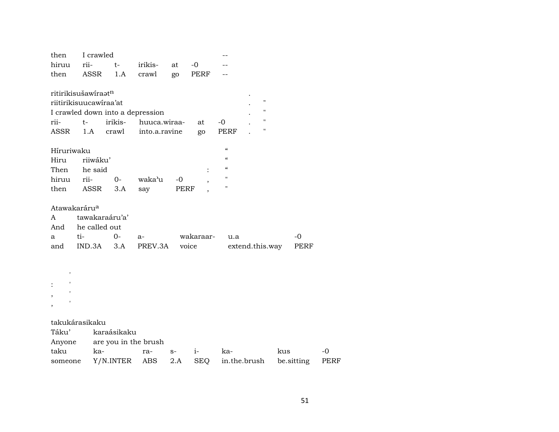| then                     | I crawled              |             |                                  |      |           |                            |                    |            |             |
|--------------------------|------------------------|-------------|----------------------------------|------|-----------|----------------------------|--------------------|------------|-------------|
| hiruu                    | rii-                   | t-          | irikis-                          | at   | $-0$      |                            |                    |            |             |
| then                     | ASSR                   | 1.A         | crawl                            | go   | PERF      |                            |                    |            |             |
|                          |                        |             |                                  |      |           |                            |                    |            |             |
|                          | ritirikisušawiraatn    |             |                                  |      |           |                            |                    |            |             |
|                          | riitirikisuucawiraa'at |             |                                  |      |           |                            | $\pmb{\mathsf{H}}$ |            |             |
|                          |                        |             | I crawled down into a depression |      |           |                            | 11                 |            |             |
| rii-                     | t-                     | irikis-     | huuca.wiraa-                     |      | at        | $-0$                       | $\pmb{\mathsf{H}}$ |            |             |
| ASSR                     | 1.A                    | crawl       | into.a.ravine                    |      | go        | <b>PERF</b>                | 11                 |            |             |
|                          |                        |             |                                  |      |           |                            |                    |            |             |
| Híruriwaku               |                        |             |                                  |      |           | $\boldsymbol{\mathcal{C}}$ |                    |            |             |
| Hiru                     | riiwáku'               |             |                                  |      |           | $\boldsymbol{\mathcal{C}}$ |                    |            |             |
| Then                     | he said                |             |                                  |      |           | $\epsilon\epsilon$         |                    |            |             |
| hiruu                    | rii-                   | $0-$        | waka'u                           | $-0$ |           | $\mathbf{H}$               |                    |            |             |
| then                     | ASSR                   | 3.A         | say                              | PERF |           | $\pmb{\mathsf{H}}$         |                    |            |             |
|                          |                        |             |                                  |      |           |                            |                    |            |             |
| Atawakaráru <sup>a</sup> |                        |             |                                  |      |           |                            |                    |            |             |
| A                        | tawakaraáru'a'         |             |                                  |      |           |                            |                    |            |             |
| And                      | he called out          |             |                                  |      |           |                            |                    |            |             |
| a                        | ti-                    | $O -$       | a-                               |      | wakaraar- | u.a                        |                    | $-0$       |             |
| and                      | IND.3A                 | 3.A         | PREV.3A                          |      | voice     |                            | extend.this.way    | PERF       |             |
|                          |                        |             |                                  |      |           |                            |                    |            |             |
| $\pmb{\mathsf{I}}$       |                        |             |                                  |      |           |                            |                    |            |             |
|                          |                        |             |                                  |      |           |                            |                    |            |             |
|                          |                        |             |                                  |      |           |                            |                    |            |             |
|                          |                        |             |                                  |      |           |                            |                    |            |             |
|                          |                        |             |                                  |      |           |                            |                    |            |             |
|                          | takukárasikaku         |             |                                  |      |           |                            |                    |            |             |
| Táku'                    |                        | karaásikaku |                                  |      |           |                            |                    |            |             |
| Anyone                   |                        |             | are you in the brush             |      |           |                            |                    |            |             |
| taku                     | ka-                    |             | ra-                              | $S-$ | $i-$      | ka-                        |                    | kus        | $-0$        |
| someone                  |                        | Y/N.INTER   | ABS                              | 2.A  | SEQ       |                            | in.the.brush       | be sitting | <b>PERF</b> |
|                          |                        |             |                                  |      |           |                            |                    |            |             |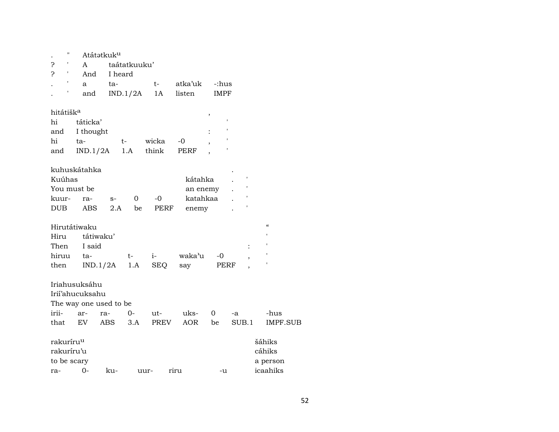| $\pmb{\mathsf{H}}$    |                        | Atátatkuk <sup>u</sup> |              |             |            |             |                |                            |
|-----------------------|------------------------|------------------------|--------------|-------------|------------|-------------|----------------|----------------------------|
| ?<br>1                | A                      |                        | taátatkuuku' |             |            |             |                |                            |
| ċ<br>1                | And                    |                        | I heard      |             |            |             |                |                            |
| $\pmb{\mathsf{I}}$    | a                      | ta-                    |              | $t-$        | atka'uk    | -:hus       |                |                            |
| 1                     | and                    |                        | IND.1/2A     | 1A          | listen     | <b>IMPF</b> |                |                            |
| hitátišk <sup>a</sup> |                        |                        |              |             |            | $\, ,$      |                |                            |
| hi                    | táticka'               |                        |              |             |            |             | 1              |                            |
| and                   | I thought              |                        |              |             |            |             |                |                            |
| hi                    | ta-                    |                        | $t-$         | wicka       | -0         |             |                |                            |
| and                   | IND.1/2A               |                        | 1.A          | think       | PERF       |             |                |                            |
|                       | kuhuskátahka           |                        |              |             |            |             |                |                            |
| Kuúhas                |                        |                        |              |             | kátahka    |             |                |                            |
|                       | You must be            |                        |              |             | an enemy   |             |                |                            |
| kuur-                 | ra-                    | $S-$                   | 0            | $-0$        | katahkaa   |             |                |                            |
| <b>DUB</b>            | <b>ABS</b>             | 2.A                    | be           | <b>PERF</b> | enemy      |             |                |                            |
|                       | Hirutátiwaku           |                        |              |             |            |             |                | $\boldsymbol{\mathcal{C}}$ |
| Hiru                  | tátiwaku'              |                        |              |             |            |             |                |                            |
| Then                  | I said                 |                        |              |             |            |             | $\ddot{\cdot}$ |                            |
| hiruu                 | ta-                    |                        | t-           | $i-$        | waka'u     | $-0$        | ,              | ,                          |
| then                  |                        | IND.1/2A               | 1.A          | <b>SEQ</b>  | say        | PERF        |                |                            |
|                       |                        |                        |              |             |            |             |                |                            |
|                       | Iriahusuksáhu          |                        |              |             |            |             |                |                            |
|                       | Irii'ahucuksahu        |                        |              |             |            |             |                |                            |
|                       | The way one used to be |                        |              |             |            |             |                |                            |
| irii-                 | ar-                    | ra-                    | $0-$         | ut-         | uks-       | 0           | -a             | -hus                       |
| that                  | EV                     | <b>ABS</b>             | 3.A          | PREV        | <b>AOR</b> | be          | SUB.1          | <b>IMPF.SUB</b>            |
| rakuríru <sup>u</sup> |                        |                        |              |             |            |             |                | šáhiks                     |
| rakuríru'u            |                        |                        |              |             |            |             |                | cáhiks                     |
| to be scary           |                        |                        |              |             |            |             |                | a person                   |
| ra-                   | $O -$                  | ku-                    |              | uur-        | riru       | -u          |                | icaahiks                   |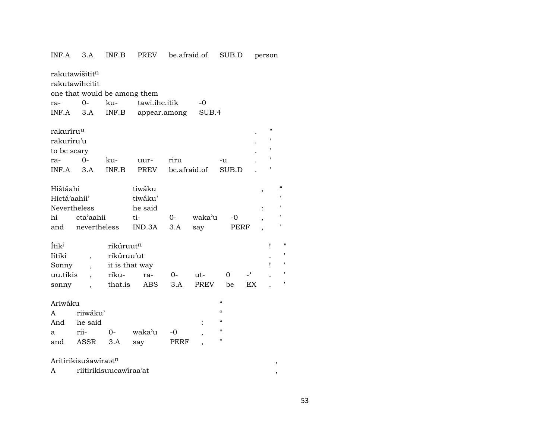| INF.A                                                              | 3.A                                                                           | INF.B                                                                     | <b>PREV</b>                                   | be.afraid.of         |               | SUB.D                                                                                                     |                                | person         |                          |  |
|--------------------------------------------------------------------|-------------------------------------------------------------------------------|---------------------------------------------------------------------------|-----------------------------------------------|----------------------|---------------|-----------------------------------------------------------------------------------------------------------|--------------------------------|----------------|--------------------------|--|
| ra-<br>INF.A                                                       | rakutawišititn<br>rakutawihcitit<br>one that would be among them<br>0-<br>3.A | ku-<br>INF.B                                                              | tawi.ihc.itik<br>appear.among                 |                      | -0<br>SUB.4   |                                                                                                           |                                |                |                          |  |
| rakuríru <sup>u</sup><br>rakuríru'u<br>to be scary<br>ra-<br>INF.A | $O -$<br>3.A                                                                  | ku-<br>INF.B                                                              | uur-<br>PREV                                  | riru<br>be.afraid.of |               | -u<br>SUB.D                                                                                               |                                | $\blacksquare$ |                          |  |
| Hištáahi<br>Hictá'aahii'<br>Nevertheless<br>hi<br>and              | cta'aahii<br>nevertheless                                                     |                                                                           | tiwáku<br>tiwáku'<br>he said<br>ti-<br>IND.3A | $0 -$<br>3.A         | waka'u<br>say | $-0$<br>PERF                                                                                              |                                | $\overline{ }$ | $\mathcal{C}\mathcal{C}$ |  |
| Ítik <sup>i</sup><br>Iítiki<br>Sonny<br>uu.tikis<br>sonny          | $\overline{\phantom{a}}$                                                      | rikúruut <sup>n</sup><br>rikúruu'ut<br>it is that way<br>riku-<br>that.is | ra-<br>ABS                                    | 0-<br>3.A            | ut-<br>PREV   | 0<br>be                                                                                                   | $\overline{\phantom{a}}$<br>EX | Ţ<br>Ţ         | $\mathbf{H}$<br>٠        |  |
| Ariwáku<br>A<br>And<br>a<br>and                                    | riiwáku'<br>he said<br>rii-<br>ASSR                                           | $0-$<br>3.A                                                               | waka'u<br>say                                 | $-0$<br>PERF         |               | $\epsilon\epsilon$<br>$\epsilon\epsilon$<br>$\boldsymbol{\zeta}\boldsymbol{\zeta}$<br>$\blacksquare$<br>" |                                |                |                          |  |
|                                                                    | Aritirikisušawiraatn                                                          |                                                                           |                                               |                      |               |                                                                                                           |                                |                | ,                        |  |

|  | riitirikisuucawiraa′at |  |
|--|------------------------|--|
|--|------------------------|--|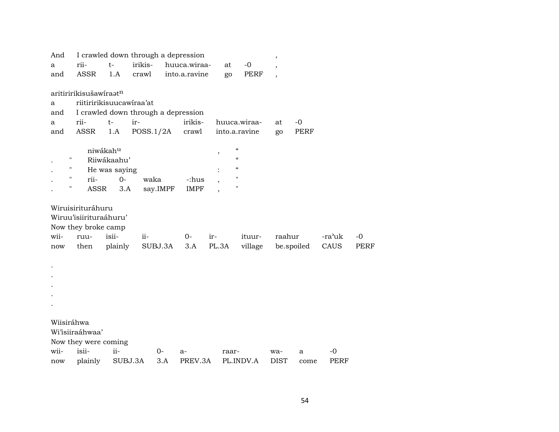| And        |                          |               | I crawled down through a depression |     |               |                          |                          |               |             |             |        |      |
|------------|--------------------------|---------------|-------------------------------------|-----|---------------|--------------------------|--------------------------|---------------|-------------|-------------|--------|------|
| a          | rii-                     | $t-$          | irikis-                             |     | huuca.wiraa-  |                          | at                       | $-0$          |             |             |        |      |
| and        | <b>ASSR</b>              | 1.A           | crawl                               |     | into.a.ravine |                          | go                       | <b>PERF</b>   |             |             |        |      |
|            |                          |               |                                     |     |               |                          |                          |               |             |             |        |      |
|            | aritiririkisušawiraatn   |               |                                     |     |               |                          |                          |               |             |             |        |      |
| a          | riitiririkisuucawiraa'at |               |                                     |     |               |                          |                          |               |             |             |        |      |
| and        |                          |               | I crawled down through a depression |     |               |                          |                          |               |             |             |        |      |
| a          | rii-                     | $t-$          | ir-                                 |     | irikis-       |                          |                          | huuca.wiraa-  | at          | $-0$        |        |      |
| and        | <b>ASSR</b>              | 1.A           | POSS.1/2A                           |     | crawl         |                          |                          | into.a.ravine | go          | <b>PERF</b> |        |      |
|            |                          | niwákahu      |                                     |     |               |                          | $\pmb{\zeta}\pmb{\zeta}$ |               |             |             |        |      |
| П          |                          | Riiwákaahu'   |                                     |     |               | $\overline{\phantom{a}}$ | $\mathcal{C}$            |               |             |             |        |      |
| н          |                          | He was saying |                                     |     |               |                          | $\mathcal{C}$            |               |             |             |        |      |
| П          | rii-                     | $0-$          | waka                                |     | -:hus         |                          | $\pmb{\mathsf{H}}$       |               |             |             |        |      |
| 11         | ASSR                     | 3.A           | say.IMPF                            |     | <b>IMPF</b>   |                          | $\pmb{\mathsf{H}}$       |               |             |             |        |      |
|            |                          |               |                                     |     |               |                          |                          |               |             |             |        |      |
|            | Wiruisirituráhuru        |               |                                     |     |               |                          |                          |               |             |             |        |      |
|            | Wiruu'isiirituraáhuru'   |               |                                     |     |               |                          |                          |               |             |             |        |      |
|            | Now they broke camp      |               |                                     |     |               |                          |                          |               |             |             |        |      |
| wii-       | ruu-                     | isii-         | ii-                                 |     | $0-$          | ir-                      |                          | ituur-        | raahur      |             | -ra'uk | $-0$ |
| now        | then                     | plainly       | SUBJ.3A                             |     | 3.A           | PL.3A                    |                          | village       |             | be.spoiled  | CAUS   | PERF |
|            |                          |               |                                     |     |               |                          |                          |               |             |             |        |      |
|            |                          |               |                                     |     |               |                          |                          |               |             |             |        |      |
|            |                          |               |                                     |     |               |                          |                          |               |             |             |        |      |
|            |                          |               |                                     |     |               |                          |                          |               |             |             |        |      |
|            |                          |               |                                     |     |               |                          |                          |               |             |             |        |      |
|            |                          |               |                                     |     |               |                          |                          |               |             |             |        |      |
| Wiisiráhwa |                          |               |                                     |     |               |                          |                          |               |             |             |        |      |
|            | Wi'isiiraáhwaa'          |               |                                     |     |               |                          |                          |               |             |             |        |      |
|            | Now they were coming     |               |                                     |     |               |                          |                          |               |             |             |        |      |
| wii-       | isii-                    | ii-           | $0 -$                               |     | $a-$          |                          | raar-                    |               | wa-         | a           | -0     |      |
| now        | plainly                  | SUBJ.3A       |                                     | 3.A | PREV.3A       |                          |                          | PL.INDV.A     | <b>DIST</b> | come        | PERF   |      |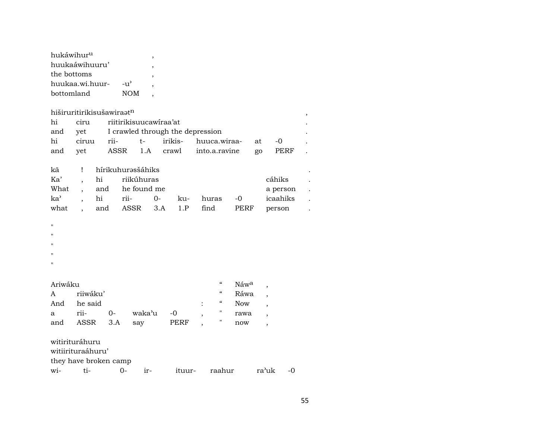| hukáwihur <sup>u</sup> |            |   |
|------------------------|------------|---|
| huukaawihuuru'         |            | , |
| the bottoms            |            |   |
| huukaa.wi.huur-        | $-11'$     |   |
| bottomland             | <b>NOM</b> |   |
|                        |            |   |

| hiširuritirikisušawiraatn<br>, |       |                   |                                  |            |         |     |  |                              |      |    |          |  |
|--------------------------------|-------|-------------------|----------------------------------|------------|---------|-----|--|------------------------------|------|----|----------|--|
| hi                             | ciru  |                   | riitirikisuucawiraa'at           |            |         |     |  |                              |      |    |          |  |
| and                            | yet   |                   | I crawled through the depression |            |         |     |  |                              |      |    |          |  |
| hi                             | ciruu | rii-              |                                  | t-         | irikis- |     |  | huuca.wiraa-                 |      | at | -0       |  |
| and                            | yet   |                   |                                  |            |         |     |  | ASSR 1.A crawl into.a.ravine |      | go | PERF     |  |
|                                |       |                   |                                  |            |         |     |  |                              |      |    |          |  |
| kã                             | Ţ     | hírikuhurəsšáhiks |                                  |            |         |     |  |                              |      |    |          |  |
| Ka'                            |       | hi                |                                  | riikúhuras |         |     |  |                              |      |    | cáhiks   |  |
| What                           |       | and               | he found me                      |            |         |     |  |                              |      |    | a person |  |
| ka'                            |       | hi                | rii-                             | $0 -$      |         | ku- |  | huras                        | $-0$ |    | icaahiks |  |
| what                           |       | and               | ASSR                             |            | 3.A     | 1.P |  | find                         | PERF |    | person   |  |

 $\boldsymbol{\mathsf{H}}$ 

 $\bar{H}$ 

"

"

 $\bar{H}$ 

|  | Ariwáku |  |
|--|---------|--|
|  |         |  |

| Ariwáku          |              |      |           |      | $\epsilon$ | Náw <sup>a</sup> |  |
|------------------|--------------|------|-----------|------|------------|------------------|--|
| $A \quad \alpha$ | riiwáku'     |      |           |      | $\epsilon$ | Ráwa             |  |
| And              | he said      |      |           |      | $\epsilon$ | <b>Now</b>       |  |
| $\mathbf{a}$     | rii-         | $O-$ | waka'u -0 |      |            | rawa             |  |
| and              | ASSR 3.A say |      |           | PERF |            | now              |  |

witirituráhuru

witiirituraáhuru'

they have broken camp<br>wi- ti- 0-

wi- ti- 0- ir- ituur- raahur ra"uk -0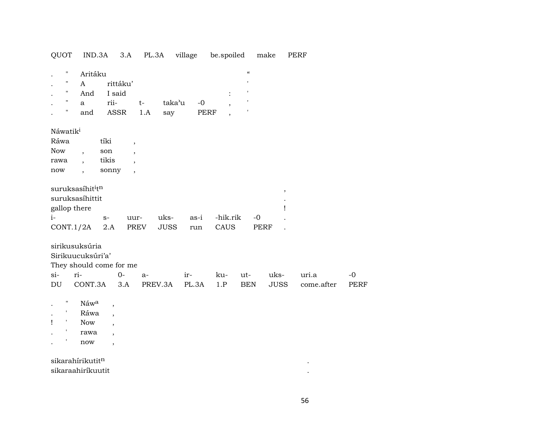QUOT IND.3A 3.A PL.3A village be.spoiled make PERF

| $\pmb{\mathsf{H}}$   | Aritáku                                  |          |                          |             |       |                                  | $\boldsymbol{\zeta}\boldsymbol{\zeta}$ |             |            |             |
|----------------------|------------------------------------------|----------|--------------------------|-------------|-------|----------------------------------|----------------------------------------|-------------|------------|-------------|
| 11                   | A                                        | rittáku' |                          |             |       |                                  | $\mathsf I$                            |             |            |             |
|                      | And                                      | I said   |                          |             |       | :                                | $\,$ $\,$                              |             |            |             |
| $\pmb{\mathsf{H}}$   | $\mathbf{a}$                             | rii-     | $t-$                     | taka'u      | $-0$  | $^\mathrm{,}$                    | $\blacksquare$                         |             |            |             |
| $\pmb{\mathsf{H}}$   | and                                      | ASSR     | 1.A                      | say         |       | PERF<br>$\overline{\phantom{a}}$ | 1                                      |             |            |             |
| Náwatik <sup>i</sup> |                                          |          |                          |             |       |                                  |                                        |             |            |             |
| Ráwa                 |                                          | tíki     | $\overline{\phantom{a}}$ |             |       |                                  |                                        |             |            |             |
| <b>Now</b>           | $\overline{ }$ ,                         | son      | $\overline{\phantom{a}}$ |             |       |                                  |                                        |             |            |             |
| rawa                 | $\overline{\phantom{a}}$                 | tikis    | $\overline{ }$           |             |       |                                  |                                        |             |            |             |
| now                  | $\overline{\phantom{a}}$                 | sonny    | $\overline{\phantom{a}}$ |             |       |                                  |                                        |             |            |             |
|                      | suruksasíhit <sup>i</sup> t <sup>n</sup> |          |                          |             |       |                                  |                                        | $\, ,$      |            |             |
|                      | suruksasíhittit                          |          |                          |             |       |                                  |                                        |             |            |             |
|                      | gallop there                             |          |                          |             |       |                                  |                                        |             |            |             |
| $i-$                 |                                          | $S-$     | uur-                     | uks-        | as-i  | -hik.rik                         |                                        | $-0$        |            |             |
|                      | CONT.1/2A                                | 2.A      | PREV                     | <b>JUSS</b> | run   | CAUS                             |                                        | PERF        |            |             |
|                      | sirikusuksúria                           |          |                          |             |       |                                  |                                        |             |            |             |
|                      | Sirikuucuksúri'a'                        |          |                          |             |       |                                  |                                        |             |            |             |
|                      | They should come for me                  |          |                          |             |       |                                  |                                        |             |            |             |
| si-                  | ri-                                      | 0-       | a-                       |             | ir-   | ku-                              | ut-                                    | uks-        | uri.a      | -0          |
|                      |                                          |          |                          |             |       |                                  |                                        |             |            |             |
| DU                   | CONT.3A                                  |          | 3.A                      | PREV.3A     | PL.3A | 1.P                              | <b>BEN</b>                             | <b>JUSS</b> | come.after | <b>PERF</b> |

| " | Náwa       |  |
|---|------------|--|
| ۱ | Ráwa       |  |
| , | <b>Now</b> |  |
| ۱ | rawa       |  |
| ۱ | now        |  |
|   |            |  |

 $\mathbf{S}$ ikarahírikutit $^{\mathbf{n}}$ sikaraahiríkuutit .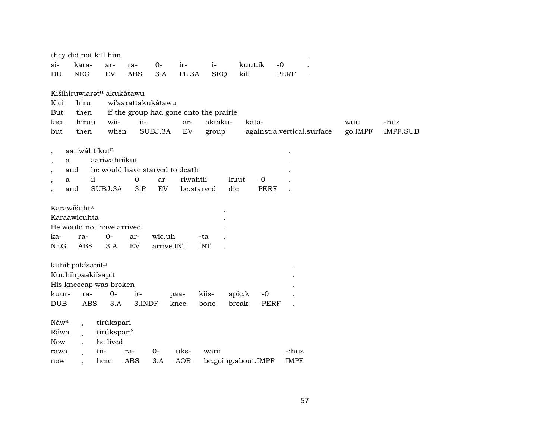|                          |                            |                          | they did not kill him                 |            |                    |                                |                                        |         |             |             |                            |         |                 |
|--------------------------|----------------------------|--------------------------|---------------------------------------|------------|--------------------|--------------------------------|----------------------------------------|---------|-------------|-------------|----------------------------|---------|-----------------|
|                          | $si-$                      | kara-                    | ar-                                   | ra-        | $0-$               | ir-                            | $i-$                                   | kuut.ik |             | $-0$        |                            |         |                 |
|                          | $\mathop{\rm DU}\nolimits$ | <b>NEG</b>               | EV                                    | <b>ABS</b> | 3.A                | PL.3A                          | <b>SEQ</b>                             | kill    |             | PERF        |                            |         |                 |
|                          |                            |                          | Kišíhiruwiarat <sup>n</sup> akukátawu |            |                    |                                |                                        |         |             |             |                            |         |                 |
|                          | Kici                       | hiru                     |                                       |            | wi'aarattakukátawu |                                |                                        |         |             |             |                            |         |                 |
|                          | But                        | then                     |                                       |            |                    |                                | if the group had gone onto the prairie |         |             |             |                            |         |                 |
|                          | kici                       | hiruu                    | wii-                                  | ii-        |                    | ar-                            | aktaku-                                |         | kata-       |             |                            | wuu     | -hus            |
|                          | but                        | then                     | when                                  |            | SUBJ.3A            | ${\rm EV}$                     | group                                  |         |             |             | against.a.vertical.surface | go.IMPF | <b>IMPF.SUB</b> |
| $\cdot$                  |                            | aariwáhtikutn            |                                       |            |                    |                                |                                        |         |             |             |                            |         |                 |
| $\overline{\phantom{a}}$ | a                          |                          | aariwahtiikut                         |            |                    |                                |                                        |         |             |             |                            |         |                 |
|                          | and                        |                          |                                       |            |                    | he would have starved to death |                                        |         |             |             |                            |         |                 |
|                          | a                          | ii-                      |                                       | $0-$       | ar-                | riwahtii                       |                                        | kuut    | $-0$        |             |                            |         |                 |
|                          | and                        |                          | SUBJ.3A                               | 3.P        | EV                 |                                | be.starved                             | die     | <b>PERF</b> |             |                            |         |                 |
|                          |                            |                          |                                       |            |                    |                                |                                        |         |             |             |                            |         |                 |
|                          |                            | Karawišuhta              |                                       |            |                    |                                | $\overline{\phantom{a}}$               |         |             |             |                            |         |                 |
|                          |                            | Karaawicuhta             |                                       |            |                    |                                |                                        |         |             |             |                            |         |                 |
|                          |                            |                          | He would not have arrived             |            |                    |                                |                                        |         |             |             |                            |         |                 |
|                          | ka-                        | ra-                      | $0-$                                  | ar-        | wic.uh             |                                | -ta                                    |         |             |             |                            |         |                 |
|                          | <b>NEG</b>                 | <b>ABS</b>               | 3.A                                   | ${\rm EV}$ | arrive.INT         |                                | <b>INT</b>                             |         |             |             |                            |         |                 |
|                          |                            |                          |                                       |            |                    |                                |                                        |         |             |             |                            |         |                 |
|                          |                            | kuhihpakísapitn          |                                       |            |                    |                                |                                        |         |             |             |                            |         |                 |
|                          |                            | Kuuhihpaakiisapit        |                                       |            |                    |                                |                                        |         |             |             |                            |         |                 |
|                          |                            |                          | His kneecap was broken                |            |                    |                                |                                        |         |             |             |                            |         |                 |
|                          | kuur-                      | ra-                      | $0-$                                  | ir-        |                    | paa-                           | kiis-                                  | apic.k  | $-0$        |             |                            |         |                 |
|                          | <b>DUB</b>                 | ABS                      | 3.A                                   | 3.INDF     |                    | knee                           | bone                                   | break   | PERF        |             |                            |         |                 |
|                          | Náwa                       | $\overline{ }$           | tirúkspari                            |            |                    |                                |                                        |         |             |             |                            |         |                 |
|                          | Ráwa                       | $\overline{\phantom{a}}$ | tirúkspari'                           |            |                    |                                |                                        |         |             |             |                            |         |                 |
|                          | <b>Now</b>                 | $\ddot{\phantom{0}}$     | he lived                              |            |                    |                                |                                        |         |             |             |                            |         |                 |
|                          | rawa                       |                          | tii-                                  | ra-        | $0-$               | uks-                           | warii                                  |         |             | -:hus       |                            |         |                 |
|                          | now                        |                          | here                                  | <b>ABS</b> | 3.A                | <b>AOR</b>                     | be.going.about.IMPF                    |         |             | <b>IMPF</b> |                            |         |                 |
|                          |                            |                          |                                       |            |                    |                                |                                        |         |             |             |                            |         |                 |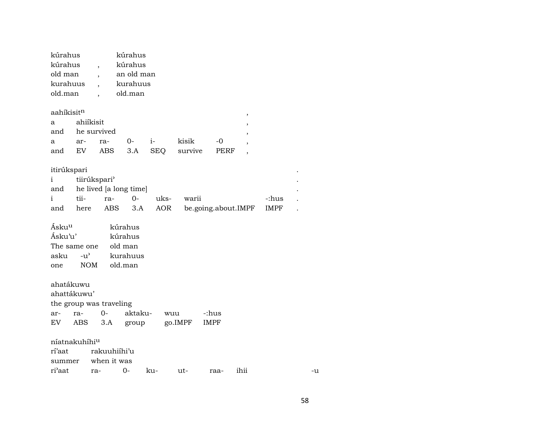| kúrahus  | kúrahus    |
|----------|------------|
| kúrahus  | kúrahus    |
| old man  | an old man |
| kurahuus | kurahuus   |
| old man  | old.man    |
|          |            |

| aahikisit <sup>n</sup> |  |
|------------------------|--|
|                        |  |
|                        |  |

| aahikisit <sup>n</sup> |           |              |      |                                 |    |  |
|------------------------|-----------|--------------|------|---------------------------------|----|--|
| $a \qquad$             | ahiíkisit |              |      |                                 |    |  |
| and he survived        |           |              |      |                                 |    |  |
|                        |           | a ar- ra- 0- | $i-$ | kisik                           | -0 |  |
|                        |           |              |      | and EV ABS 3.A SEQ survive PERF |    |  |

| itirúkspari  |      |                               |      |      |                                      |       | $\bullet$ |  |  |  |
|--------------|------|-------------------------------|------|------|--------------------------------------|-------|-----------|--|--|--|
| $\mathbf{i}$ |      | tiirúkspari <sup>)</sup><br>٠ |      |      |                                      |       |           |  |  |  |
|              |      | and he lived a long time<br>٠ |      |      |                                      |       |           |  |  |  |
| $\mathbf{i}$ | tii- | ra-                           | $O-$ | uks- | warii                                | -:hus |           |  |  |  |
| and          | here |                               |      |      | ABS 3.A AOR be.going.about.IMPF IMPF |       |           |  |  |  |

| Ásku <sup>u</sup> |                    | kúrahus  |  |  |
|-------------------|--------------------|----------|--|--|
| Ásku'u'           |                    | kúrahus  |  |  |
|                   | The same one       | old man  |  |  |
| asku              | $-11$ <sup>2</sup> | kurahuus |  |  |
| one               | <b>NOM</b>         | old.man  |  |  |

|             | ahatákuwu                 |      |         |         |             |  |  |  |  |  |  |  |
|-------------|---------------------------|------|---------|---------|-------------|--|--|--|--|--|--|--|
| ahattákuwu' |                           |      |         |         |             |  |  |  |  |  |  |  |
|             | the group was traveling   |      |         |         |             |  |  |  |  |  |  |  |
| ar-         | ra-                       | $O-$ | aktaku- | wuu     | -:hus       |  |  |  |  |  |  |  |
| EV.         | ABS 3.A                   |      | group   | go.IMPF | <b>IMPF</b> |  |  |  |  |  |  |  |
|             |                           |      |         |         |             |  |  |  |  |  |  |  |
|             | niatnakuhihi <sup>u</sup> |      |         |         |             |  |  |  |  |  |  |  |

| rí'aat rakuuhiíhi'u             |  |  |  |     |
|---------------------------------|--|--|--|-----|
| summer when it was              |  |  |  |     |
| ri'aat ra- 0- ku- ut- raa- ihii |  |  |  | -11 |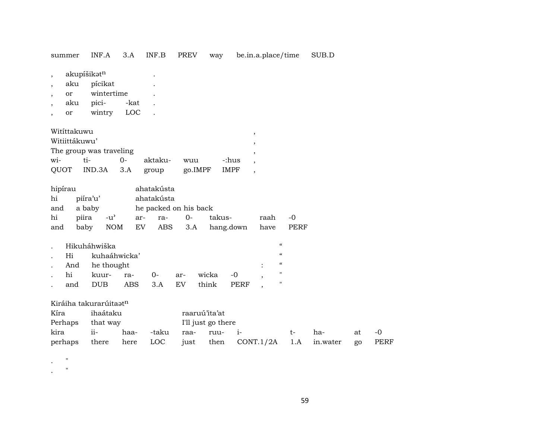summer INF.A 3.A INF.B PREV way be.in.a.place/time SUB.D

, akupíšikət<sup>n</sup> .

- , aku pícikat .
- , or wintertime .
- , aku pici- -kat .
- , or wintry LOC .

| Witíttakuwu   |                         |        |         |         |             |  |  |  |
|---------------|-------------------------|--------|---------|---------|-------------|--|--|--|
| Witiittákuwu' |                         |        |         |         |             |  |  |  |
|               | The group was traveling |        |         |         |             |  |  |  |
| wi-           | ti-                     | $()$ - | aktaku- | wuu     | -:hus       |  |  |  |
|               | QUOT IND.3A 3.A         |        | group   | go.IMPF | <b>IMPF</b> |  |  |  |

| hipírau |           |                       | ahatakústa |  |  |                               |         |      |
|---------|-----------|-----------------------|------------|--|--|-------------------------------|---------|------|
| hi      | piíra'u'  | ahatakústa            |            |  |  |                               |         |      |
| and     | a baby    | he packed on his back |            |  |  |                               |         |      |
| hi      | piira -u' |                       |            |  |  | takus-                        | raah -0 |      |
| and     |           |                       |            |  |  | baby NOM EV ABS 3.A hang.down | have    | PERF |

|        |     | Hikuháhwiška     |         |                           |           |            |  |
|--------|-----|------------------|---------|---------------------------|-----------|------------|--|
| $\sim$ |     | Hi kuhaáhwicka'  |         |                           |           | "          |  |
|        |     | . And he thought |         |                           | $\bullet$ | $\epsilon$ |  |
|        | hi  |                  |         | kuur- ra- 0- ar- wicka -0 |           |            |  |
|        | and | DUB <sub>1</sub> | ABS 3.A | EV think PERF             |           |            |  |

# Kiráiha takurarúitaat<sup>n</sup>

| Kíra             | ihaátaku |      |          | raaruú'ita'at      |                                  |      |     |    |       |
|------------------|----------|------|----------|--------------------|----------------------------------|------|-----|----|-------|
| Perhaps that way |          |      |          | I'll just go there |                                  |      |     |    |       |
| kira             | ii-      | haa- |          | -taku raa- ruu- i- |                                  | $t-$ | ha- | at | $-()$ |
| perhaps          | there    |      | here LOC |                    | just then CONT.1/2A 1.A in.water |      |     | go | PERF  |

. "

. "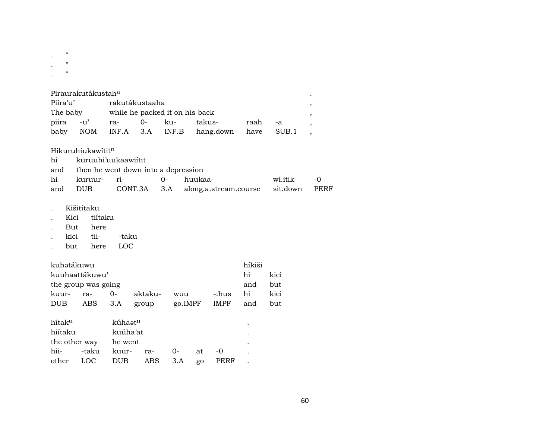| 11                 |                     |                     |                                         |       |         |                       |        |          |
|--------------------|---------------------|---------------------|-----------------------------------------|-------|---------|-----------------------|--------|----------|
| $\pmb{\mathsf{H}}$ |                     |                     |                                         |       |         |                       |        |          |
| $\pmb{\mathsf{H}}$ |                     |                     |                                         |       |         |                       |        |          |
|                    |                     |                     |                                         |       |         |                       |        |          |
|                    | Piraurakutákustaha  |                     |                                         |       |         |                       |        |          |
| Piíra'u'           |                     |                     | rakutákustaaha                          |       |         |                       |        |          |
|                    |                     |                     | The baby while he packed it on his back |       |         |                       |        |          |
| piira              | $-u^{\flat}$        | ra-                 | $0-$                                    | ku-   |         | takus-                | raah   | $-a$     |
|                    | baby NOM            |                     | $INF.A$ 3.A                             | INF.B |         | hang.down             | have   | SUB.1    |
|                    |                     |                     |                                         |       |         |                       |        |          |
|                    | Hikuruhiukawititn   |                     |                                         |       |         |                       |        |          |
| hi                 |                     | kuruuhi'uukaawiitit |                                         |       |         |                       |        |          |
| and                |                     |                     | then he went down into a depression     |       |         |                       |        |          |
| hi                 | kuruur-             | ri-                 |                                         | $0-$  | huukaa- |                       |        | wi.itik  |
| and                | <b>DUB</b>          |                     | CONT.3A                                 | 3.A   |         | along.a.stream.course |        | sit.down |
|                    |                     |                     |                                         |       |         |                       |        |          |
|                    | Kišitítaku          |                     |                                         |       |         |                       |        |          |
|                    | Kici                | tiítaku             |                                         |       |         |                       |        |          |
|                    | But here            |                     |                                         |       |         |                       |        |          |
|                    | kici tii-           | -taku               |                                         |       |         |                       |        |          |
|                    | but<br>here         | LOC                 |                                         |       |         |                       |        |          |
|                    | kuhətákuwu          |                     |                                         |       |         |                       | híkiši |          |
|                    | kuuhaattákuwu'      |                     |                                         |       |         |                       | hi     | kici     |
|                    | the group was going |                     |                                         |       |         |                       | and    | but      |
| kuur-              | ra-                 | $0-$                | aktaku-                                 |       | wuu     | -:hus                 | hi     | kici     |
| <b>DUB</b>         |                     |                     |                                         |       |         |                       |        |          |

| hítak <sup>u</sup> | kúhaət <sup>n</sup>     |          |  |    |       |  |  |  |
|--------------------|-------------------------|----------|--|----|-------|--|--|--|
| hiítaku            |                         | kuúha'at |  |    |       |  |  |  |
|                    | the other way he went   |          |  |    |       |  |  |  |
|                    | hii- -taku kuur- ra- 0- |          |  | at | $-()$ |  |  |  |
|                    | other LOC DUB ABS 3.A   |          |  | go | PERF  |  |  |  |

 $\langle \cdot \rangle$  $\,$  $\, ,$  $\overline{\phantom{a}}$  $\,$ 

> $\mbox{-}0$  ${\tt PERF}$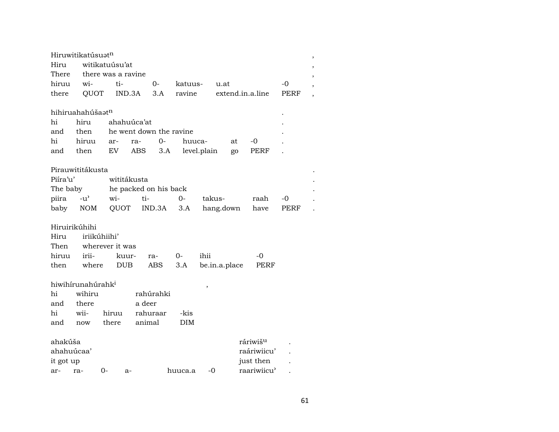|            | Hiruwitikatúsuat <sup>n</sup> |                    |                         |            |               |           |                      |      | , |
|------------|-------------------------------|--------------------|-------------------------|------------|---------------|-----------|----------------------|------|---|
| Hiru       |                               | witikatuúsu'at     |                         |            |               |           |                      |      |   |
| There      |                               | there was a ravine |                         |            |               |           |                      |      |   |
| hiruu      | wi-                           | ti-                | $0-$                    | katuus-    | u.at          |           |                      | $-0$ |   |
| there      | QUOT                          | IND.3A             | 3.A                     | ravine     |               |           | extend.in.a.line     | PERF |   |
|            |                               |                    |                         |            |               |           |                      |      |   |
|            | hihiruahahúšaət <sup>n</sup>  |                    |                         |            |               |           |                      |      |   |
| hi         | hiru                          | ahahuúca'at        |                         |            |               |           |                      |      |   |
| and        | then                          |                    | he went down the ravine |            |               |           |                      |      |   |
| hi         | hiruu                         | ar-                | $0-$<br>ra-             | huuca-     |               | at        | -0                   |      |   |
| and        | then                          | EV.                | ABS<br>3.A              |            | level.plain   | go        | PERF                 |      |   |
|            |                               |                    |                         |            |               |           |                      |      |   |
|            | Pirauwititákusta              |                    |                         |            |               |           |                      |      |   |
| Piíra'u'   |                               | wititákusta        |                         |            |               |           |                      |      |   |
| The baby   |                               |                    | he packed on his back   |            |               |           |                      |      |   |
| piira      | $-u^{\prime}$                 | wi-                | ti-                     | $0-$       | takus-        |           | raah                 | -0   |   |
| baby       | NOM                           | QUOT               | IND.3A                  | 3.A        |               | hang.down | have                 | PERF |   |
|            |                               |                    |                         |            |               |           |                      |      |   |
|            | Hiruirikúhihi                 |                    |                         |            |               |           |                      |      |   |
| Hiru       | iriikúhiihi'                  |                    |                         |            |               |           |                      |      |   |
| Then       |                               | wherever it was    |                         |            |               |           |                      |      |   |
| hiruu      | irii-                         | kuur-              | ra-                     | $O-$       | ihii          |           | -0                   |      |   |
| then       | where                         | <b>DUB</b>         | ABS                     | 3.A        | be.in.a.place |           | PERF                 |      |   |
|            |                               |                    |                         |            |               |           |                      |      |   |
|            | hiwihirunahúrahk <sup>i</sup> |                    |                         |            | $\, ,$        |           |                      |      |   |
| hi         | wihiru                        |                    | rahúrahki               |            |               |           |                      |      |   |
| and        | there                         |                    | a deer                  |            |               |           |                      |      |   |
| hi         | wii-                          | hiruu              | rahuraar                | -kis       |               |           |                      |      |   |
| and        | now                           | there              | animal                  | <b>DIM</b> |               |           |                      |      |   |
|            |                               |                    |                         |            |               |           |                      |      |   |
| ahakúša    |                               |                    |                         |            |               |           | ráriwiš <sup>u</sup> |      |   |
| ahahuúcaa' |                               |                    |                         |            |               |           | raáriwiicu'          |      |   |
| it got up  |                               |                    |                         |            |               |           | just then            |      |   |
| ar-        | ra-                           | 0-<br>$a-$         |                         | huuca.a    | $-0$          |           | raariwiicu'          |      |   |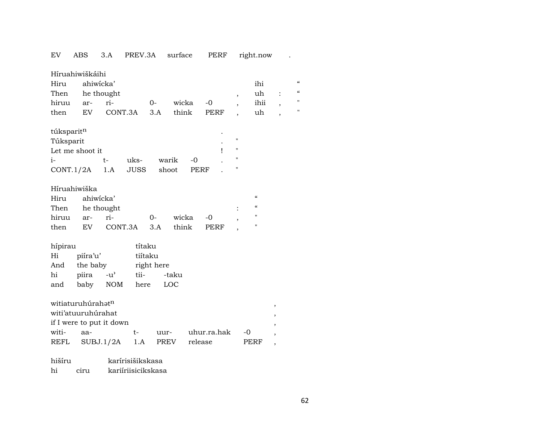# EV ABS 3.A PREV.3A surface PERF right.now .

|              | Híruahiwiškáihi               |                          |        |            |       |             |                          |                                        |                          |                          |
|--------------|-------------------------------|--------------------------|--------|------------|-------|-------------|--------------------------|----------------------------------------|--------------------------|--------------------------|
| Hiru         | ahiwicka'                     |                          |        |            |       |             |                          | ihi                                    |                          | $\pmb{\zeta}\pmb{\zeta}$ |
| Then         | he thought                    |                          |        |            |       |             | $\overline{\phantom{a}}$ | uh                                     | $\ddot{\cdot}$           | $\pmb{\zeta}\pmb{\zeta}$ |
| hiruu        | ar-                           | ri-                      |        | $O-$       | wicka | $-0$        | $\overline{\phantom{a}}$ | ihii                                   |                          | 11                       |
| then         | EV.                           | CONT.3A                  |        | 3.A        | think | PERF        |                          | uh                                     | $\overline{\phantom{a}}$ | $\pmb{\mathsf{H}}$       |
|              |                               |                          |        |            |       |             |                          |                                        |                          |                          |
| túksparitn   |                               |                          |        |            |       |             |                          |                                        |                          |                          |
| Túksparit    |                               |                          |        |            |       |             | 11                       |                                        |                          |                          |
|              | Let me shoot it               |                          |        |            |       | ı           | "                        |                                        |                          |                          |
| $i-$         |                               | $t-$                     | uks-   | warik      | $-0$  |             | "                        |                                        |                          |                          |
| CONT.1/2A    |                               | 1.A                      | JUSS   | shoot      |       | PERF        | н                        |                                        |                          |                          |
|              |                               |                          |        |            |       |             |                          |                                        |                          |                          |
| Híruahiwiška |                               |                          |        |            |       |             |                          |                                        |                          |                          |
| Hiru         | ahiwicka'                     |                          |        |            |       |             |                          | $\boldsymbol{\zeta}\boldsymbol{\zeta}$ |                          |                          |
| Then         | he thought                    |                          |        |            |       |             |                          | $\boldsymbol{\zeta}\boldsymbol{\zeta}$ |                          |                          |
| hiruu        | ar-                           | ri-                      |        | $0-$       | wicka | $-0$        | ,                        | $\pmb{\mathsf{H}}$                     |                          |                          |
| then         | EV                            | CONT.3A                  |        | 3.A        | think | PERF        |                          | 11                                     |                          |                          |
|              |                               |                          |        |            |       |             |                          |                                        |                          |                          |
| hípirau      |                               |                          | títaku |            |       |             |                          |                                        |                          |                          |
| Hi           | piíra'u'                      |                          |        | tiítaku    |       |             |                          |                                        |                          |                          |
| And          | the baby                      |                          |        | right here |       |             |                          |                                        |                          |                          |
| hi           | piira                         | $-u^{\prime}$            | tii-   |            | -taku |             |                          |                                        |                          |                          |
| and          | baby                          | NOM                      | here   |            | LOC   |             |                          |                                        |                          |                          |
|              |                               |                          |        |            |       |             |                          |                                        |                          |                          |
|              | witiaturuhúrahat <sup>n</sup> |                          |        |            |       |             |                          |                                        | ,                        |                          |
|              | witi'atuuruhúrahat            |                          |        |            |       |             |                          |                                        | $^\mathrm{^\mathrm{o}}$  |                          |
|              |                               | if I were to put it down |        |            |       |             |                          |                                        | ,                        |                          |
| witi-        | aa-                           |                          | t-     | uur-       |       | uhur.ra.hak |                          | -0                                     | $\overline{\phantom{a}}$ |                          |
| REFL         |                               | SUBJ.1/2A                | 1.A    |            | PREV  | release     |                          | <b>PERF</b>                            | $\overline{\phantom{a}}$ |                          |
|              |                               |                          |        |            |       |             |                          |                                        |                          |                          |

hišíru karírisišikskasa hi ciru kariíriisicikskasa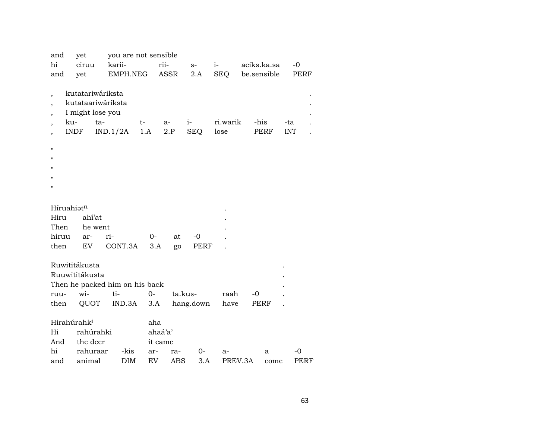| and                                                                                                                                                   | yet                                                                             | you are not sensible                            |                                        |                   |                      |                  |             |             |                   |  |
|-------------------------------------------------------------------------------------------------------------------------------------------------------|---------------------------------------------------------------------------------|-------------------------------------------------|----------------------------------------|-------------------|----------------------|------------------|-------------|-------------|-------------------|--|
| hi                                                                                                                                                    | ciruu                                                                           | karii-                                          |                                        | rii-              | $S-$                 | $i-$             | aciks.ka.sa |             | $-0$              |  |
| and                                                                                                                                                   | yet                                                                             | EMPH.NEG                                        |                                        | ASSR              | 2.A                  | <b>SEQ</b>       | be.sensible |             | <b>PERF</b>       |  |
| $\ddot{\phantom{0}}$<br>$\overline{\phantom{a}}$<br>$\overline{\phantom{a}}$<br>ku-<br>$\bullet$<br>$\overline{\phantom{a}}$<br>п<br>н<br>Ħ<br>п<br>Н | kutatariwáriksta<br>kutataariwáriksta<br>I might lose you<br>ta-<br><b>INDF</b> | IND.1/2A                                        | t-<br>1.A                              | $a-$<br>2.P       | $i-$<br>SEQ          | ri.warik<br>lose | -his        | <b>PERF</b> | -ta<br><b>INT</b> |  |
| Híruahiatn<br>Hiru                                                                                                                                    | ahí'at                                                                          |                                                 |                                        |                   |                      |                  |             |             |                   |  |
| Then                                                                                                                                                  | he went                                                                         |                                                 |                                        |                   |                      |                  |             |             |                   |  |
| hiruu                                                                                                                                                 | ar-                                                                             | ri-                                             | $0-$                                   | at                | $-0$                 |                  |             |             |                   |  |
| then                                                                                                                                                  | EV                                                                              | CONT.3A                                         | 3.A                                    | go                | PERF                 |                  |             |             |                   |  |
| ruu-<br>then                                                                                                                                          | Ruwititákusta<br>Ruuwititákusta<br>wi-<br>QUOT                                  | Then he packed him on his back<br>ti-<br>IND.3A | $0-$<br>3.A                            |                   | ta.kus-<br>hang.down | raah<br>have     | -0<br>PERF  |             |                   |  |
| Hirahúrahk <sup>i</sup><br>Hi<br>And<br>hi<br>and                                                                                                     | rahúrahki<br>the deer<br>rahuraar<br>animal                                     | -kis<br>DIM                                     | aha<br>ahaá'a'<br>it came<br>ar-<br>EV | ra-<br><b>ABS</b> | $0-$<br>3.A          | $a-$             | PREV.3A     | а<br>come   | $-0$<br>PERF      |  |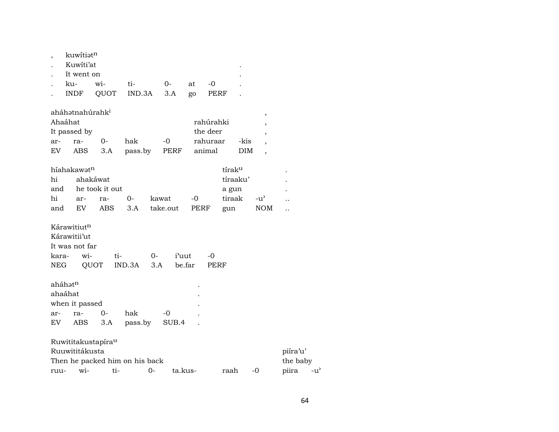| $\overline{\phantom{a}}$ | kuwitiatn                   |                                |                                |           |                 |                   |            |                          |                      |                                   |
|--------------------------|-----------------------------|--------------------------------|--------------------------------|-----------|-----------------|-------------------|------------|--------------------------|----------------------|-----------------------------------|
|                          | Kuwiti'at                   |                                |                                |           |                 |                   |            |                          |                      |                                   |
|                          | It went on                  |                                |                                |           |                 |                   |            |                          |                      |                                   |
|                          | ku-                         | wi-                            | ti-                            | $0-$      | at              | $-0$              |            |                          |                      |                                   |
|                          | <b>INDF</b>                 | QUOT                           | IND.3A                         | 3.A       | go              | PERF              |            |                          |                      |                                   |
|                          | aháhətnahúrahk <sup>i</sup> |                                |                                |           |                 |                   |            | $\overline{\phantom{a}}$ |                      |                                   |
| Ahaáhat                  |                             |                                |                                |           |                 | rahúrahki         |            | $\overline{\phantom{a}}$ |                      |                                   |
|                          | It passed by                |                                |                                |           |                 | the deer          |            | $\overline{ }$           |                      |                                   |
| ar-                      | ra-                         | 0-                             | hak                            | $-0$      |                 | rahuraar          | -kis       |                          |                      |                                   |
| EV                       | ABS                         | 3.A                            | pass.by                        | PERF      |                 | animal            | <b>DIM</b> | $\overline{ }$           |                      |                                   |
|                          | híahakawatn                 |                                |                                |           |                 |                   | tíraku     |                          |                      |                                   |
| hi                       |                             | ahakáwat                       |                                |           |                 |                   | tíraaku'   |                          |                      |                                   |
| and                      |                             | he took it out                 |                                |           |                 |                   | a gun      |                          |                      |                                   |
| hi                       | ar-                         | ra-                            | 0-                             | kawat     | $-0$            |                   | tiraak     | $-u^{\prime}$            |                      |                                   |
| and                      | EV                          | <b>ABS</b>                     | 3.A                            | take.out  |                 | PERF              | gun        | <b>NOM</b>               | . .                  |                                   |
|                          | Kárawitiutn<br>Kárawitii'ut |                                |                                |           |                 |                   |            |                          |                      |                                   |
|                          | It was not far              |                                |                                |           |                 |                   |            |                          |                      |                                   |
| kara-                    | wi-                         | ti-                            | IND.3A                         | 0-<br>3.A | i'uut<br>be.far | -0<br><b>PERF</b> |            |                          |                      |                                   |
| NEG                      |                             | QUOT                           |                                |           |                 |                   |            |                          |                      |                                   |
| aháhatn<br>ahaáhat       | when it passed              |                                |                                |           |                 |                   |            |                          |                      |                                   |
| ar-                      | ra-                         | 0-                             | hak                            | -0        |                 |                   |            |                          |                      |                                   |
| EV                       | ABS                         | 3.A                            | pass.by                        | SUB.4     |                 |                   |            |                          |                      |                                   |
|                          |                             |                                |                                |           |                 |                   |            |                          |                      |                                   |
|                          | Ruuwititákusta              | Ruwititakustapíra <sup>u</sup> |                                |           |                 |                   |            |                          |                      |                                   |
|                          |                             |                                |                                |           |                 |                   |            |                          | piíra'u'<br>the baby |                                   |
| ruu-                     | wi-                         | ti-                            | Then he packed him on his back | $0-$      | ta.kus-         |                   | raah       | $-0$                     | piira                | $-u$ <sup><math>\sim</math></sup> |
|                          |                             |                                |                                |           |                 |                   |            |                          |                      |                                   |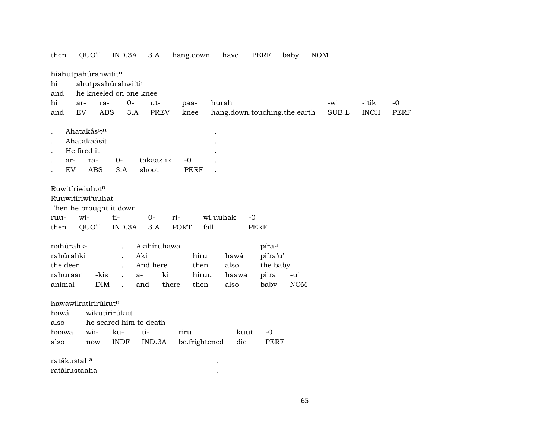| then                  | QUOT                       | IND.3A                 | 3.A          | hang.down     | have                         | PERF        | NOM<br>baby   |             |             |      |
|-----------------------|----------------------------|------------------------|--------------|---------------|------------------------------|-------------|---------------|-------------|-------------|------|
|                       | hiahutpahúrahwititn        |                        |              |               |                              |             |               |             |             |      |
| hi                    |                            | ahutpaahúrahwiitit     |              |               |                              |             |               |             |             |      |
| and                   |                            | he kneeled on one knee |              |               |                              |             |               |             |             |      |
| hi                    | ar-<br>ra-                 | $0-$                   | ut-          | paa-          | hurah                        |             |               | -wi         | -itik       | $-0$ |
| and                   | <b>EV</b>                  | <b>ABS</b><br>3.A      | <b>PREV</b>  | knee          | hang.down.touching.the.earth |             |               | $\rm SUB.L$ | <b>INCH</b> | PERF |
|                       |                            |                        |              |               |                              |             |               |             |             |      |
|                       | Ahatakásitn<br>Ahatakaásit |                        |              |               |                              |             |               |             |             |      |
|                       | He fired it                |                        |              |               |                              |             |               |             |             |      |
| ar-                   | ra-                        | $O -$                  | takaas.ik    | $-0$          |                              |             |               |             |             |      |
| EV                    | <b>ABS</b>                 | 3.A                    | shoot        | <b>PERF</b>   |                              |             |               |             |             |      |
|                       |                            |                        |              |               |                              |             |               |             |             |      |
|                       | Ruwitíriwiuhatn            |                        |              |               |                              |             |               |             |             |      |
|                       | Ruuwitíriwi'uuhat          |                        |              |               |                              |             |               |             |             |      |
|                       | Then he brought it down    |                        |              |               |                              |             |               |             |             |      |
| ruu-                  | wi-                        | ti-                    | $0-$         | ri-           | wi.uuhak<br>$-0$             |             |               |             |             |      |
| then                  | QUOT                       | IND.3A                 | 3.A          | fall<br>PORT  |                              | <b>PERF</b> |               |             |             |      |
|                       |                            |                        |              |               |                              |             |               |             |             |      |
| nahúrahk <sup>i</sup> |                            |                        | Akihíruhawa  |               |                              | pírau       |               |             |             |      |
| rahúrahki             |                            |                        | Aki          | hiru          | hawá                         | piíra'u'    |               |             |             |      |
| the deer              |                            |                        | And here     | then          | also                         | the baby    |               |             |             |      |
| rahuraar              | -kis                       |                        | ki<br>$a-$   | hiruu         | haawa                        | piira       | $-u^{\prime}$ |             |             |      |
| animal                | $\rm{DIM}$                 |                        | and<br>there | then          | also                         | baby        | <b>NOM</b>    |             |             |      |
|                       | hawawikutirirúkutn         |                        |              |               |                              |             |               |             |             |      |
| hawá                  |                            | wikutirirúkut          |              |               |                              |             |               |             |             |      |
| also                  |                            | he scared him to death |              |               |                              |             |               |             |             |      |
| haawa                 | wii-                       | ku-                    | ti-          | riru          | kuut                         | $-0$        |               |             |             |      |
| also                  | now                        | <b>INDF</b>            | IND.3A       | be.frightened | die                          | <b>PERF</b> |               |             |             |      |
|                       |                            |                        |              |               |                              |             |               |             |             |      |
| ratákustaha           |                            |                        |              |               |                              |             |               |             |             |      |
| ratákustaaha          |                            |                        |              |               |                              |             |               |             |             |      |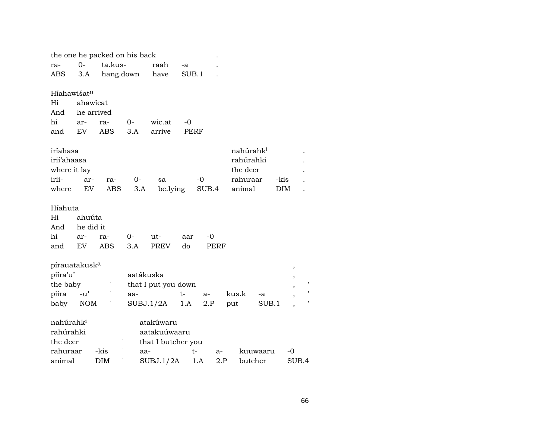|                           |               | the one he packed on his back |           |                     |       |             |      |                       |        |       |
|---------------------------|---------------|-------------------------------|-----------|---------------------|-------|-------------|------|-----------------------|--------|-------|
| ra-                       | $0-$          | ta.kus-                       |           | raah                | -a    |             |      |                       |        |       |
| ABS                       | 3.A           | hang.down                     |           | have                | SUB.1 |             |      |                       |        |       |
|                           |               |                               |           |                     |       |             |      |                       |        |       |
| Híahawišat <sup>n</sup>   |               |                               |           |                     |       |             |      |                       |        |       |
| Hi                        | ahawicat      |                               |           |                     |       |             |      |                       |        |       |
| And                       | he arrived    |                               |           |                     |       |             |      |                       |        |       |
| hi                        | ar-           | ra-                           | $0-$      | wic.at              | -0    |             |      |                       |        |       |
| and                       | EV            | <b>ABS</b>                    | 3.A       | arrive              |       | <b>PERF</b> |      |                       |        |       |
|                           |               |                               |           |                     |       |             |      |                       |        |       |
| iríahasa                  |               |                               |           |                     |       |             |      | nahúrahk <sup>i</sup> |        |       |
| irií'ahaasa               |               |                               |           |                     |       |             |      | rahúrahki             |        |       |
| where it lay              |               |                               |           |                     |       |             |      | the deer              |        |       |
| irii-                     | ar-           | ra-                           | 0-        | sa                  |       | $-0$        |      | rahuraar              | -kis   |       |
| where                     | EV            | ABS                           | 3.A       | be.lying            |       | SUB.4       |      | animal                | DIM    |       |
|                           |               |                               |           |                     |       |             |      |                       |        |       |
| Híahuta                   |               |                               |           |                     |       |             |      |                       |        |       |
| Hi                        | ahuúta        |                               |           |                     |       |             |      |                       |        |       |
| And                       | he did it     |                               |           |                     |       |             |      |                       |        |       |
| hi                        | ar-           | ra-                           | 0-        | ut-                 | aar   | -0          |      |                       |        |       |
| and                       | EV            | ABS                           | 3.A       | <b>PREV</b>         | do    |             | PERF |                       |        |       |
| pírauatakusk <sup>a</sup> |               |                               |           |                     |       |             |      |                       |        |       |
| piíra'u'                  |               |                               | aatákuska |                     |       |             |      |                       | $\, ,$ |       |
| the baby                  |               | 1                             |           | that I put you down |       |             |      |                       | ,      |       |
| piira                     | $-u^{\prime}$ |                               | aa-       |                     | t-    | $a-$        |      | kus.k<br>-a           | ,      |       |
| baby                      | <b>NOM</b>    |                               | SUBJ.1/2A |                     | 1.A   | 2.P         |      | SUB.1                 |        |       |
|                           |               |                               |           |                     |       |             |      | put                   |        |       |
| nahúrahk <sup>i</sup>     |               |                               |           | atakúwaru           |       |             |      |                       |        |       |
| rahúrahki                 |               |                               |           | aatakuúwaaru        |       |             |      |                       |        |       |
| the deer                  |               |                               |           | that I butcher you  |       |             |      |                       |        |       |
| rahuraar                  |               | -kis                          | aa-       |                     |       | t-          | a-   | kuuwaaru              | -0     |       |
| animal                    |               | <b>DIM</b>                    |           | SUBJ.1/2A           |       | 1.A         | 2.P  | butcher               |        | SUB.4 |
|                           |               |                               |           |                     |       |             |      |                       |        |       |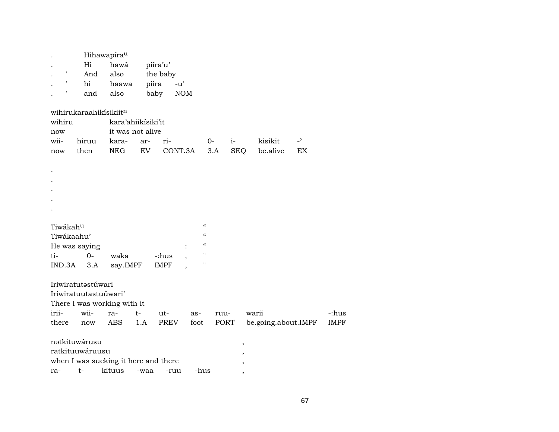|               |                        | Hihawapírau                          |      |             |               |                            |            |                     |                |             |
|---------------|------------------------|--------------------------------------|------|-------------|---------------|----------------------------|------------|---------------------|----------------|-------------|
|               | Hi                     | hawá                                 |      | piíra'u'    |               |                            |            |                     |                |             |
|               | And                    | also                                 |      | the baby    |               |                            |            |                     |                |             |
|               | hi                     | haawa                                |      | piira       | $-u^{\prime}$ |                            |            |                     |                |             |
|               | and                    | also                                 |      | baby        | $\rm{NOM}$    |                            |            |                     |                |             |
|               | wihirukaraahikisikiitn |                                      |      |             |               |                            |            |                     |                |             |
| wihiru        |                        | kara'ahiikisiki'it                   |      |             |               |                            |            |                     |                |             |
| now           |                        | it was not alive                     |      |             |               |                            |            |                     |                |             |
| wii-          | hiruu                  | kara-                                | ar-  | ri-         |               | $O-$                       | $i-$       | kisikit             | $\overline{a}$ |             |
| now           | then                   | <b>NEG</b>                           | EV   |             | CONT.3A       | 3.A                        | <b>SEQ</b> | be.alive            | EX             |             |
|               |                        |                                      |      |             |               |                            |            |                     |                |             |
| $\bullet$     |                        |                                      |      |             |               |                            |            |                     |                |             |
| $\cdot$       |                        |                                      |      |             |               |                            |            |                     |                |             |
|               |                        |                                      |      |             |               |                            |            |                     |                |             |
|               |                        |                                      |      |             |               |                            |            |                     |                |             |
|               |                        |                                      |      |             |               |                            |            |                     |                |             |
| Tiwákahu      |                        |                                      |      |             |               | $\mathcal{C}$              |            |                     |                |             |
| Tiwákaahu'    |                        |                                      |      |             |               | $\mathcal{C}$              |            |                     |                |             |
| He was saying |                        |                                      |      |             |               | $\boldsymbol{\mathcal{C}}$ |            |                     |                |             |
| ti-           | $0-$                   | waka                                 |      | -:hus       |               | п                          |            |                     |                |             |
| IND.3A        | 3.A                    | say.IMPF                             |      | <b>IMPF</b> |               | п                          |            |                     |                |             |
|               | Iriwiratutastúwari     |                                      |      |             |               |                            |            |                     |                |             |
|               | Iriwiratuutastuúwari'  |                                      |      |             |               |                            |            |                     |                |             |
|               |                        | There I was working with it          |      |             |               |                            |            |                     |                |             |
| irii-         | wii-                   | ra-                                  | t-   | ut-         | as-           | ruu-                       |            | warii               |                | -:hus       |
| there         | now                    | <b>ABS</b>                           | 1.A  | PREV        | foot          |                            | PORT       | be.going.about.IMPF |                | <b>IMPF</b> |
|               | nətkituwárusu          |                                      |      |             |               |                            | ,          |                     |                |             |
|               | ratkituuwáruusu        |                                      |      |             |               |                            |            |                     |                |             |
|               |                        | when I was sucking it here and there |      |             |               |                            | ,          |                     |                |             |
| ra-           | $t-$                   | kituus                               | -waa | -ruu        |               | -hus                       |            |                     |                |             |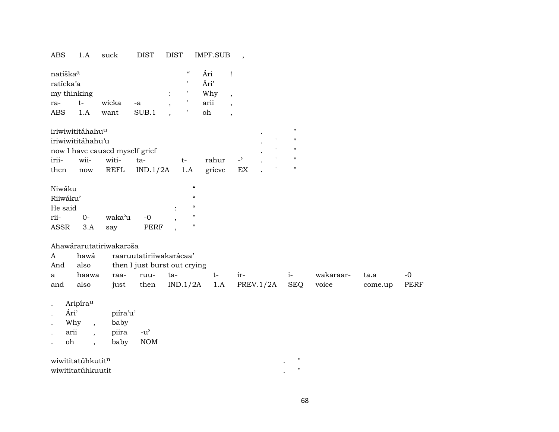| ABS | . .A | suck | DIST | DIST | <b>IMPF.SUB</b> |  |
|-----|------|------|------|------|-----------------|--|
|-----|------|------|------|------|-----------------|--|

| natíška <sup>a</sup> |       |       |       |                | $\epsilon$ | Ări  |  |
|----------------------|-------|-------|-------|----------------|------------|------|--|
| ratícka'a            |       |       |       |                |            | Ári' |  |
| my thinking          |       |       |       | $\ddot{\cdot}$ |            | Why  |  |
| ra-                  | $t -$ | wicka | $-a$  |                |            | arii |  |
| <b>ABS</b>           | 1.A   | want  | SUB.1 |                |            | oh   |  |

| iriwiwititáhahu <sup>u</sup>   |  |                                  |       |          |  |  |  |
|--------------------------------|--|----------------------------------|-------|----------|--|--|--|
| iriwiwititáhahu'u              |  |                                  |       |          |  |  |  |
| now I have caused myself grief |  |                                  |       |          |  |  |  |
| irii- wii- witi-               |  | ta-                              | $+ -$ | rahur -' |  |  |  |
| then                           |  | now REFL IND.1/2A 1.A grieve EX. |       |          |  |  |  |

| Niwáku   |          |        |      |   | $\epsilon$ |
|----------|----------|--------|------|---|------------|
| Riiwáku' |          |        |      |   | $\epsilon$ |
| He said  |          |        |      | ٠ | $\epsilon$ |
| rii-     | $\Omega$ | waka'u | $-0$ |   | п          |
| ASSR     | 3.A      | say    | PERF |   | п          |

### Ahawárarutatiriwakaraša

| $\mathbf{A}$ | hawá raaruutatiriiwakarácaa' |                              |  |      |                                        |       |           |         |      |
|--------------|------------------------------|------------------------------|--|------|----------------------------------------|-------|-----------|---------|------|
| And          | also                         | then I just burst out crying |  |      |                                        |       |           |         |      |
| a            | haawa raa- ruu- ta-          |                              |  | $^+$ | $1r-$                                  | $1 -$ | wakaraar- | ta.a    | $-0$ |
| and          | also                         |                              |  |      | just then $IND.1/2A$ 1.A PREV.1/2A SEQ |       | voice     | come.up | PERF |

Aripíra<sup>u</sup>  $\mathbf{L}^{\text{max}}$ 

|         | Ári' | piíra'u' |        |
|---------|------|----------|--------|
| $\cdot$ | Why  | baby     |        |
|         | arii | piira    | $-11'$ |
|         | oh   | baby     | NOM    |

| wiwititatúhkutit <sup>n</sup> | $^{\prime\prime}$ |
|-------------------------------|-------------------|
| wiwititatúhkuutit             |                   |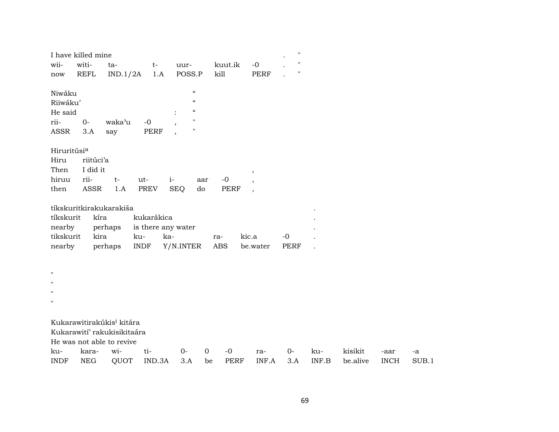| wii-                      | I have killed mine<br>witi-           |                 |                    |            |                            | kuut.ik             |                                         | $-0$     | $\pmb{\mathsf{H}}$<br>$\pmb{\mathsf{H}}$ |       |          |             |       |
|---------------------------|---------------------------------------|-----------------|--------------------|------------|----------------------------|---------------------|-----------------------------------------|----------|------------------------------------------|-------|----------|-------------|-------|
| now                       | <b>REFL</b>                           | ta-<br>IND.1/2A | $t-$               | 1.A        | uur-<br>POSS.P             | kill                |                                         | PERF     | $\pmb{\mathsf{H}}$                       |       |          |             |       |
| Niwáku                    |                                       |                 |                    |            | $\boldsymbol{\mathcal{C}}$ |                     |                                         |          |                                          |       |          |             |       |
| Riiwáku'                  |                                       |                 |                    |            | $\epsilon\epsilon$         |                     |                                         |          |                                          |       |          |             |       |
| He said                   |                                       |                 |                    |            | $\zeta\zeta$               |                     |                                         |          |                                          |       |          |             |       |
| rii-                      | $0-$                                  | waka'u          | $-0$               |            | $\mathbf{H}$               |                     |                                         |          |                                          |       |          |             |       |
| ASSR                      | 3.A                                   | say             | PERF               |            | $\mathbf{H}$               |                     |                                         |          |                                          |       |          |             |       |
| Hiruritúsi <sup>a</sup>   |                                       |                 |                    |            |                            |                     |                                         |          |                                          |       |          |             |       |
| Hiru                      | riitúci'a                             |                 |                    |            |                            |                     |                                         |          |                                          |       |          |             |       |
| Then                      | I did it                              |                 |                    |            |                            |                     | $\,$                                    |          |                                          |       |          |             |       |
| hiruu                     | rii-                                  | $t-$            | ut-                | $i-$       | aar                        | $-0$                | $\cdot$                                 |          |                                          |       |          |             |       |
| then                      | ASSR                                  | 1.A             | PREV               | <b>SEQ</b> | d <sub>o</sub>             |                     | <b>PERF</b><br>$\overline{\phantom{a}}$ |          |                                          |       |          |             |       |
|                           |                                       |                 |                    |            |                            |                     |                                         |          |                                          |       |          |             |       |
|                           | tíkskuritkirakukarakiša               |                 |                    |            |                            |                     |                                         |          |                                          |       |          |             |       |
| tíkskurit                 | kíra                                  |                 | kukarákica         |            |                            |                     |                                         |          |                                          |       |          |             |       |
| nearby                    |                                       | perhaps         | is there any water |            |                            |                     |                                         |          |                                          |       |          |             |       |
| tikskurit                 | kira                                  |                 | ku-                | ka-        |                            | ra-                 | kic.a                                   |          | $-0$                                     |       |          |             |       |
| nearby                    |                                       | perhaps         | <b>INDF</b>        |            | Y/N.INTER                  | ABS                 |                                         | be.water | PERF                                     |       |          |             |       |
|                           |                                       |                 |                    |            |                            |                     |                                         |          |                                          |       |          |             |       |
| $\boldsymbol{\mathsf{H}}$ |                                       |                 |                    |            |                            |                     |                                         |          |                                          |       |          |             |       |
| $\mathbf{H}$              |                                       |                 |                    |            |                            |                     |                                         |          |                                          |       |          |             |       |
| $^{\prime}$               |                                       |                 |                    |            |                            |                     |                                         |          |                                          |       |          |             |       |
| $\mathbf{H}$              |                                       |                 |                    |            |                            |                     |                                         |          |                                          |       |          |             |       |
|                           |                                       |                 |                    |            |                            |                     |                                         |          |                                          |       |          |             |       |
|                           | Kukarawitirakúkis <sup>i</sup> kitára |                 |                    |            |                            |                     |                                         |          |                                          |       |          |             |       |
|                           | Kukarawití' rakukisikitaára           |                 |                    |            |                            |                     |                                         |          |                                          |       |          |             |       |
|                           | He was not able to revive             |                 |                    |            |                            |                     |                                         |          |                                          |       |          |             |       |
| ku-                       | kara-                                 | wi-             | ti-                |            | $O -$                      | $\mathbf 0$<br>$-0$ |                                         | ra-      | $0-$                                     | ku-   | kisikit  | -aar        | -a    |
| <b>INDF</b>               | <b>NEG</b>                            | QUOT            | IND.3A             |            | 3.A                        | be                  | <b>PERF</b>                             | INF.A    | 3.A                                      | INF.B | be.alive | <b>INCH</b> | SUB.1 |
|                           |                                       |                 |                    |            |                            |                     |                                         |          |                                          |       |          |             |       |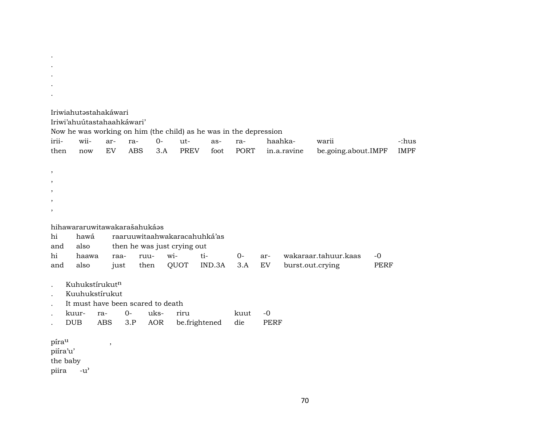|                                        |               | Iriwiahutəstahakáwari<br>Iriwi'ahuútastahaahkáwari'                   |                   |             | Now he was working on him (the child) as he was in the depression |             |                    |             |                        |                              |             |                      |
|----------------------------------------|---------------|-----------------------------------------------------------------------|-------------------|-------------|-------------------------------------------------------------------|-------------|--------------------|-------------|------------------------|------------------------------|-------------|----------------------|
| irii-<br>then                          | wii-<br>now   | ar-<br><b>EV</b>                                                      | ra-<br><b>ABS</b> | $0-$<br>3.A | $ut-$<br><b>PREV</b>                                              | as-<br>foot | ra-<br><b>PORT</b> |             | haahka-<br>in.a.ravine | warii<br>be.going.about.IMPF |             | -:hus<br><b>IMPF</b> |
|                                        |               |                                                                       |                   |             |                                                                   |             |                    |             |                        |                              |             |                      |
| $\cdot$                                |               |                                                                       |                   |             |                                                                   |             |                    |             |                        |                              |             |                      |
|                                        |               |                                                                       |                   |             |                                                                   |             |                    |             |                        |                              |             |                      |
|                                        |               |                                                                       |                   |             |                                                                   |             |                    |             |                        |                              |             |                      |
| $\cdot$                                |               |                                                                       |                   |             |                                                                   |             |                    |             |                        |                              |             |                      |
|                                        |               |                                                                       |                   |             |                                                                   |             |                    |             |                        |                              |             |                      |
| hi                                     | hawá          | hihawararuwitawakarašahukáas                                          |                   |             | raaruuwitaahwakaracahuhká'as                                      |             |                    |             |                        |                              |             |                      |
| and                                    | also          |                                                                       |                   |             | then he was just crying out                                       |             |                    |             |                        |                              |             |                      |
| hi                                     | haawa         | raa-                                                                  |                   | wi-<br>ruu- |                                                                   | ti-         | $0-$               | ar-         |                        | wakaraar.tahuur.kaas         | $-0$        |                      |
| and                                    | also          | just                                                                  |                   | then        | QUOT                                                              | IND.3A      | 3.A                | <b>EV</b>   |                        | burst.out.crying             | <b>PERF</b> |                      |
|                                        |               | Kuhukstírukutn<br>Kuuhukstírukut<br>It must have been scared to death |                   |             |                                                                   |             |                    |             |                        |                              |             |                      |
|                                        | kuur-         | ra-                                                                   | $0-$              | uks-        | riru                                                              |             | kuut               | $-0$        |                        |                              |             |                      |
|                                        | <b>DUB</b>    | <b>ABS</b>                                                            | 3.P               | <b>AOR</b>  | be.frightened                                                     |             | die                | <b>PERF</b> |                        |                              |             |                      |
| pírau<br>piíra'u'<br>the baby<br>piira | $-u^{\prime}$ | $^\mathrm{,}$                                                         |                   |             |                                                                   |             |                    |             |                        |                              |             |                      |

 $\langle \cdot \rangle$  $\mathcal{A}^{\pm}$  $\bullet$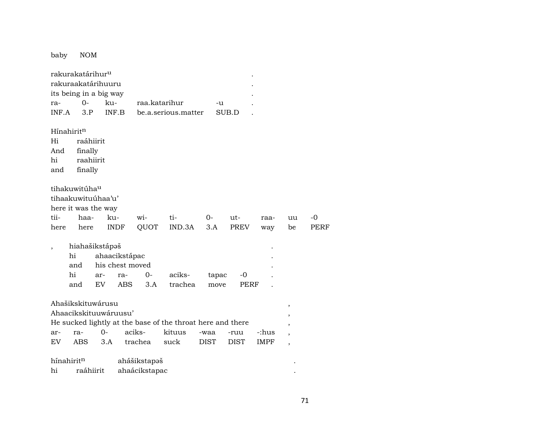baby NOM

|                          | rakurakatárihur <sup>u</sup> |           |                       |               |                                                            |             |             |             |    |      |  |
|--------------------------|------------------------------|-----------|-----------------------|---------------|------------------------------------------------------------|-------------|-------------|-------------|----|------|--|
|                          | rakuraakatárihuuru           |           |                       |               |                                                            |             |             |             |    |      |  |
|                          | its being in a big way       |           |                       |               |                                                            |             |             |             |    |      |  |
| ra-                      | $0-$                         |           | ku-                   | raa.katarihur |                                                            | -u          |             |             |    |      |  |
| INF.A                    | 3.P                          |           | INF.B                 |               | be.a.serious.matter                                        |             | SUB.D       |             |    |      |  |
|                          |                              |           |                       |               |                                                            |             |             |             |    |      |  |
|                          | Hínahirit <sup>n</sup>       |           |                       |               |                                                            |             |             |             |    |      |  |
| Hi                       |                              | raáhiirit |                       |               |                                                            |             |             |             |    |      |  |
| And                      | finally                      |           |                       |               |                                                            |             |             |             |    |      |  |
| hi                       |                              | raahiirit |                       |               |                                                            |             |             |             |    |      |  |
| and                      | finally                      |           |                       |               |                                                            |             |             |             |    |      |  |
|                          |                              |           |                       |               |                                                            |             |             |             |    |      |  |
|                          | tihakuwitúha <sup>u</sup>    |           |                       |               |                                                            |             |             |             |    |      |  |
|                          | tihaakuwituúhaa'u'           |           |                       |               |                                                            |             |             |             |    |      |  |
|                          | here it was the way          |           |                       |               |                                                            |             |             |             |    |      |  |
| tii-                     | haa-                         |           | ku-                   | wi-           | ti-                                                        | 0-          | ut-         | raa-        | uu | -0   |  |
| here                     | here                         |           | <b>INDF</b>           | QUOT          | IND.3A                                                     | 3.A         | <b>PREV</b> | way         | be | PERF |  |
|                          |                              |           |                       |               |                                                            |             |             |             |    |      |  |
| $\overline{\phantom{a}}$ | hiahašikstápəš               |           |                       |               |                                                            |             |             |             |    |      |  |
|                          | hi                           |           | ahaacikstápac         |               |                                                            |             |             |             |    |      |  |
|                          | and                          |           | his chest moved       |               |                                                            |             |             |             |    |      |  |
|                          | hi                           | ar-       | ra-                   | 0-            | aciks-                                                     | tapac       | -0          |             |    |      |  |
|                          | and                          | EV.       | ABS                   | 3.A           | trachea                                                    | move        | PERF        |             |    |      |  |
|                          |                              |           |                       |               |                                                            |             |             |             |    |      |  |
|                          | Ahašikskituwárusu            |           |                       |               |                                                            |             |             |             | ,  |      |  |
|                          |                              |           | Ahaacikskituuwáruusu' |               |                                                            |             |             |             |    |      |  |
|                          |                              |           |                       |               | He sucked lightly at the base of the throat here and there |             |             |             |    |      |  |
| ar-                      | ra-                          | 0-        |                       | aciks-        | kituus                                                     | -waa        | -ruu        | -:hus       | ,  |      |  |
| EV                       | ABS                          | 3.A       |                       | trachea       | suck                                                       | <b>DIST</b> | <b>DIST</b> | <b>IMPF</b> | ,  |      |  |
|                          |                              |           |                       |               |                                                            |             |             |             |    |      |  |
|                          | hínahiritn                   |           |                       | ahášikstapəš  |                                                            |             |             |             |    |      |  |
| hi                       |                              | raáhiirit |                       | ahaácikstapac |                                                            |             |             |             |    |      |  |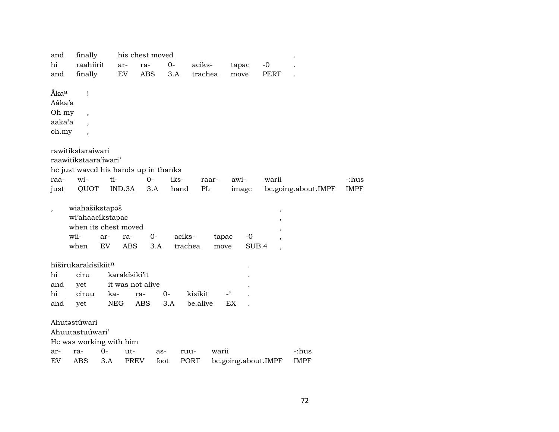| and              | finally                              |            |                  | his chest moved |         |          |                          |                     |                          |                     |             |
|------------------|--------------------------------------|------------|------------------|-----------------|---------|----------|--------------------------|---------------------|--------------------------|---------------------|-------------|
| hi               | raahiirit                            |            | ar-              | ra-             | $0-$    | aciks-   |                          | tapac               | $-0$                     |                     |             |
| and              | finally                              |            | EV               | <b>ABS</b>      | 3.A     | trachea  |                          | move                | <b>PERF</b>              |                     |             |
|                  |                                      |            |                  |                 |         |          |                          |                     |                          |                     |             |
| Ãka <sup>a</sup> | 1                                    |            |                  |                 |         |          |                          |                     |                          |                     |             |
| Aáka'a           |                                      |            |                  |                 |         |          |                          |                     |                          |                     |             |
| Oh my            |                                      |            |                  |                 |         |          |                          |                     |                          |                     |             |
| aaka'a           | $\overline{\phantom{a}}$             |            |                  |                 |         |          |                          |                     |                          |                     |             |
| oh.my            |                                      |            |                  |                 |         |          |                          |                     |                          |                     |             |
|                  |                                      |            |                  |                 |         |          |                          |                     |                          |                     |             |
|                  | rawitikstaraíwari                    |            |                  |                 |         |          |                          |                     |                          |                     |             |
|                  | raawitikstaara'iwari'                |            |                  |                 |         |          |                          |                     |                          |                     |             |
|                  | he just waved his hands up in thanks |            |                  |                 |         |          |                          |                     |                          |                     |             |
| raa-             | wi-                                  | ti-        |                  | $0-$            | iks-    |          | raar-                    | awi-                | warii                    |                     | -:hus       |
| just             | QUOT                                 |            | IND.3A           | 3.A             | hand    | PL       |                          | image               |                          | be.going.about.IMPF | <b>IMPF</b> |
|                  | wiahašikstapaš                       |            |                  |                 |         |          |                          |                     |                          |                     |             |
|                  | wi'ahaacikstapac                     |            |                  |                 |         |          |                          |                     | $\overline{\phantom{a}}$ |                     |             |
|                  | when its chest moved                 |            |                  |                 |         |          |                          |                     | ,                        |                     |             |
|                  | wii-                                 | ar-        | ra-              | 0-              | aciks-  |          | tapac                    | $-0$                |                          |                     |             |
|                  | when                                 | EV         | <b>ABS</b>       | 3.A             | trachea |          | move                     | SUB.4               | $\cdot$<br>,             |                     |             |
|                  |                                      |            |                  |                 |         |          |                          |                     |                          |                     |             |
|                  | hiširukarakísikiitn                  |            |                  |                 |         |          |                          |                     |                          |                     |             |
| hi               | ciru                                 |            | karakísiki'it    |                 |         |          |                          |                     |                          |                     |             |
| and              | yet                                  |            | it was not alive |                 |         |          |                          |                     |                          |                     |             |
| hi               | ciruu                                | ka-        |                  | ra-             | $O -$   | kisikit  | $\overline{\phantom{0}}$ |                     |                          |                     |             |
| and              | yet                                  | <b>NEG</b> |                  | <b>ABS</b>      | 3.A     | be.alive | EX                       |                     |                          |                     |             |
|                  |                                      |            |                  |                 |         |          |                          |                     |                          |                     |             |
|                  | Ahutastúwari                         |            |                  |                 |         |          |                          |                     |                          |                     |             |
|                  | Ahuutastuúwari'                      |            |                  |                 |         |          |                          |                     |                          |                     |             |
|                  | He was working with him              |            |                  |                 |         |          |                          |                     |                          |                     |             |
| ar-              | ra-                                  | $0-$       | ut-              | as-             |         | ruu-     | warii                    |                     |                          | -:hus               |             |
| EV               | ABS                                  | 3.A        | <b>PREV</b>      | foot            |         | PORT     |                          | be.going.about.IMPF |                          | <b>IMPF</b>         |             |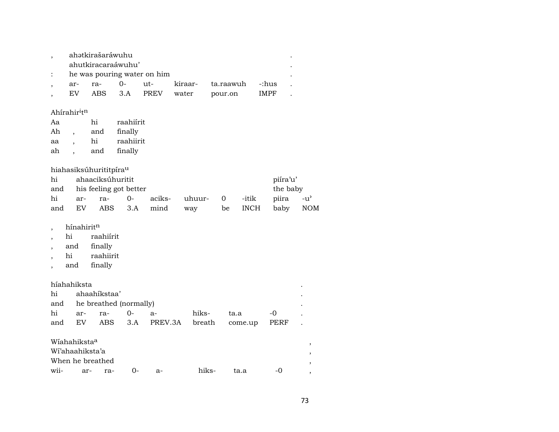|                             | ahətkirašaráwuhu |      |              |       |                   |             |  |  |  |  |  |  |
|-----------------------------|------------------|------|--------------|-------|-------------------|-------------|--|--|--|--|--|--|
| ahutkiracaraáwuhu'          |                  |      |              |       |                   |             |  |  |  |  |  |  |
| he was pouring water on him |                  |      |              |       |                   |             |  |  |  |  |  |  |
| ar-                         | ra-              | $O-$ | ut-          |       | kiraar- ta.raawuh | -:hus       |  |  |  |  |  |  |
| EV.                         |                  |      | ABS 3.A PREV | water | pour.on           | <b>IMPF</b> |  |  |  |  |  |  |

## Ahírahir<sup>i</sup>t<sup>n</sup>

| Aa | hi  | raahiirit |
|----|-----|-----------|
| Ah | and | finally   |
| aa | hi  | raahiirit |
| ah | and | finally   |
|    |     |           |

## hiahasiksúhurititpíra<sup>u</sup>

| hi  |     | ahaaciksúhuritit           | piíra'u' |                          |  |  |          |     |
|-----|-----|----------------------------|----------|--------------------------|--|--|----------|-----|
|     |     | and his feeling got better |          | the baby                 |  |  |          |     |
| hi  |     |                            |          |                          |  |  | piira    | -น' |
| and | EV. |                            |          | ABS 3.A mind way be INCH |  |  | baby NOM |     |

#### $h$ ínahirit $^n$  $\overline{\phantom{a}}$

- hi raahiírit  $\overline{\phantom{a}}$
- and finally  $\cdot$
- raahiirit hi  $\overline{\phantom{a}}$
- finally and  $\,$

# híahahiksta

|  | hi ahaahikstaa'            |  |                                              |  |               |  |  |  |  |  |  |
|--|----------------------------|--|----------------------------------------------|--|---------------|--|--|--|--|--|--|
|  | and he breathed (normally) |  |                                              |  |               |  |  |  |  |  |  |
|  | hi ar- ra- 0- a-           |  |                                              |  | hiks- ta.a -0 |  |  |  |  |  |  |
|  |                            |  | and EV ABS 3.A PREV.3A breath come.up PERF . |  |               |  |  |  |  |  |  |

# Wiahahiksta<sup>a</sup>

| Wiahahiksta <sup>a</sup> |  |        |    |       |      |       |  |
|--------------------------|--|--------|----|-------|------|-------|--|
| Wi'ahaahiksta'a          |  |        |    |       |      |       |  |
| When he breathed         |  |        |    |       |      |       |  |
| wii- ar- ra-             |  | $()$ - | -а | hiks- | ta.a | $-()$ |  |

 $\ddot{\phantom{a}}$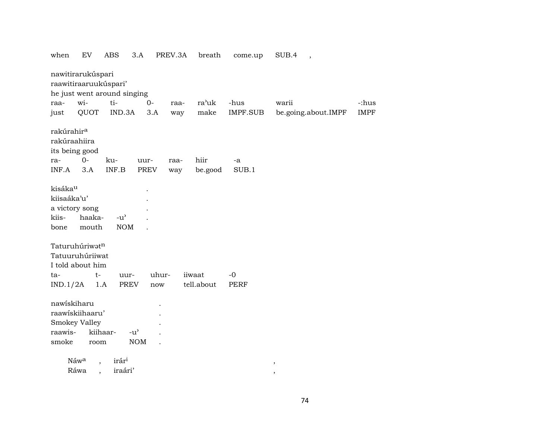| nawitirarukúspari<br>raawitiraaruukúspari'<br>he just went around singing<br>wi-<br>ti-<br>$O -$<br>ra'uk<br>-hus<br>-:hus<br>warii<br>raa-<br>raa-<br>QUOT<br>IND.3A<br><b>IMPF</b><br>3.A<br>make<br>IMPF.SUB<br>be.going.about.IMPF<br>just<br>way<br>rakúrahir <sup>a</sup><br>rakúraahiira<br>its being good<br>$0-$<br>hiir<br>ku-<br>ra-<br>uur-<br>-a<br>raa-<br>INF.B<br>PREV<br>SUB.1<br>INF.A<br>3.A<br>be.good<br>way<br>kisáka <sup>u</sup><br>kiisaáka'u'<br>a victory song<br>haaka-<br>kiis-<br>$-u^{\prime}$<br><b>NOM</b><br>mouth<br>bone<br>Taturuhúriwatn<br>Tatuuruhúriiwat<br>I told about him<br>uhur-<br>iiwaat<br>$-0$<br>t-<br>uur-<br>ta-<br>tell.about<br>IND.1/2A<br><b>PREV</b><br><b>PERF</b><br>1.A<br>now<br>nawiskiharu<br>raawiskiihaaru'<br>Smokey Valley<br>kiihaar-<br>raawis-<br>$-u$ <sup><math>\prime</math></sup><br>smoke<br><b>NOM</b><br>room<br>Náwa<br>irár <sup>i</sup><br>$\overline{\phantom{a}}$<br>$\, ,$<br>Ráwa | when | EV                   | <b>ABS</b> | 3.A | PREV.3A | breath | come.up | SUB.4<br>$\overline{\phantom{a}}$ |  |
|------------------------------------------------------------------------------------------------------------------------------------------------------------------------------------------------------------------------------------------------------------------------------------------------------------------------------------------------------------------------------------------------------------------------------------------------------------------------------------------------------------------------------------------------------------------------------------------------------------------------------------------------------------------------------------------------------------------------------------------------------------------------------------------------------------------------------------------------------------------------------------------------------------------------------------------------------------------------|------|----------------------|------------|-----|---------|--------|---------|-----------------------------------|--|
|                                                                                                                                                                                                                                                                                                                                                                                                                                                                                                                                                                                                                                                                                                                                                                                                                                                                                                                                                                        |      |                      |            |     |         |        |         |                                   |  |
|                                                                                                                                                                                                                                                                                                                                                                                                                                                                                                                                                                                                                                                                                                                                                                                                                                                                                                                                                                        |      |                      |            |     |         |        |         |                                   |  |
|                                                                                                                                                                                                                                                                                                                                                                                                                                                                                                                                                                                                                                                                                                                                                                                                                                                                                                                                                                        |      |                      |            |     |         |        |         |                                   |  |
|                                                                                                                                                                                                                                                                                                                                                                                                                                                                                                                                                                                                                                                                                                                                                                                                                                                                                                                                                                        |      |                      |            |     |         |        |         |                                   |  |
|                                                                                                                                                                                                                                                                                                                                                                                                                                                                                                                                                                                                                                                                                                                                                                                                                                                                                                                                                                        |      |                      |            |     |         |        |         |                                   |  |
|                                                                                                                                                                                                                                                                                                                                                                                                                                                                                                                                                                                                                                                                                                                                                                                                                                                                                                                                                                        |      |                      |            |     |         |        |         |                                   |  |
|                                                                                                                                                                                                                                                                                                                                                                                                                                                                                                                                                                                                                                                                                                                                                                                                                                                                                                                                                                        |      |                      |            |     |         |        |         |                                   |  |
|                                                                                                                                                                                                                                                                                                                                                                                                                                                                                                                                                                                                                                                                                                                                                                                                                                                                                                                                                                        |      |                      |            |     |         |        |         |                                   |  |
|                                                                                                                                                                                                                                                                                                                                                                                                                                                                                                                                                                                                                                                                                                                                                                                                                                                                                                                                                                        |      |                      |            |     |         |        |         |                                   |  |
|                                                                                                                                                                                                                                                                                                                                                                                                                                                                                                                                                                                                                                                                                                                                                                                                                                                                                                                                                                        |      |                      |            |     |         |        |         |                                   |  |
|                                                                                                                                                                                                                                                                                                                                                                                                                                                                                                                                                                                                                                                                                                                                                                                                                                                                                                                                                                        |      |                      |            |     |         |        |         |                                   |  |
|                                                                                                                                                                                                                                                                                                                                                                                                                                                                                                                                                                                                                                                                                                                                                                                                                                                                                                                                                                        |      |                      |            |     |         |        |         |                                   |  |
|                                                                                                                                                                                                                                                                                                                                                                                                                                                                                                                                                                                                                                                                                                                                                                                                                                                                                                                                                                        |      |                      |            |     |         |        |         |                                   |  |
|                                                                                                                                                                                                                                                                                                                                                                                                                                                                                                                                                                                                                                                                                                                                                                                                                                                                                                                                                                        |      | $\ddot{\phantom{0}}$ | iraári'    |     |         |        |         | $^\mathrm{^\mathrm{o}}$           |  |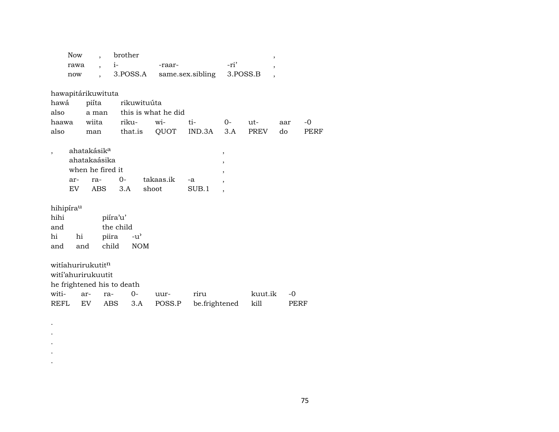| <b>Now</b>                            |                                         |                                                                    |                          | brother<br>,               |                             |                  |                       |                                                                |                 |              |      |
|---------------------------------------|-----------------------------------------|--------------------------------------------------------------------|--------------------------|----------------------------|-----------------------------|------------------|-----------------------|----------------------------------------------------------------|-----------------|--------------|------|
|                                       | rawa                                    |                                                                    | $\overline{\phantom{a}}$ | $i-$                       |                             | -raar-           |                       | -ri'                                                           | ,               |              |      |
|                                       | now                                     |                                                                    |                          |                            | 3.POSS.A                    | same.sex.sibling |                       | 3.POSS.B                                                       |                 |              |      |
|                                       | hawapitárikuwituta                      |                                                                    |                          |                            |                             |                  |                       |                                                                |                 |              |      |
|                                       | hawá<br>piíta                           |                                                                    |                          |                            | rikuwituúta                 |                  |                       |                                                                |                 |              |      |
| also                                  | a man                                   |                                                                    |                          |                            | this is what he did         |                  |                       |                                                                |                 |              |      |
| haawa                                 |                                         | wiita                                                              |                          | riku-                      |                             | wi-              | ti-                   | $0-$                                                           | ut-             | aar          | $-0$ |
| also                                  |                                         | man                                                                |                          |                            | that.is                     | QUOT             | IND.3A                | 3.A                                                            | PREV            | do           | PERF |
|                                       |                                         | ahatakásik <sup>a</sup><br>ahatakaásika<br>when he fired it<br>ra- |                          | $O -$                      |                             | takaas.ik        |                       | $\, ,$<br>$\overline{\phantom{a}}$<br>$\overline{\phantom{a}}$ |                 |              |      |
|                                       | ar-<br>EV                               |                                                                    | ABS                      | 3.A                        |                             | shoot            | -a<br>SUB.1           | $\overline{ }$                                                 |                 |              |      |
|                                       |                                         |                                                                    |                          |                            |                             |                  |                       | $\overline{\phantom{a}}$                                       |                 |              |      |
| hihipírau<br>hihi<br>and<br>hi<br>and | hi<br>and                               |                                                                    | piira<br>child           | piíra'u'<br>the child      | $-u^{\prime}$<br><b>NOM</b> |                  |                       |                                                                |                 |              |      |
| witi-<br>REFL                         | witiahurirukutitn<br>witi'ahurirukuutit | ar-<br>EV.                                                         | ra-<br><b>ABS</b>        | he frightened his to death | $0 -$<br>3.A                | uur-<br>POSS.P   | riru<br>be.frightened |                                                                | kuut.ik<br>kill | $-0$<br>PERF |      |

 $\langle \cdot \rangle$  $\ddot{\phantom{a}}$  $\bullet$  $\langle \cdot \rangle$  $\langle \cdot \rangle$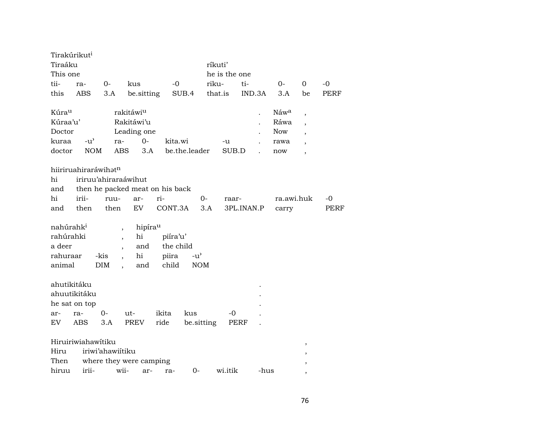| Tirakúrikut <sup>i</sup><br>Tiraáku |                                  |                             |                                 |           |               | ríkuti'        |                      |                  |                          |      |
|-------------------------------------|----------------------------------|-----------------------------|---------------------------------|-----------|---------------|----------------|----------------------|------------------|--------------------------|------|
| This one                            |                                  |                             |                                 |           |               | he is the one  |                      |                  |                          |      |
| tii-                                | ra-                              | $0-$                        | kus                             | -0        |               | riku-          | ti-                  | $0-$             | $\Omega$                 | $-0$ |
| this                                | ABS                              | 3.A                         | be.sitting                      |           | SUB.4         | that.is        | IND.3A               | 3.A              | be                       | PERF |
| Kúrau                               |                                  |                             | rakitáwiu                       |           |               |                | $\ddot{\phantom{0}}$ | Náw <sup>a</sup> | ,                        |      |
| Kúraa'u'                            |                                  |                             | Rakitáwi'u                      |           |               |                |                      | Ráwa             | $\overline{\phantom{a}}$ |      |
| Doctor                              |                                  |                             | Leading one                     |           |               |                |                      | <b>Now</b>       | $\overline{\phantom{a}}$ |      |
| kuraa                               | $-u^{\prime}$                    | ra-                         | $0 -$                           | kita.wi   |               | -u             |                      | rawa             | $\overline{\phantom{a}}$ |      |
| doctor                              | <b>NOM</b>                       | <b>ABS</b>                  | 3.A                             |           | be.the.leader | SUB.D          |                      | now              | $\overline{\phantom{a}}$ |      |
|                                     | hiiriruahiraráwihat <sup>n</sup> |                             |                                 |           |               |                |                      |                  |                          |      |
| hi                                  | iriruu'ahiraraáwihut             |                             |                                 |           |               |                |                      |                  |                          |      |
| and                                 |                                  |                             | then he packed meat on his back |           |               |                |                      |                  |                          |      |
| hi                                  | irii-                            | ruu-                        | ar-                             | ri-       |               | $O -$<br>raar- |                      | ra.awi.huk       |                          | -0   |
| and                                 | then                             | then                        | EV                              | CONT.3A   |               | 3.A            | 3PL.INAN.P           | carry            |                          | PERF |
| nahúrahk <sup>i</sup><br>rahúrahki  |                                  | $\overline{ }$              | hipírau<br>hi                   | piíra'u'  |               |                |                      |                  |                          |      |
| a deer                              |                                  | $\overline{\phantom{a}}$    | and                             | the child |               |                |                      |                  |                          |      |
| rahuraar                            |                                  | $\overline{ }$<br>-kis      | hi                              | piira     | $-u^{\prime}$ |                |                      |                  |                          |      |
| animal                              |                                  | DIM<br>$\ddot{\phantom{0}}$ | and                             | child     | <b>NOM</b>    |                |                      |                  |                          |      |
| ahutikitáku                         |                                  |                             |                                 |           |               |                |                      |                  |                          |      |
|                                     | ahuutikitáku                     |                             |                                 |           |               |                |                      |                  |                          |      |
|                                     | he sat on top                    |                             |                                 |           |               |                |                      |                  |                          |      |
| ar-                                 | ra-                              | $O -$                       | ut-                             | ikita     | kus           | -0             |                      |                  |                          |      |
| EV                                  | ABS                              | 3.A                         | PREV                            | ride      | be.sitting    |                | PERF                 |                  |                          |      |
|                                     | Hiruiriwiahawitiku               |                             |                                 |           |               |                |                      |                  | $\,$                     |      |
| Hiru                                |                                  | iriwi'ahawiitiku            |                                 |           |               |                |                      |                  | ,                        |      |
| Then                                |                                  |                             | where they were camping         |           |               |                |                      |                  | $\, ,$                   |      |
| hiruu                               | irii-                            | wii-                        | ar-                             | ra-       | $0-$          | wi.itik        | -hus                 |                  |                          |      |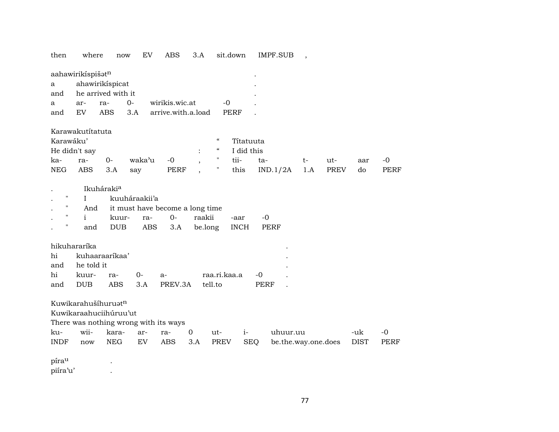then where now EV ABS 3.A sit.down IMPF.SUB ,

| aahawirikispišat <sup>n</sup> |                        |         |      |                            |       |  |  |  |  |
|-------------------------------|------------------------|---------|------|----------------------------|-------|--|--|--|--|
| a ahawirikispicat             |                        |         |      |                            |       |  |  |  |  |
|                               | and he arrived with it |         |      |                            |       |  |  |  |  |
| a a                           |                        | ar- ra- | $O-$ | wirikis.wic.at             | $-()$ |  |  |  |  |
| and EV                        |                        |         |      | ABS 3.A arrive.with.a.load | PERF  |  |  |  |  |

#### Karawakutítatuta

| Karawáku'       |               |      |             |       |  | $\epsilon$ | Títatuuta      |                        |      |     |     |       |
|-----------------|---------------|------|-------------|-------|--|------------|----------------|------------------------|------|-----|-----|-------|
|                 | He didn't say |      |             |       |  |            | : " I did this |                        |      |     |     |       |
| ka-             | ra-           | $O-$ | waka'u -0 . |       |  |            | tii-           | ta-                    | $t-$ | ut- | aar | $-()$ |
| NEG ABS 3.A say |               |      |             | PERF. |  |            |                | this IND.1/2A 1.A PREV |      |     | do  | PERF  |

| $\mathbf{L}$ and $\mathbf{L}$ | Ikuháraki <sup>a</sup> |                                         |  |  |                                       |      |  |  |  |  |  |
|-------------------------------|------------------------|-----------------------------------------|--|--|---------------------------------------|------|--|--|--|--|--|
|                               |                        | " I kuuháraakii'a                       |  |  |                                       |      |  |  |  |  |  |
|                               |                        | . " And it must have become a long time |  |  |                                       |      |  |  |  |  |  |
|                               |                        |                                         |  |  | . " i kuur- ra- 0- raakii             | -aar |  |  |  |  |  |
|                               |                        |                                         |  |  | . " and DUB ABS 3.A be.long INCH PERF |      |  |  |  |  |  |

| hikuhararíka    |                   |  |                                 |  |      |  |  |  |  |  |
|-----------------|-------------------|--|---------------------------------|--|------|--|--|--|--|--|
|                 | hi kuhaaraarikaa' |  |                                 |  |      |  |  |  |  |  |
|                 | and he told it    |  |                                 |  |      |  |  |  |  |  |
| hi kuur- ra- 0- |                   |  |                                 |  |      |  |  |  |  |  |
|                 |                   |  | and DUB ABS 3.A PREV.3A tell.to |  | PERF |  |  |  |  |  |

Kuwikarahušíhuruatn

Kuwikaraahuciihúruu'ut

There was nothing wrong with its ways

| ku- | wii- | kara- ar- ra- |  | $0$ ut- | $\sim$ 1- $\sim$ | uhuur.uu                                                       | -uk |  |
|-----|------|---------------|--|---------|------------------|----------------------------------------------------------------|-----|--|
|     |      |               |  |         |                  | INDF now NEG EV ABS 3.A PREV SEO be.the.way.one.does DIST PERF |     |  |

píra<sup>u</sup> . piíra'u' .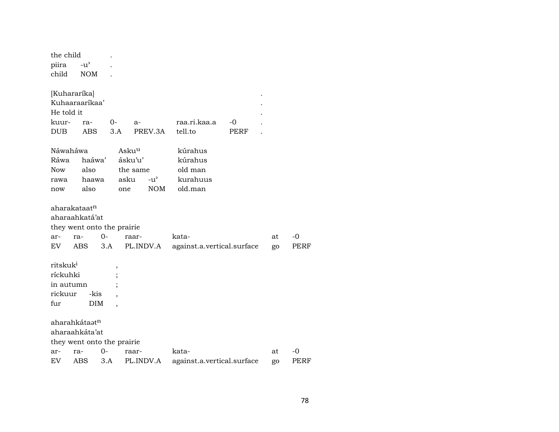| the child            |                            |      |                   |               |                            |      |    |      |
|----------------------|----------------------------|------|-------------------|---------------|----------------------------|------|----|------|
| piira                | $-u^{\prime}$              |      |                   |               |                            |      |    |      |
| child                | <b>NOM</b>                 |      |                   |               |                            |      |    |      |
|                      |                            |      |                   |               |                            |      |    |      |
| [Kuhararíka]         |                            |      |                   |               |                            |      |    |      |
|                      | Kuhaaraarikaa'             |      |                   |               |                            |      |    |      |
| He told it           |                            |      |                   |               |                            |      |    |      |
| kuur-                | ra-                        | $0-$ | $a-$              |               | raa.ri.kaa.a               | -0   |    |      |
| DUB                  | ABS                        | 3.A  |                   | PREV.3A       | tell.to                    | PERF |    |      |
| Náwaháwa             |                            |      | Asku <sup>u</sup> |               | kúrahus                    |      |    |      |
| Ráwa                 | haáwa'                     |      | ásku'u'           |               | kúrahus                    |      |    |      |
| Now                  | also                       |      | the same          |               | old man                    |      |    |      |
| rawa                 | haawa                      |      | asku              | $-u^{\prime}$ | kurahuus                   |      |    |      |
| now                  | also                       |      | one               | <b>NOM</b>    | old.man                    |      |    |      |
|                      |                            |      |                   |               |                            |      |    |      |
|                      | aharakataat <sup>n</sup>   |      |                   |               |                            |      |    |      |
|                      | aharaahkatá'at             |      |                   |               |                            |      |    |      |
|                      | they went onto the prairie |      |                   |               |                            |      |    |      |
| ar-                  | ra-                        | $0-$ | raar-             |               | kata-                      |      | at | $-0$ |
| EV.                  | <b>ABS</b>                 | 3.A  |                   | PL.INDV.A     | against.a.vertical.surface |      | go | PERF |
| ritskuk <sup>i</sup> |                            |      |                   |               |                            |      |    |      |
| ríckuhki             |                            |      |                   |               |                            |      |    |      |
| in autumn            |                            |      |                   |               |                            |      |    |      |
| rickuur              | -kis                       |      |                   |               |                            |      |    |      |
| fur                  | DIM                        |      |                   |               |                            |      |    |      |
|                      |                            |      |                   |               |                            |      |    |      |
|                      | aharahkátaat <sup>n</sup>  |      |                   |               |                            |      |    |      |
|                      | aharaahkáta'at             |      |                   |               |                            |      |    |      |
|                      | they went onto the prairie |      |                   |               |                            |      |    |      |
| ar-                  | ra-                        | $0-$ | raar-             |               | kata-                      |      | at | -0   |
| EV                   | ABS                        | 3.A  | PL.INDV.A         |               | against.a.vertical.surface |      | go | PERF |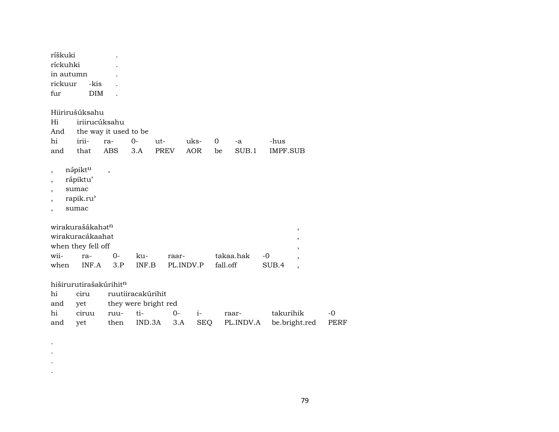| ríškuki<br>ríckuhki<br>in autumn<br>rickuur<br>fur                                                         | -kis<br><b>DIM</b>                                                                     |                                            |                                                            |                    |                    |                    |                    |                         |                                         |              |
|------------------------------------------------------------------------------------------------------------|----------------------------------------------------------------------------------------|--------------------------------------------|------------------------------------------------------------|--------------------|--------------------|--------------------|--------------------|-------------------------|-----------------------------------------|--------------|
| Hi<br>And<br>hi<br>and                                                                                     | Hiirirušúksahu<br>iriirucúksahu<br>irii-<br>that                                       | the way it used to be<br>ra-<br><b>ABS</b> | $0-$<br>$ut-$<br>3.A                                       | PREV               | uks-<br><b>AOR</b> | $\mathbf{O}$<br>be | -a<br>SUB.1        | -hus<br><b>IMPF.SUB</b> |                                         |              |
| $\overline{\phantom{a}}$<br>$\overline{\phantom{a}}$<br>$\overline{ }$<br>$\overline{ }$<br>$\overline{ }$ | nápiktu<br>rápiktu'<br>sumac<br>rapik.ru'<br>sumac                                     | $\overline{\phantom{a}}$                   |                                                            |                    |                    |                    |                    |                         |                                         |              |
| wii-<br>when                                                                                               | wirakurašákahat <sup>n</sup><br>wirakuracákaahat<br>when they fell off<br>ra-<br>INF.A | $0-$<br>3.P                                | ku-<br>INF.B                                               | raar-<br>PL.INDV.P |                    | fall.off           | takaa.hak          | $-0$<br>SUB.4           | $\, ,$<br>,<br>$\overline{\phantom{a}}$ |              |
| hi<br>and<br>hi<br>and                                                                                     | hiširurutirašakúrihitn<br>ciru<br>yet<br>ciruu<br>yet                                  | ruu-<br>then                               | ruutiiracakúrihit<br>they were bright red<br>ti-<br>IND.3A | $0-$<br>3.A        | $i-$<br><b>SEQ</b> |                    | raar-<br>PL.INDV.A | takurihik               | be.bright.red                           | $-0$<br>PERF |

 $\bullet$  $\bullet$  $\langle \cdot \rangle$  $\bullet$ 

79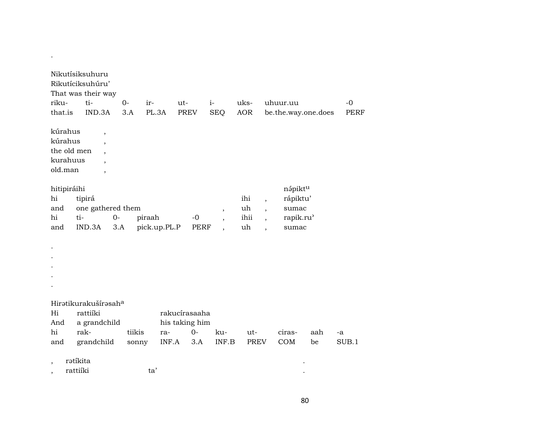| Nikutísiksuhuru                       |                                                                      |             |                                        |                     |                                                           |                         |                                                                                                                                                                                |     |             |  |  |
|---------------------------------------|----------------------------------------------------------------------|-------------|----------------------------------------|---------------------|-----------------------------------------------------------|-------------------------|--------------------------------------------------------------------------------------------------------------------------------------------------------------------------------|-----|-------------|--|--|
| Rikutíciksuhúru'                      |                                                                      |             |                                        |                     |                                                           |                         |                                                                                                                                                                                |     |             |  |  |
|                                       | That was their way                                                   |             |                                        |                     |                                                           |                         |                                                                                                                                                                                |     |             |  |  |
| riku-                                 | ti-                                                                  | $0-$<br>ir- | ut-                                    |                     | $i-$                                                      | uks-                    | uhuur.uu                                                                                                                                                                       |     | $-0$        |  |  |
| that.is                               | IND.3A                                                               | 3.A         | PL.3A<br>PREV                          |                     | <b>SEQ</b>                                                | AOR                     | be.the.way.one.does                                                                                                                                                            |     | <b>PERF</b> |  |  |
| kúrahus<br>kúrahus                    | $\overline{\phantom{a}}$<br>$\overline{\phantom{a}}$                 |             |                                        |                     |                                                           |                         |                                                                                                                                                                                |     |             |  |  |
| the old men                           | $\overline{\phantom{a}}$                                             |             |                                        |                     |                                                           |                         |                                                                                                                                                                                |     |             |  |  |
| kurahuus                              |                                                                      |             |                                        |                     |                                                           |                         |                                                                                                                                                                                |     |             |  |  |
| old.man                               | $\overline{\phantom{a}}$                                             |             |                                        |                     |                                                           |                         |                                                                                                                                                                                |     |             |  |  |
| hitipiráihi<br>hi<br>and<br>hi<br>and | tipirá<br>one gathered them<br>ti-<br>$0-$<br>IND.3A<br>3.A          | piraah      | pick.up.PL.P                           | $-0$<br><b>PERF</b> | $\overline{\phantom{a}}$<br>,<br>$\overline{\phantom{a}}$ | ihi<br>uh<br>ihii<br>uh | nápiktu<br>rápiktu'<br>$\overline{\phantom{a}}$<br>sumac<br>$\overline{\phantom{a}}$<br>rapik.ru <sup>3</sup><br>$\overline{\phantom{a}}$<br>sumac<br>$\overline{\phantom{a}}$ |     |             |  |  |
|                                       |                                                                      |             |                                        |                     |                                                           |                         |                                                                                                                                                                                |     |             |  |  |
| Hi<br>And<br>hi                       | Hiratikurakušírasah <sup>a</sup><br>rattiíki<br>a grandchild<br>rak- | tiikis      | rakucírasaaha<br>his taking him<br>ra- | $0-$                | ku-                                                       | ut-                     | ciras-                                                                                                                                                                         | aah | -a          |  |  |
| and                                   | grandchild                                                           | sonny       | INF.A                                  | 3.A                 | INF.B                                                     | PREV                    | COM                                                                                                                                                                            | be  | SUB.1       |  |  |
|                                       | rətikita<br>rattiíki                                                 | ta'         |                                        |                     |                                                           |                         |                                                                                                                                                                                |     |             |  |  |

 $\mathcal{A}(\mathcal{A})$  and  $\mathcal{A}(\mathcal{A})$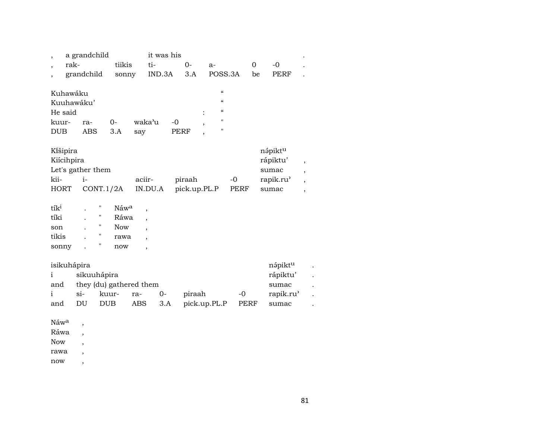| ,<br>$\overline{ }$                                       | a grandchild<br>rak-<br>grandchild | tiikis                                                        | sonny                                    | it was his<br>ti-<br>IND.3A | $0-$<br>3.A            | $a-$<br>POSS.3A                                                                                   |              | $-0$<br>$\Omega$<br>be<br>PERF                                 |                                                           |
|-----------------------------------------------------------|------------------------------------|---------------------------------------------------------------|------------------------------------------|-----------------------------|------------------------|---------------------------------------------------------------------------------------------------|--------------|----------------------------------------------------------------|-----------------------------------------------------------|
| Kuhawáku<br>He said<br>kuur-<br>DUB                       | Kuuhawáku'<br>ra-<br><b>ABS</b>    | $0-$<br>3.A                                                   | waka'u<br>say                            |                             | $-0$<br>PERF           | $\pmb{\zeta}\pmb{\zeta}$<br>$\epsilon\epsilon$<br>$\pmb{\zeta}\pmb{\zeta}$<br>$\blacksquare$<br>" |              |                                                                |                                                           |
| Kišipira<br>Kiícihpira<br>kii-<br><b>HORT</b>             | Let's gather them<br>$i-$          | CONT.1/2A                                                     | aciir-<br>IN.DU.A                        |                             | piraah<br>pick.up.PL.P |                                                                                                   | $-0$<br>PERF | nápiktu<br>rápiktu'<br>sumac<br>rapik.ru <sup>3</sup><br>sumac | $\, ,$<br>$\overline{\phantom{a}}$<br>,<br>$\overline{ }$ |
| tík <sup>i</sup><br>tíki<br>son<br>tikis<br>sonny         |                                    | н<br>Náwa<br>"<br>"<br>Now<br>11<br>rawa<br>Η<br>now          | $\overline{ }$<br>Ráwa<br>$\overline{ }$ |                             |                        |                                                                                                   |              |                                                                |                                                           |
| isikuhápira<br>$\mathbf{i}$<br>and<br>$\mathbf{i}$<br>and | $si-$<br>DU                        | sikuuhápira<br>they (du) gathered them<br>kuur-<br><b>DUB</b> | ra-<br><b>ABS</b>                        | $O -$<br>3.A                | piraah                 | pick.up.PL.P                                                                                      | $-0$<br>PERF | nápiktu<br>rápiktu'<br>sumac<br>rapik.ru <sup>3</sup><br>sumac |                                                           |
| Náw <sup>a</sup><br>Ráwa                                  | $\overline{ }$                     |                                                               |                                          |                             |                        |                                                                                                   |              |                                                                |                                                           |

Now ,

rawa ,

now ,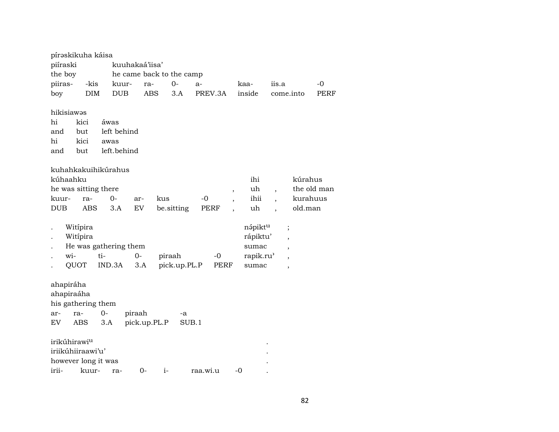|                                                  | pírəskikuha káisa                             |                                            |                        |            |                          |              |                          |                                                                |                          |                                                                                                      |             |
|--------------------------------------------------|-----------------------------------------------|--------------------------------------------|------------------------|------------|--------------------------|--------------|--------------------------|----------------------------------------------------------------|--------------------------|------------------------------------------------------------------------------------------------------|-------------|
| piíraski                                         |                                               |                                            | kuuhakaá'iisa'         |            |                          |              |                          |                                                                |                          |                                                                                                      |             |
| the boy                                          |                                               |                                            |                        |            | he came back to the camp |              |                          |                                                                |                          |                                                                                                      |             |
| piiras-                                          | -kis                                          | kuur-                                      | ra-                    |            | $O -$                    | a-           |                          | kaa-                                                           | iis.a                    |                                                                                                      | -0          |
| boy                                              | <b>DIM</b>                                    | <b>DUB</b>                                 | <b>ABS</b>             |            | 3.A                      | PREV.3A      |                          | inside                                                         | come.into                |                                                                                                      | PERF        |
| hikisiawas<br>hi<br>and<br>hi<br>and             | kici<br>but<br>kici<br>but                    | áwas<br>left behind<br>awas<br>left.behind |                        |            |                          |              |                          |                                                                |                          |                                                                                                      |             |
|                                                  |                                               | kuhahkakuihikúrahus                        |                        |            |                          |              |                          |                                                                |                          |                                                                                                      |             |
| kúhaahku                                         |                                               |                                            |                        |            |                          |              |                          | ihi                                                            |                          | kúrahus                                                                                              |             |
|                                                  | he was sitting there                          |                                            |                        |            |                          |              | $\, ,$                   | uh                                                             | $\overline{\phantom{a}}$ |                                                                                                      | the old man |
| kuur-                                            | ra-                                           | $0 -$                                      | ar-                    | kus        |                          | -0           |                          | ihii                                                           | $\overline{\phantom{a}}$ | kurahuus                                                                                             |             |
| <b>DUB</b>                                       | <b>ABS</b>                                    | 3.A                                        | EV                     | be.sitting |                          | <b>PERF</b>  | $\overline{\phantom{a}}$ | uh                                                             |                          | old.man                                                                                              |             |
| wi-                                              | Witipira<br>Witipira<br>QUOT                  | He was gathering them<br>ti-<br>IND.3A     | $0-$<br>3.A            | piraah     | pick.up.PL.P             | $-0$<br>PERF |                          | nápiktu<br>rápiktu'<br>sumac<br>rapik.ru <sup>3</sup><br>sumac |                          | $\vdots$<br>$\overline{ }$<br>$\overline{ }$<br>$\overline{\phantom{a}}$<br>$\overline{\phantom{a}}$ |             |
| ahapiráha<br>ahapiraáha<br>ar-<br>EV <sub></sub> | his gathering them<br>ra-<br>ABS              | $0-$<br>3.A                                | piraah<br>pick.up.PL.P |            | -a<br>SUB.1              |              |                          |                                                                |                          |                                                                                                      |             |
|                                                  | irikúhirawi <sup>u</sup><br>iriikúhiiraawi'u' |                                            |                        |            |                          |              |                          |                                                                |                          |                                                                                                      |             |
|                                                  | however long it was                           |                                            |                        |            |                          |              |                          |                                                                |                          |                                                                                                      |             |
| irii-                                            | kuur-                                         | ra-                                        | $0-$                   | $i-$       |                          | raa.wi.u     | -0                       |                                                                |                          |                                                                                                      |             |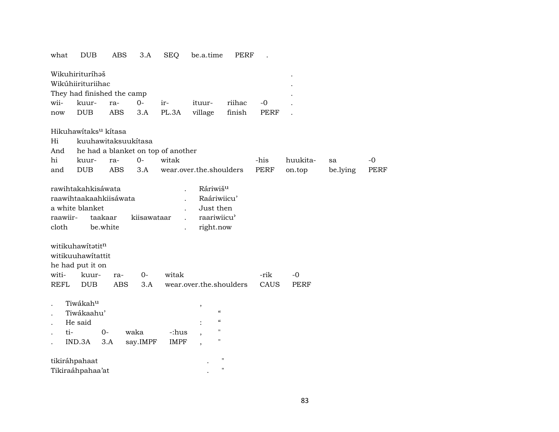what DUB ABS 3.A SEQ be.a.time PERF .

|                                                     | Wikuhirituríhəš<br>Wikúhiirituriihac<br>They had finished the camp                  |                     |                                    |                      |                                                                                              |        |             |          |          |      |
|-----------------------------------------------------|-------------------------------------------------------------------------------------|---------------------|------------------------------------|----------------------|----------------------------------------------------------------------------------------------|--------|-------------|----------|----------|------|
| wii-                                                | kuur-                                                                               | ra-                 | $0-$                               | ir-                  | ituur-                                                                                       | riihac | $-0$        |          |          |      |
| now                                                 | <b>DUB</b>                                                                          | ABS                 | 3.A                                | PL.3A                | village                                                                                      | finish | <b>PERF</b> |          |          |      |
|                                                     | Hikuhawítaks <sup>u</sup> kítasa                                                    |                     |                                    |                      |                                                                                              |        |             |          |          |      |
| Hi                                                  |                                                                                     |                     | kuuhawitaksuukitasa                |                      |                                                                                              |        |             |          |          |      |
| And                                                 |                                                                                     |                     | he had a blanket on top of another |                      |                                                                                              |        |             |          |          |      |
| hi                                                  | kuur-                                                                               | ra-                 | $O -$                              | witak                |                                                                                              |        | -his        | huukita- | sa       | $-0$ |
| and                                                 | <b>DUB</b>                                                                          | <b>ABS</b>          | 3.A                                |                      | wear.over.the.shoulders                                                                      |        | <b>PERF</b> | on.top   | be.lying | PERF |
| raawiir-<br>cloth                                   | rawihtakahkisáwata<br>raawihtaakaahkiisáwata<br>a white blanket<br>witikuhawitatitn | taakaar<br>be.white | kiisawataar                        |                      | Ráriwiš <sup>u</sup><br>Raáriwiicu'<br>Just then<br>raariwiicu'<br>right.now                 |        |             |          |          |      |
|                                                     | witikuuhawitattit                                                                   |                     |                                    |                      |                                                                                              |        |             |          |          |      |
|                                                     | he had put it on                                                                    |                     |                                    |                      |                                                                                              |        |             |          |          |      |
| witi-                                               | kuur-                                                                               | ra-                 | $O -$                              | witak                |                                                                                              |        | -rik        | $-0$     |          |      |
| REFL                                                | <b>DUB</b>                                                                          | <b>ABS</b>          | 3.A                                |                      | wear.over.the.shoulders                                                                      |        | CAUS        | PERF     |          |      |
| $\ddot{\phantom{0}}$<br>$\ddot{\phantom{a}}$<br>ti- | Tiwákahu<br>Tiwákaahu'<br>He said<br>IND.3A                                         | 0-<br>3.A           | waka<br>say.IMPF                   | -:hus<br><b>IMPF</b> | $^\mathrm{,}$<br>$\epsilon$<br>$\epsilon\epsilon$<br>$\mathbf{H}$<br>$\mathbf{H}$<br>$\cdot$ |        |             |          |          |      |

| tikiráhpahaat    |  |
|------------------|--|
| Tikiraáhpahaa'at |  |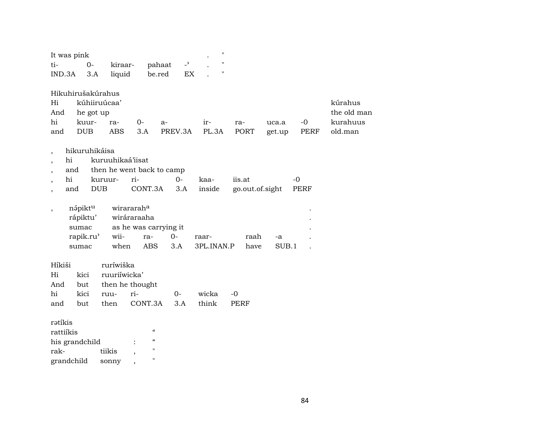| It was pink              |                   |                           |                                        |         |      | 11         |      |                 |        |             |           |
|--------------------------|-------------------|---------------------------|----------------------------------------|---------|------|------------|------|-----------------|--------|-------------|-----------|
| ti-                      | $0-$              | kiraar-                   |                                        | pahaat  | $-2$ | "          |      |                 |        |             |           |
| IND.3A                   | 3.A               | liquid                    |                                        | be.red  | EX   | 11         |      |                 |        |             |           |
|                          | Hikuhirušakúrahus |                           |                                        |         |      |            |      |                 |        |             |           |
| Hi                       |                   | kúhiiruúcaa'              |                                        |         |      |            |      |                 |        |             | kúrahus   |
| And                      | he got up         |                           |                                        |         |      |            |      |                 |        |             | the old n |
| hi                       | kuur-             | ra-                       | $0-$                                   | a-      |      | ir-        |      | ra-             | uca.a  | $-0$        | kurahuu   |
| and                      | <b>DUB</b>        | <b>ABS</b>                | 3.A                                    | PREV.3A |      | PL.3A      |      | PORT            | get.up | PERF        | old.man   |
| $\overline{\phantom{a}}$ | hikuruhikáisa     |                           |                                        |         |      |            |      |                 |        |             |           |
| hi                       |                   | kuruuhikaá'iisat          |                                        |         |      |            |      |                 |        |             |           |
| and                      |                   | then he went back to camp |                                        |         |      |            |      |                 |        |             |           |
| hi                       |                   | kuruur-                   | ri-                                    |         | $0-$ | kaa-       |      | iis.at          |        | $-0$        |           |
| and                      |                   | <b>DUB</b>                | CONT.3A                                |         | 3.A  | inside     |      | go.out.of.sight |        | <b>PERF</b> |           |
| $\overline{\phantom{a}}$ | nápiktu           |                           | wirararaha                             |         |      |            |      |                 |        |             |           |
|                          | rápiktu'          |                           | wiráraraaha                            |         |      |            |      |                 |        |             |           |
|                          | sumac             |                           | as he was carrying it                  |         |      |            |      |                 |        |             |           |
|                          | rapik.ru'         | wii-                      | ra-                                    | $0-$    |      | raar-      |      | raah            | $-a$   |             |           |
|                          | sumac             | when                      | ABS                                    | 3.A     |      | 3PL.INAN.P |      | have            | SUB.1  |             |           |
| Híkiši                   |                   | ruríwiška                 |                                        |         |      |            |      |                 |        |             |           |
| Hi                       | kici              | ruuriíwicka'              |                                        |         |      |            |      |                 |        |             |           |
| And                      | but               |                           | then he thought                        |         |      |            |      |                 |        |             |           |
| hi                       | kici              | ruu-                      | ri-                                    | $0-$    |      | wicka      | $-0$ |                 |        |             |           |
| and                      | but               | then                      | CONT.3A                                |         | 3.A  | think      |      | PERF            |        |             |           |
| rətikis                  |                   |                           |                                        |         |      |            |      |                 |        |             |           |
| rattiíkis                |                   |                           | $\epsilon\epsilon$                     |         |      |            |      |                 |        |             |           |
|                          | his grandchild    |                           | $\boldsymbol{\zeta}\boldsymbol{\zeta}$ |         |      |            |      |                 |        |             |           |
| rak-                     |                   | tiikis                    | $\pmb{\mathsf{H}}$                     |         |      |            |      |                 |        |             |           |
| grandchild               |                   | sonny                     | $\pmb{\mathsf{H}}$                     |         |      |            |      |                 |        |             |           |

the old man

-0 kurahuus PERF old.man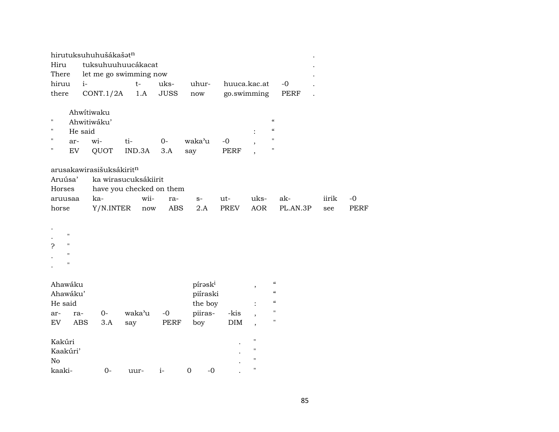|                                                                          | hirutuksuhuhušákašatn    |        |             |                      |             |                          |                                        |       |             |
|--------------------------------------------------------------------------|--------------------------|--------|-------------|----------------------|-------------|--------------------------|----------------------------------------|-------|-------------|
| Hiru                                                                     | tuksuhuuhuucákacat       |        |             |                      |             |                          |                                        |       |             |
| There                                                                    | let me go swimming now   |        |             |                      |             |                          |                                        |       |             |
| hiruu<br>$i-$                                                            |                          | $t-$   | uks-        | uhur-                |             | huuca.kac.at             | $-0$                                   |       |             |
| there                                                                    | CONT.1/2A                | 1.A    | <b>JUSS</b> | $\operatorname{now}$ |             | go.swimming              | <b>PERF</b>                            |       |             |
|                                                                          | Ahwitiwaku               |        |             |                      |             |                          |                                        |       |             |
| 11                                                                       | Ahwitiwáku'              |        |             |                      |             |                          | $\epsilon\epsilon$                     |       |             |
| н<br>He said                                                             |                          |        |             |                      |             |                          | $\boldsymbol{\zeta}\boldsymbol{\zeta}$ |       |             |
| п<br>ar-                                                                 | wi-                      | ti-    | $0-$        | waka'u               | $-0$        |                          | $\pmb{\mathsf{H}}$                     |       |             |
| EV                                                                       | QUOT                     | IND.3A | 3.A         | say                  | <b>PERF</b> |                          | $\pmb{\mathsf{H}}$                     |       |             |
|                                                                          | arusakawirasišuksákiritn |        |             |                      |             |                          |                                        |       |             |
| Aruúsa'                                                                  | ka wirasucuksákiirit     |        |             |                      |             |                          |                                        |       |             |
| Horses                                                                   | have you checked on them |        |             |                      |             |                          |                                        |       |             |
| aruusaa                                                                  | ka-                      | wii-   | ra-         | $S-$                 | ut-         | uks-                     | ak-                                    | iirik | -0          |
| horse                                                                    | Y/N.INTER                | now    | <b>ABS</b>  | 2.A                  | PREV        | <b>AOR</b>               | PL.AN.3P                               | see   | <b>PERF</b> |
| $\pmb{\mathsf{H}}$<br>$\pmb{\mathsf{H}}$<br>ς<br>Ħ<br>$\pmb{\mathsf{H}}$ |                          |        |             |                      |             |                          |                                        |       |             |
| Ahawáku                                                                  |                          |        |             | píraski              |             |                          | $\boldsymbol{\mathcal{C}}$             |       |             |
| Ahawáku'                                                                 |                          |        |             | piíraski             |             | $^\mathrm{^\mathrm{o}}$  | $\pmb{\mathcal{C}}$                    |       |             |
| He said                                                                  |                          |        |             | the boy              |             |                          | $\boldsymbol{\zeta}\boldsymbol{\zeta}$ |       |             |
| ar-<br>ra-                                                               | $O -$                    | waka'u | $-0$        | piiras-              | -kis        | $\overline{\phantom{a}}$ | $\mathbf{H}$                           |       |             |
| EV<br><b>ABS</b>                                                         | 3.A                      | say    | PERF        | boy                  | <b>DIM</b>  | $\overline{\phantom{a}}$ | $\mathbf H$                            |       |             |
|                                                                          |                          |        |             |                      |             |                          |                                        |       |             |
| Kakúri                                                                   |                          |        |             |                      |             | $\pmb{\mathsf{H}}$       |                                        |       |             |
| Kaakúri'                                                                 |                          |        |             |                      |             | $\pmb{\mathsf{H}}$       |                                        |       |             |
| No                                                                       |                          |        |             |                      |             | $\pmb{\mathsf{H}}$       |                                        |       |             |
| kaaki-                                                                   | $0 -$                    | uur-   | $i-$        | $\mathbf 0$<br>$-0$  |             | $\pmb{\mathsf{H}}$       |                                        |       |             |
|                                                                          |                          |        |             |                      |             |                          |                                        |       |             |

85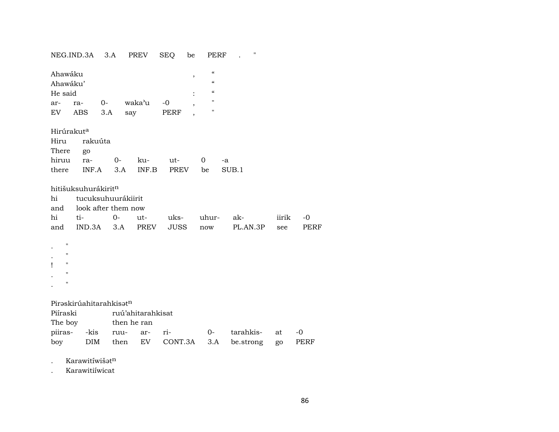|                                                                                                           | NEG.IND.3A                           | 3.A                                                      | PREV              | SEQ<br>be           | PERF                                                         | "               |              |                     |
|-----------------------------------------------------------------------------------------------------------|--------------------------------------|----------------------------------------------------------|-------------------|---------------------|--------------------------------------------------------------|-----------------|--------------|---------------------|
| Ahawáku<br>Ahawáku'<br>He said                                                                            |                                      |                                                          |                   | $\, ,$              | $\epsilon\epsilon$<br>$\epsilon$<br>$\pmb{\zeta}\pmb{\zeta}$ |                 |              |                     |
| ar-                                                                                                       | ra-                                  | $0-$                                                     | waka'u            | $-0$                | п                                                            |                 |              |                     |
| EV                                                                                                        | ABS                                  | 3.A                                                      | say               | <b>PERF</b>         | н                                                            |                 |              |                     |
| Hirúrakut <sup>a</sup><br>Hiru<br>There<br>hiruu<br>there                                                 | rakuúta<br>go<br>ra-<br>INF.A        | $0-$<br>3.A                                              | ku-<br>INF.B      | ut-<br>PREV         | $\overline{0}$<br>be                                         | -a<br>SUB.1     |              |                     |
| hi<br>and<br>hi<br>and                                                                                    | hitišuksuhurákiritn<br>ti-<br>IND.3A | tucuksuhuurákiirit<br>look after them now<br>$0-$<br>3.A | ut-<br>PREV       | uks-<br><b>JUSS</b> | uhur-<br>now                                                 | ak-<br>PL.AN.3P | iirik<br>see | $-0$<br><b>PERF</b> |
| $\pmb{\mathsf{H}}$<br>$\bar{\mathbf{H}}$<br>$\pmb{\mathsf{H}}$<br>1<br>$\mathbf{H}$<br>$\pmb{\mathsf{H}}$ |                                      |                                                          |                   |                     |                                                              |                 |              |                     |
|                                                                                                           | Piraskirúahitarahkisatn              |                                                          |                   |                     |                                                              |                 |              |                     |
| Piíraski                                                                                                  |                                      |                                                          | ruú'ahitarahkisat |                     |                                                              |                 |              |                     |
| The boy                                                                                                   |                                      |                                                          | then he ran       |                     |                                                              |                 |              |                     |
| piiras-                                                                                                   | -kis                                 | ruu-                                                     | ar-               | ri-                 | $0-$                                                         | tarahkis-       | at           | $-0$                |
| boy                                                                                                       | <b>DIM</b>                           | then                                                     | EV                | CONT.3A             | 3.A                                                          | be.strong       | go           | PERF                |
|                                                                                                           |                                      |                                                          |                   |                     |                                                              |                 |              |                     |

. Karawitíwišat<sup>n</sup>

. Karawitiíwicat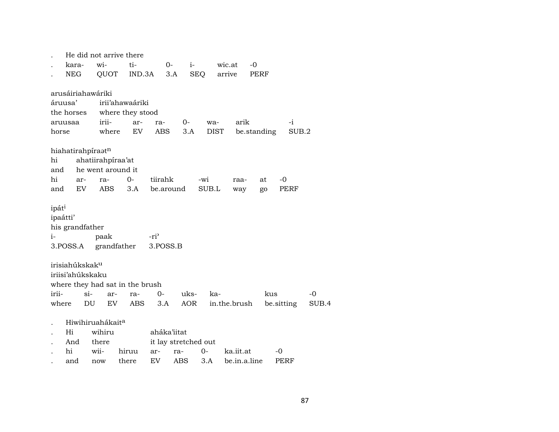|                   |                            |     |                              | He did not arrive there         |                      |            |             |              |             |            |       |
|-------------------|----------------------------|-----|------------------------------|---------------------------------|----------------------|------------|-------------|--------------|-------------|------------|-------|
|                   | kara-                      |     | wi-                          | ti-                             | $0-$                 | $i-$       |             | wic.at       | $-0$        |            |       |
|                   | NEG                        |     | QUOT                         | IND.3A                          | 3.A                  |            | <b>SEQ</b>  | arrive       | PERF        |            |       |
|                   |                            |     | arusáiriahawáriki            |                                 |                      |            |             |              |             |            |       |
|                   | áruusa'                    |     |                              | irii'ahawaáriki                 |                      |            |             |              |             |            |       |
|                   | the horses                 |     |                              | where they stood                |                      |            |             |              |             |            |       |
|                   | aruusaa                    |     | irii-                        | ar-                             | ra-                  | $O-$       | wa-         | arik         |             | $-i$       |       |
| horse             |                            |     | where                        | EV                              | ABS                  | 3.A        | <b>DIST</b> |              | be.standing | SUB.2      |       |
|                   |                            |     | hiahatirahpiraatn            |                                 |                      |            |             |              |             |            |       |
| hi                |                            |     | ahatiirahpiraa'at            |                                 |                      |            |             |              |             |            |       |
| and               |                            |     | he went around it            |                                 |                      |            |             |              |             |            |       |
| hi                |                            | ar- | ra-                          | $0-$                            | tiirahk              |            | -wi         | raa-         | at          | $-0$       |       |
| and               |                            | EV  | ABS                          | 3.A                             | be.around            |            | SUB.L       | way          | go          | PERF       |       |
| ipát <sup>i</sup> |                            |     |                              |                                 |                      |            |             |              |             |            |       |
| ipaátti'          |                            |     |                              |                                 |                      |            |             |              |             |            |       |
|                   | his grandfather            |     |                              |                                 |                      |            |             |              |             |            |       |
| $i-$              |                            |     | paak                         |                                 | -ri <sup>2</sup>     |            |             |              |             |            |       |
|                   | 3.POSS.A                   |     |                              | grandfather                     | 3.POSS.B             |            |             |              |             |            |       |
|                   |                            |     |                              |                                 |                      |            |             |              |             |            |       |
|                   | irisiahúkskak <sup>u</sup> |     |                              |                                 |                      |            |             |              |             |            |       |
|                   | iriisi'ahúkskaku           |     |                              |                                 |                      |            |             |              |             |            |       |
|                   |                            |     |                              | where they had sat in the brush |                      |            |             |              |             |            |       |
| irii-             |                            | si- | ar-                          | ra-                             | $O -$                | uks-       | ka-         |              | kus         |            | $-0$  |
| where             |                            | DU  | EV                           | <b>ABS</b>                      | 3.A                  | <b>AOR</b> |             | in.the.brush |             | be sitting | SUB.4 |
|                   |                            |     | Hiwihiruahákait <sup>a</sup> |                                 |                      |            |             |              |             |            |       |
|                   | Hi                         |     | wihiru                       |                                 | aháka'iitat          |            |             |              |             |            |       |
|                   | And                        |     | there                        |                                 | it lay stretched out |            |             |              |             |            |       |
|                   | hi                         |     | wii-                         | hiruu                           | ar-                  | ra-        | 0-          | ka.iit.at    |             | -0         |       |
|                   | and                        |     | now                          | there                           | EV                   | ABS        | 3.A         | be.in.a.line |             | PERF       |       |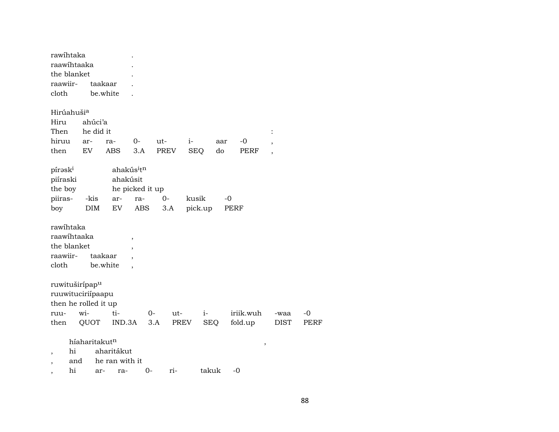| rawihtaka<br>raawihtaaka<br>the blanket                      |                                  |                                     |                                                              |      |                    |      |            |                          |             |
|--------------------------------------------------------------|----------------------------------|-------------------------------------|--------------------------------------------------------------|------|--------------------|------|------------|--------------------------|-------------|
| raawiir-<br>cloth                                            |                                  | taakaar<br>be.white                 |                                                              |      |                    |      |            |                          |             |
| Hirúahuši <sup>a</sup>                                       |                                  |                                     |                                                              |      |                    |      |            |                          |             |
| Hiru                                                         | ahúci'a                          |                                     |                                                              |      |                    |      |            |                          |             |
| Then                                                         | he did it                        |                                     |                                                              |      |                    |      |            |                          |             |
| hiruu                                                        | ar-                              | ra-                                 | $0-$                                                         | ut-  | $i-$               | aar  | $-0$       | $\overline{ }$           |             |
| then                                                         | EV                               | <b>ABS</b>                          | 3.A                                                          | PREV | <b>SEQ</b>         | do   | PERF       | $\overline{\phantom{a}}$ |             |
| pírask <sup>i</sup><br>piíraski<br>the boy<br>piiras-        | -kis                             | ahakúsit<br>ar-                     | ahakús <sup>i</sup> t <sup>n</sup><br>he picked it up<br>ra- | $0-$ | kusik              | -0   |            |                          |             |
| boy                                                          | <b>DIM</b>                       | EV                                  | ABS                                                          | 3.A  | pick.up            | PERF |            |                          |             |
| rawihtaka<br>raawihtaaka<br>the blanket<br>raawiir-<br>cloth |                                  | taakaar<br>be.white                 | $\overline{\phantom{a}}$                                     |      |                    |      |            |                          |             |
| ruwituširípap <sup>u</sup><br>ruuwituciriípaapu              |                                  |                                     |                                                              |      |                    |      |            |                          |             |
| then he rolled it up<br>ruu-                                 | wi-                              | ti-                                 | $0-$                                                         | ut-  | $i-$               |      | iriik.wuh  | -waa                     | -0          |
| then                                                         | QUOT                             |                                     | IND.3A                                                       | 3.A  | PREV<br><b>SEQ</b> |      | fold.up    | <b>DIST</b>              | <b>PERF</b> |
| hi<br>$\overline{\phantom{a}}$<br>and<br>,<br>hi             | híaharitakut <sup>n</sup><br>ar- | aharitákut<br>he ran with it<br>ra- | $0-$                                                         | ri-  | takuk              |      | $\,$<br>-0 |                          |             |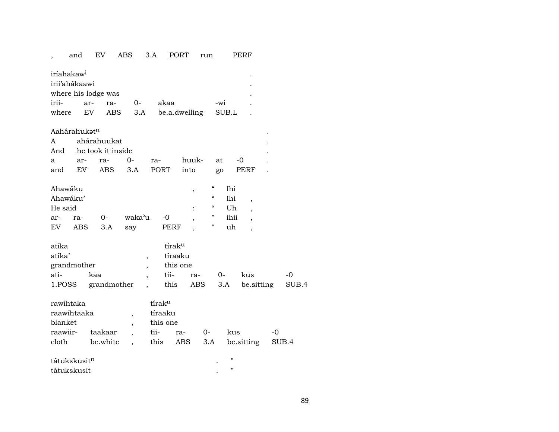|                                                     | and           | EV                  | <b>ABS</b>               | 3.A                              | <b>PORT</b>   | run                                    |                    | PERF                     |    |       |
|-----------------------------------------------------|---------------|---------------------|--------------------------|----------------------------------|---------------|----------------------------------------|--------------------|--------------------------|----|-------|
| iríahakaw <sup>i</sup>                              | irii'ahákaawi |                     |                          |                                  |               |                                        |                    |                          |    |       |
|                                                     |               | where his lodge was |                          |                                  |               |                                        |                    |                          |    |       |
| irii-                                               | ar-           | ra-                 | $0-$                     | akaa                             |               | -wi                                    |                    |                          |    |       |
| where                                               | <b>EV</b>     | ABS                 | 3.A                      |                                  | be.a.dwelling |                                        | SUB.L              |                          |    |       |
|                                                     | Aahárahukatn  |                     |                          |                                  |               |                                        |                    |                          |    |       |
| A                                                   |               | ahárahuukat         |                          |                                  |               |                                        |                    |                          |    |       |
| And                                                 |               | he took it inside   |                          |                                  |               |                                        |                    |                          |    |       |
| a                                                   | ar-           | ra-                 | 0-                       | ra-                              | huuk-         | at                                     | -0                 |                          |    |       |
| and                                                 | EV            | <b>ABS</b>          | 3.A                      | PORT                             | into          | go                                     |                    | PERF                     |    |       |
| Ahawáku                                             |               |                     |                          |                                  | ,             | $\epsilon\epsilon$                     | Ihi                |                          |    |       |
| Ahawáku'                                            |               |                     |                          |                                  |               | $\epsilon\epsilon$                     | Ihi                | $\overline{\phantom{a}}$ |    |       |
| He said                                             |               |                     |                          |                                  |               | $\boldsymbol{\zeta}\boldsymbol{\zeta}$ | Uh                 |                          |    |       |
| ar-                                                 | ra-           | 0-                  | waka'u                   | $-0$                             | ,             | 11                                     | ihii               | $\overline{\phantom{a}}$ |    |       |
| EV                                                  | ABS           | 3.A                 | say                      |                                  | PERF          | Ħ                                      | uh                 | $\overline{\phantom{a}}$ |    |       |
| atíka                                               |               |                     |                          |                                  | tíraku        |                                        |                    |                          |    |       |
| atíka'                                              |               |                     |                          | ,                                | tíraaku       |                                        |                    |                          |    |       |
| grandmother<br>this one<br>$\overline{\phantom{a}}$ |               |                     |                          |                                  |               |                                        |                    |                          |    |       |
| ati-                                                |               | kaa                 |                          | tii-<br>$\overline{\phantom{a}}$ | ra-           | $0 -$                                  |                    | kus                      |    | -0    |
| 1.POSS                                              |               | grandmother         |                          | this                             |               | ABS                                    | 3.A                | be.sitting               |    | SUB.4 |
| rawihtaka                                           |               |                     |                          | tíraku                           |               |                                        |                    |                          |    |       |
| raawihtaaka<br>$\, ,$                               |               |                     |                          | tíraaku                          |               |                                        |                    |                          |    |       |
| blanket                                             |               |                     | $\overline{\phantom{a}}$ | this one                         |               |                                        |                    |                          |    |       |
| raawiir-                                            |               | taakaar             |                          | tii-                             | ra-           | $0-$                                   | kus                |                          | -0 |       |
| cloth                                               |               | be.white            |                          | this                             | ABS           | $3.A$                                  |                    | be sitting               |    | SUB.4 |
|                                                     | tátukskusitn  |                     |                          |                                  |               |                                        | П                  |                          |    |       |
| tátukskusit                                         |               |                     |                          |                                  |               |                                        | $\pmb{\mathsf{H}}$ |                          |    |       |